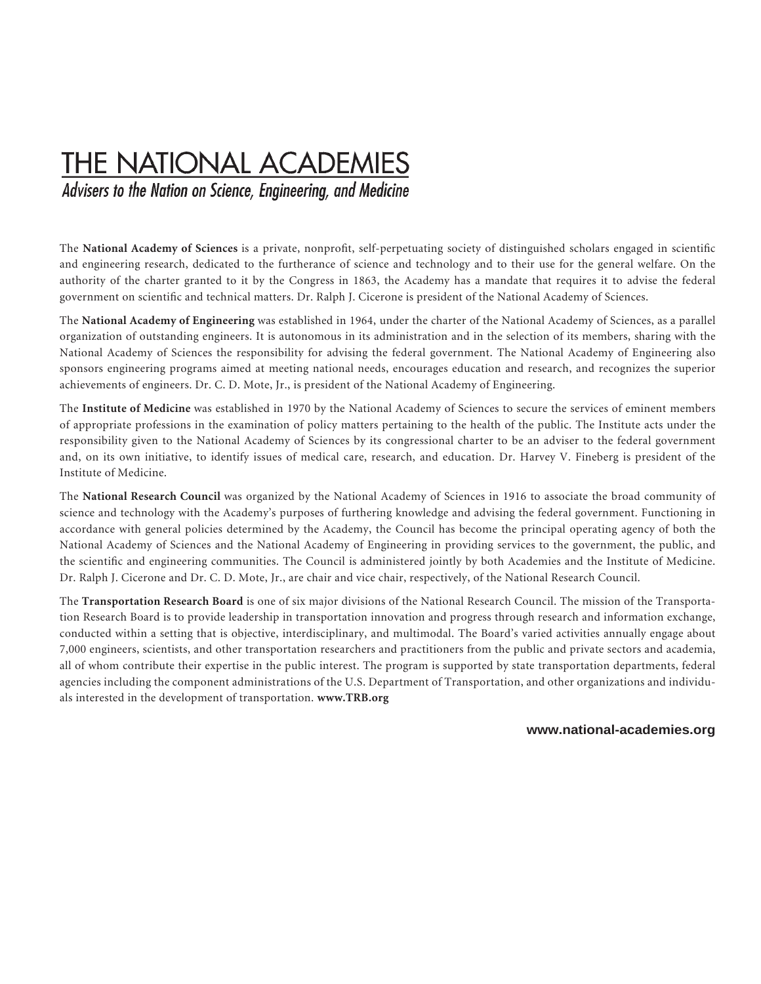## THE NATIONAL ACADEMIES

Advisers to the Nation on Science, Engineering, and Medicine

The **National Academy of Sciences** is a private, nonprofit, self-perpetuating society of distinguished scholars engaged in scientific and engineering research, dedicated to the furtherance of science and technology and to their use for the general welfare. On the authority of the charter granted to it by the Congress in 1863, the Academy has a mandate that requires it to advise the federal government on scientific and technical matters. Dr. Ralph J. Cicerone is president of the National Academy of Sciences.

The **National Academy of Engineering** was established in 1964, under the charter of the National Academy of Sciences, as a parallel organization of outstanding engineers. It is autonomous in its administration and in the selection of its members, sharing with the National Academy of Sciences the responsibility for advising the federal government. The National Academy of Engineering also sponsors engineering programs aimed at meeting national needs, encourages education and research, and recognizes the superior achievements of engineers. Dr. C. D. Mote, Jr., is president of the National Academy of Engineering.

The **Institute of Medicine** was established in 1970 by the National Academy of Sciences to secure the services of eminent members of appropriate professions in the examination of policy matters pertaining to the health of the public. The Institute acts under the responsibility given to the National Academy of Sciences by its congressional charter to be an adviser to the federal government and, on its own initiative, to identify issues of medical care, research, and education. Dr. Harvey V. Fineberg is president of the Institute of Medicine.

The **National Research Council** was organized by the National Academy of Sciences in 1916 to associate the broad community of science and technology with the Academy's purposes of furthering knowledge and advising the federal government. Functioning in accordance with general policies determined by the Academy, the Council has become the principal operating agency of both the National Academy of Sciences and the National Academy of Engineering in providing services to the government, the public, and the scientific and engineering communities. The Council is administered jointly by both Academies and the Institute of Medicine. Dr. Ralph J. Cicerone and Dr. C. D. Mote, Jr., are chair and vice chair, respectively, of the National Research Council.

The **Transportation Research Board** is one of six major divisions of the National Research Council. The mission of the Transportation Research Board is to provide leadership in transportation innovation and progress through research and information exchange, conducted within a setting that is objective, interdisciplinary, and multimodal. The Board's varied activities annually engage about 7,000 engineers, scientists, and other transportation researchers and practitioners from the public and private sectors and academia, all of whom contribute their expertise in the public interest. The program is supported by state transportation departments, federal agencies including the component administrations of the U.S. Department of Transportation, and other organizations and individuals interested in the development of transportation. **www.TRB.org** 

#### **www.national-academies.org**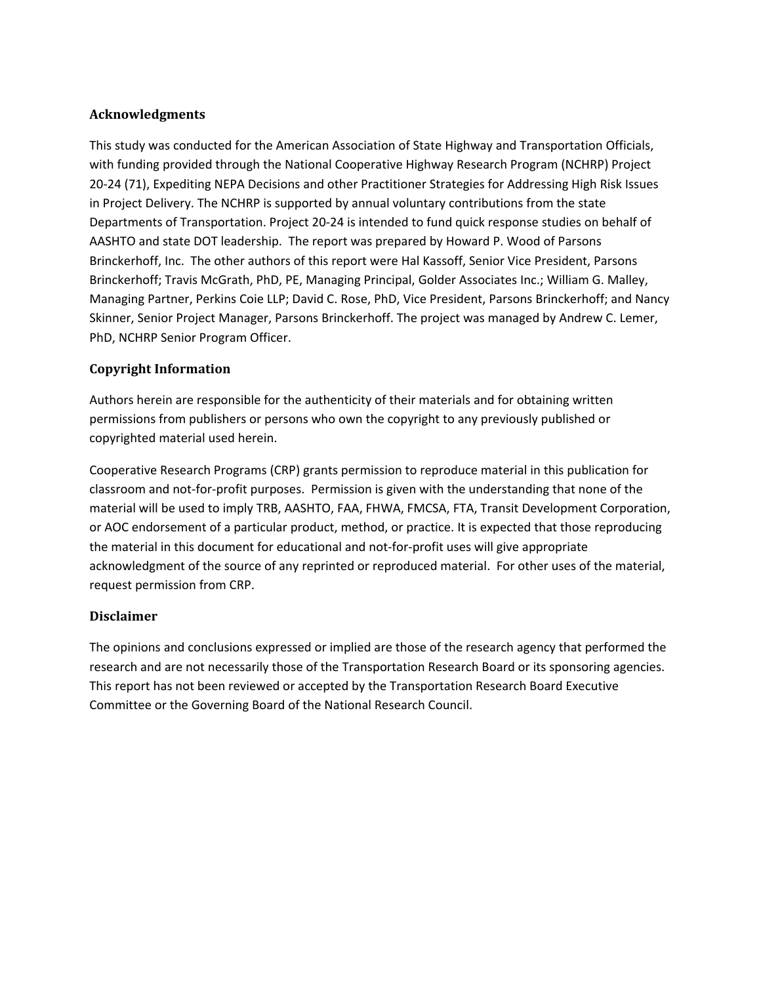### **Acknowledgments**

This study was conducted for the American Association of State Highway and Transportation Officials, with funding provided through the National Cooperative Highway Research Program (NCHRP) Project 20‐24 (71), Expediting NEPA Decisions and other Practitioner Strategies for Addressing High Risk Issues in Project Delivery. The NCHRP is supported by annual voluntary contributions from the state Departments of Transportation. Project 20‐24 is intended to fund quick response studies on behalf of AASHTO and state DOT leadership. The report was prepared by Howard P. Wood of Parsons Brinckerhoff, Inc. The other authors of this report were Hal Kassoff, Senior Vice President, Parsons Brinckerhoff; Travis McGrath, PhD, PE, Managing Principal, Golder Associates Inc.; William G. Malley, Managing Partner, Perkins Coie LLP; David C. Rose, PhD, Vice President, Parsons Brinckerhoff; and Nancy Skinner, Senior Project Manager, Parsons Brinckerhoff. The project was managed by Andrew C. Lemer, PhD, NCHRP Senior Program Officer.

### **Copyright Information**

Authors herein are responsible for the authenticity of their materials and for obtaining written permissions from publishers or persons who own the copyright to any previously published or copyrighted material used herein.

Cooperative Research Programs (CRP) grants permission to reproduce material in this publication for classroom and not‐for‐profit purposes. Permission is given with the understanding that none of the material will be used to imply TRB, AASHTO, FAA, FHWA, FMCSA, FTA, Transit Development Corporation, or AOC endorsement of a particular product, method, or practice. It is expected that those reproducing the material in this document for educational and not‐for‐profit uses will give appropriate acknowledgment of the source of any reprinted or reproduced material. For other uses of the material, request permission from CRP.

### **Disclaimer**

The opinions and conclusions expressed or implied are those of the research agency that performed the research and are not necessarily those of the Transportation Research Board or its sponsoring agencies. This report has not been reviewed or accepted by the Transportation Research Board Executive Committee or the Governing Board of the National Research Council.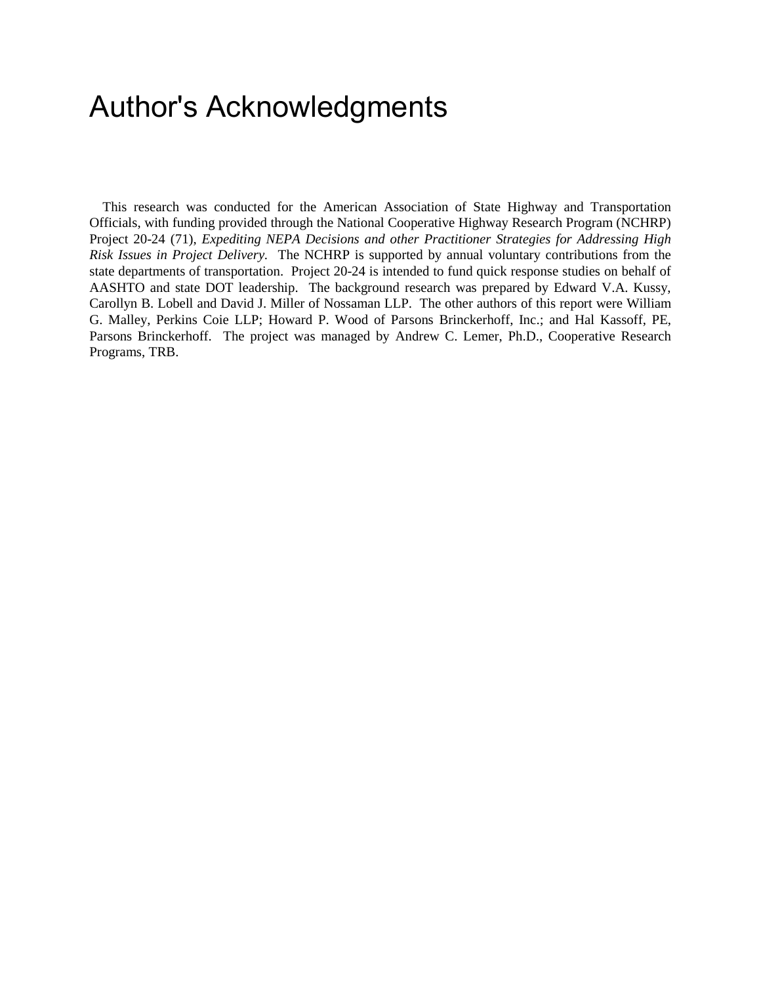## Author's Acknowledgments

This research was conducted for the American Association of State Highway and Transportation Officials, with funding provided through the National Cooperative Highway Research Program (NCHRP) Project 20-24 (71), *Expediting NEPA Decisions and other Practitioner Strategies for Addressing High Risk Issues in Project Delivery.* The NCHRP is supported by annual voluntary contributions from the state departments of transportation. Project 20-24 is intended to fund quick response studies on behalf of AASHTO and state DOT leadership. The background research was prepared by Edward V.A. Kussy, Carollyn B. Lobell and David J. Miller of Nossaman LLP. The other authors of this report were William G. Malley, Perkins Coie LLP; Howard P. Wood of Parsons Brinckerhoff, Inc.; and Hal Kassoff, PE, Parsons Brinckerhoff. The project was managed by Andrew C. Lemer, Ph.D., Cooperative Research Programs, TRB.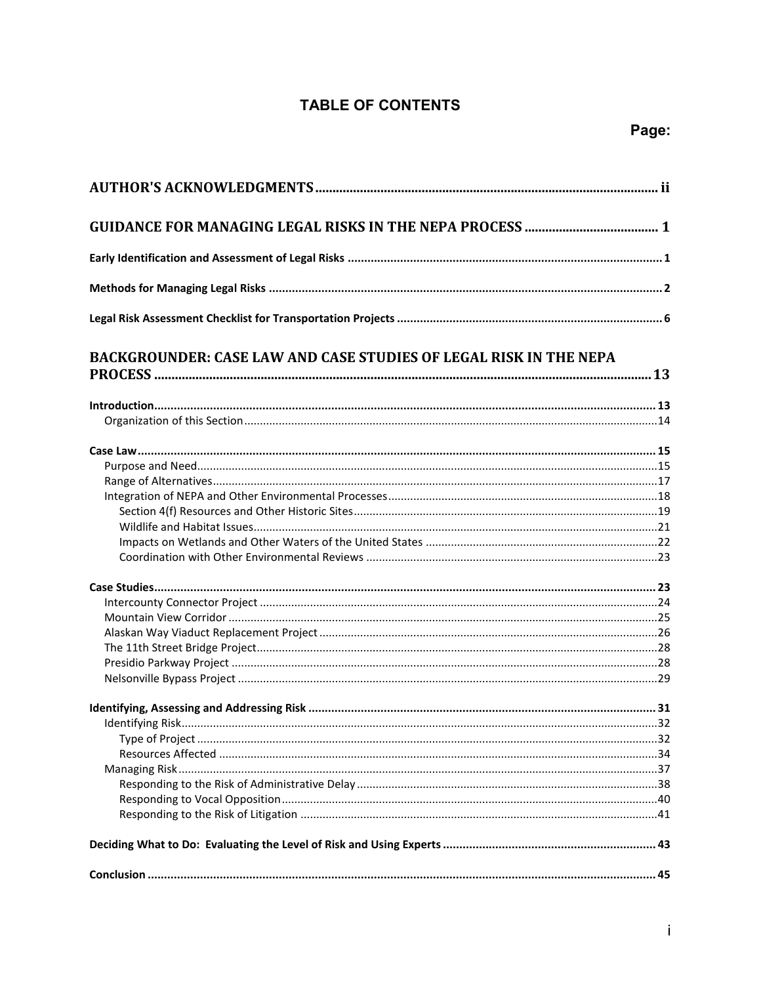### **TABLE OF CONTENTS**

| <b>BACKGROUNDER: CASE LAW AND CASE STUDIES OF LEGAL RISK IN THE NEPA</b> |  |
|--------------------------------------------------------------------------|--|
|                                                                          |  |
|                                                                          |  |
|                                                                          |  |
|                                                                          |  |
|                                                                          |  |
|                                                                          |  |
|                                                                          |  |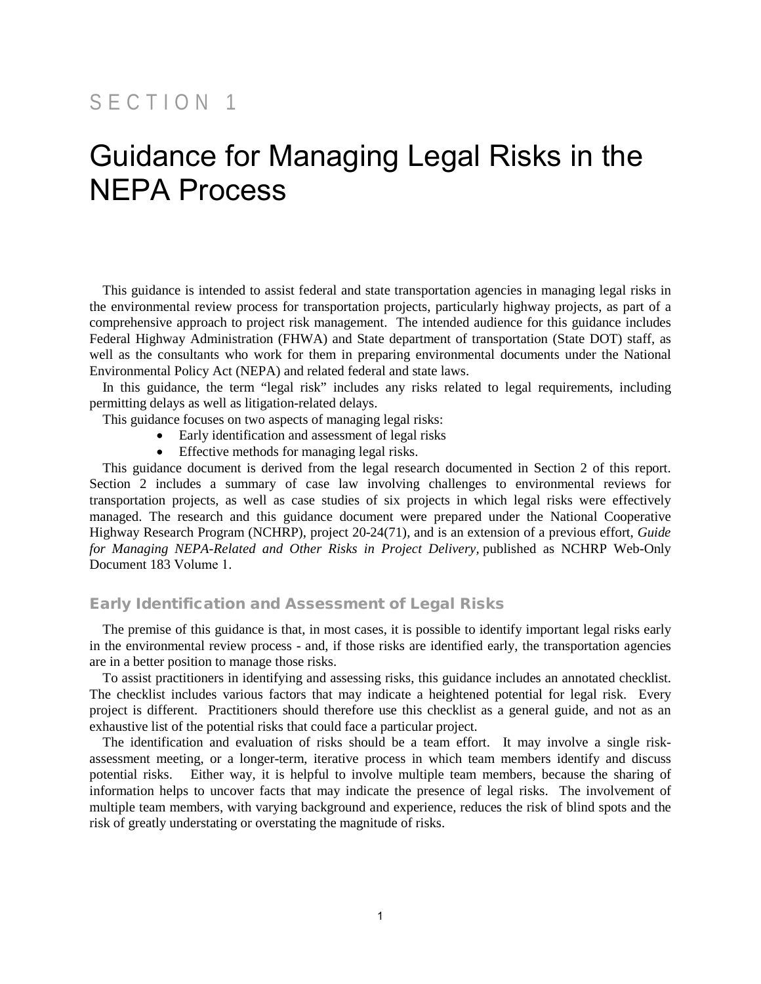## SECTION 1

## Guidance for Managing Legal Risks in the NEPA Process

This guidance is intended to assist federal and state transportation agencies in managing legal risks in the environmental review process for transportation projects, particularly highway projects, as part of a comprehensive approach to project risk management. The intended audience for this guidance includes Federal Highway Administration (FHWA) and State department of transportation (State DOT) staff, as well as the consultants who work for them in preparing environmental documents under the National Environmental Policy Act (NEPA) and related federal and state laws.

In this guidance, the term "legal risk" includes any risks related to legal requirements, including permitting delays as well as litigation-related delays.

This guidance focuses on two aspects of managing legal risks:

- Early identification and assessment of legal risks
- Effective methods for managing legal risks.

This guidance document is derived from the legal research documented in Section 2 of this report. Section 2 includes a summary of case law involving challenges to environmental reviews for transportation projects, as well as case studies of six projects in which legal risks were effectively managed. The research and this guidance document were prepared under the National Cooperative Highway Research Program (NCHRP), project 20-24(71), and is an extension of a previous effort, *Guide for Managing NEPA-Related and Other Risks in Project Delivery,* published as NCHRP Web-Only Document 183 Volume 1.

#### Early Identification and Assessment of Legal Risks

The premise of this guidance is that, in most cases, it is possible to identify important legal risks early in the environmental review process - and, if those risks are identified early, the transportation agencies are in a better position to manage those risks.

To assist practitioners in identifying and assessing risks, this guidance includes an annotated checklist. The checklist includes various factors that may indicate a heightened potential for legal risk. Every project is different. Practitioners should therefore use this checklist as a general guide, and not as an exhaustive list of the potential risks that could face a particular project.

The identification and evaluation of risks should be a team effort. It may involve a single riskassessment meeting, or a longer-term, iterative process in which team members identify and discuss potential risks. Either way, it is helpful to involve multiple team members, because the sharing of information helps to uncover facts that may indicate the presence of legal risks. The involvement of multiple team members, with varying background and experience, reduces the risk of blind spots and the risk of greatly understating or overstating the magnitude of risks.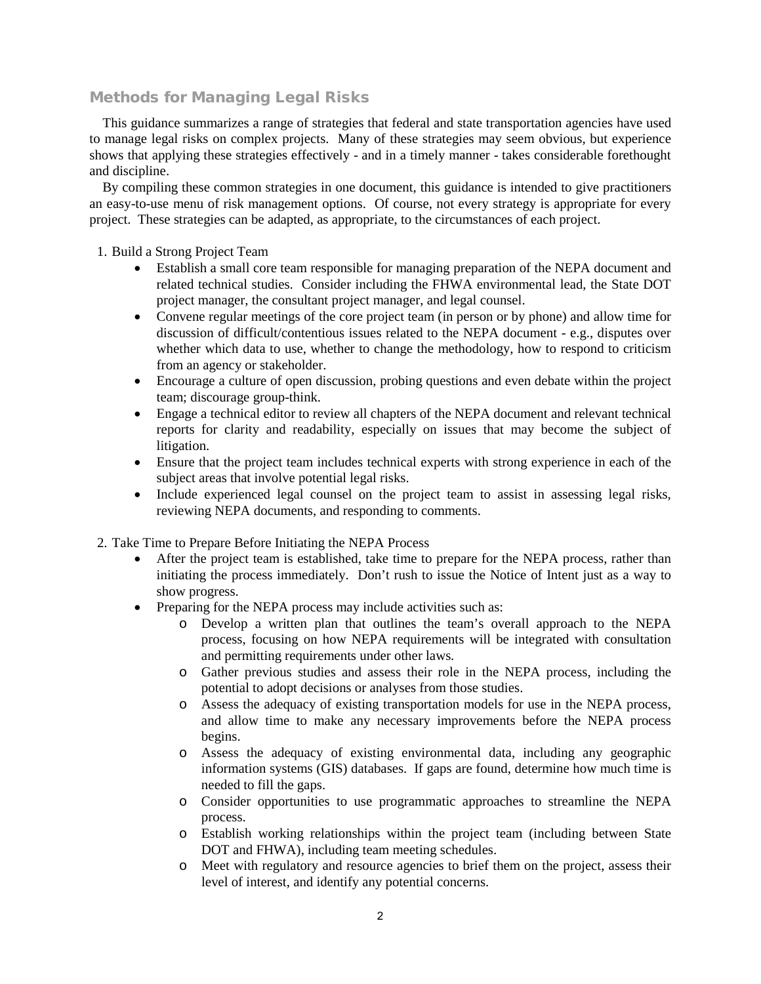### Methods for Managing Legal Risks

This guidance summarizes a range of strategies that federal and state transportation agencies have used to manage legal risks on complex projects. Many of these strategies may seem obvious, but experience shows that applying these strategies effectively - and in a timely manner - takes considerable forethought and discipline.

By compiling these common strategies in one document, this guidance is intended to give practitioners an easy-to-use menu of risk management options. Of course, not every strategy is appropriate for every project. These strategies can be adapted, as appropriate, to the circumstances of each project.

1. Build a Strong Project Team

- Establish a small core team responsible for managing preparation of the NEPA document and related technical studies. Consider including the FHWA environmental lead, the State DOT project manager, the consultant project manager, and legal counsel.
- Convene regular meetings of the core project team (in person or by phone) and allow time for discussion of difficult/contentious issues related to the NEPA document - e.g., disputes over whether which data to use, whether to change the methodology, how to respond to criticism from an agency or stakeholder.
- Encourage a culture of open discussion, probing questions and even debate within the project team; discourage group-think.
- Engage a technical editor to review all chapters of the NEPA document and relevant technical reports for clarity and readability, especially on issues that may become the subject of litigation.
- Ensure that the project team includes technical experts with strong experience in each of the subject areas that involve potential legal risks.
- Include experienced legal counsel on the project team to assist in assessing legal risks, reviewing NEPA documents, and responding to comments.
- 2. Take Time to Prepare Before Initiating the NEPA Process
	- After the project team is established, take time to prepare for the NEPA process, rather than initiating the process immediately. Don't rush to issue the Notice of Intent just as a way to show progress.
	- Preparing for the NEPA process may include activities such as:
		- o Develop a written plan that outlines the team's overall approach to the NEPA process, focusing on how NEPA requirements will be integrated with consultation and permitting requirements under other laws.
		- o Gather previous studies and assess their role in the NEPA process, including the potential to adopt decisions or analyses from those studies.
		- o Assess the adequacy of existing transportation models for use in the NEPA process, and allow time to make any necessary improvements before the NEPA process begins.
		- o Assess the adequacy of existing environmental data, including any geographic information systems (GIS) databases. If gaps are found, determine how much time is needed to fill the gaps.
		- o Consider opportunities to use programmatic approaches to streamline the NEPA process.
		- o Establish working relationships within the project team (including between State DOT and FHWA), including team meeting schedules.
		- o Meet with regulatory and resource agencies to brief them on the project, assess their level of interest, and identify any potential concerns.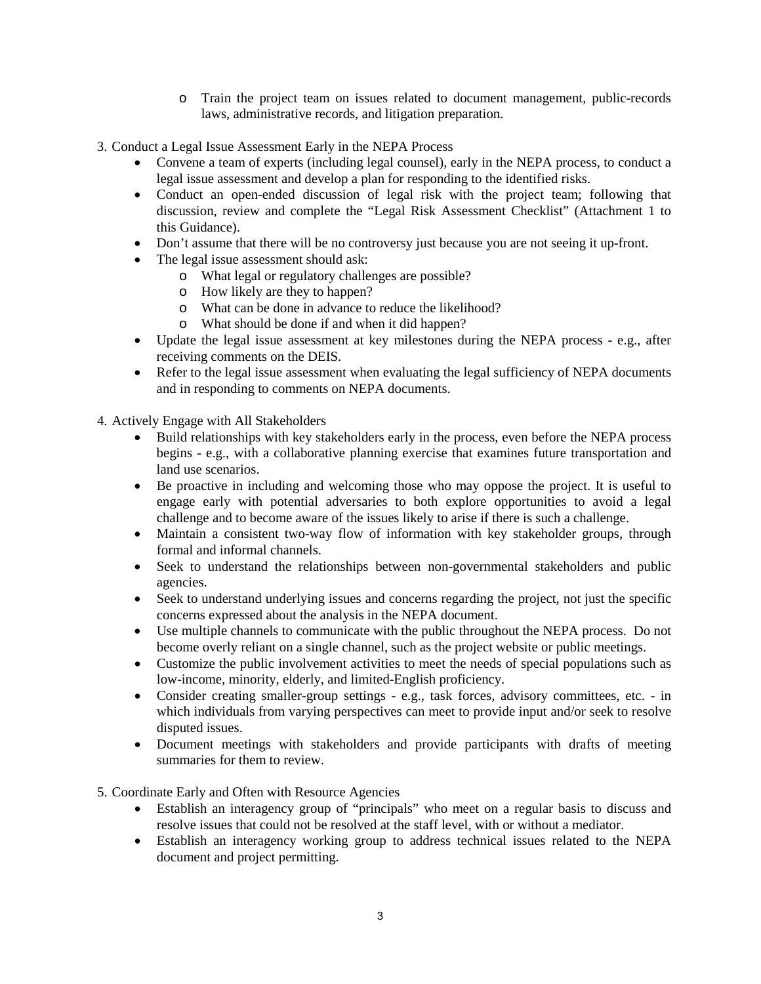- o Train the project team on issues related to document management, public-records laws, administrative records, and litigation preparation.
- 3. Conduct a Legal Issue Assessment Early in the NEPA Process
	- Convene a team of experts (including legal counsel), early in the NEPA process, to conduct a legal issue assessment and develop a plan for responding to the identified risks.
	- Conduct an open-ended discussion of legal risk with the project team; following that discussion, review and complete the "Legal Risk Assessment Checklist" (Attachment 1 to this Guidance).
	- Don't assume that there will be no controversy just because you are not seeing it up-front.
	- The legal issue assessment should ask:
		- o What legal or regulatory challenges are possible?
		- o How likely are they to happen?
		- o What can be done in advance to reduce the likelihood?
		- o What should be done if and when it did happen?
	- Update the legal issue assessment at key milestones during the NEPA process e.g., after receiving comments on the DEIS.
	- Refer to the legal issue assessment when evaluating the legal sufficiency of NEPA documents and in responding to comments on NEPA documents.

4. Actively Engage with All Stakeholders

- Build relationships with key stakeholders early in the process, even before the NEPA process begins - e.g., with a collaborative planning exercise that examines future transportation and land use scenarios.
- Be proactive in including and welcoming those who may oppose the project. It is useful to engage early with potential adversaries to both explore opportunities to avoid a legal challenge and to become aware of the issues likely to arise if there is such a challenge.
- Maintain a consistent two-way flow of information with key stakeholder groups, through formal and informal channels.
- Seek to understand the relationships between non-governmental stakeholders and public agencies.
- Seek to understand underlying issues and concerns regarding the project, not just the specific concerns expressed about the analysis in the NEPA document.
- Use multiple channels to communicate with the public throughout the NEPA process. Do not become overly reliant on a single channel, such as the project website or public meetings.
- Customize the public involvement activities to meet the needs of special populations such as low-income, minority, elderly, and limited-English proficiency.
- Consider creating smaller-group settings e.g., task forces, advisory committees, etc. in which individuals from varying perspectives can meet to provide input and/or seek to resolve disputed issues.
- Document meetings with stakeholders and provide participants with drafts of meeting summaries for them to review.
- 5. Coordinate Early and Often with Resource Agencies
	- Establish an interagency group of "principals" who meet on a regular basis to discuss and resolve issues that could not be resolved at the staff level, with or without a mediator.
	- Establish an interagency working group to address technical issues related to the NEPA document and project permitting.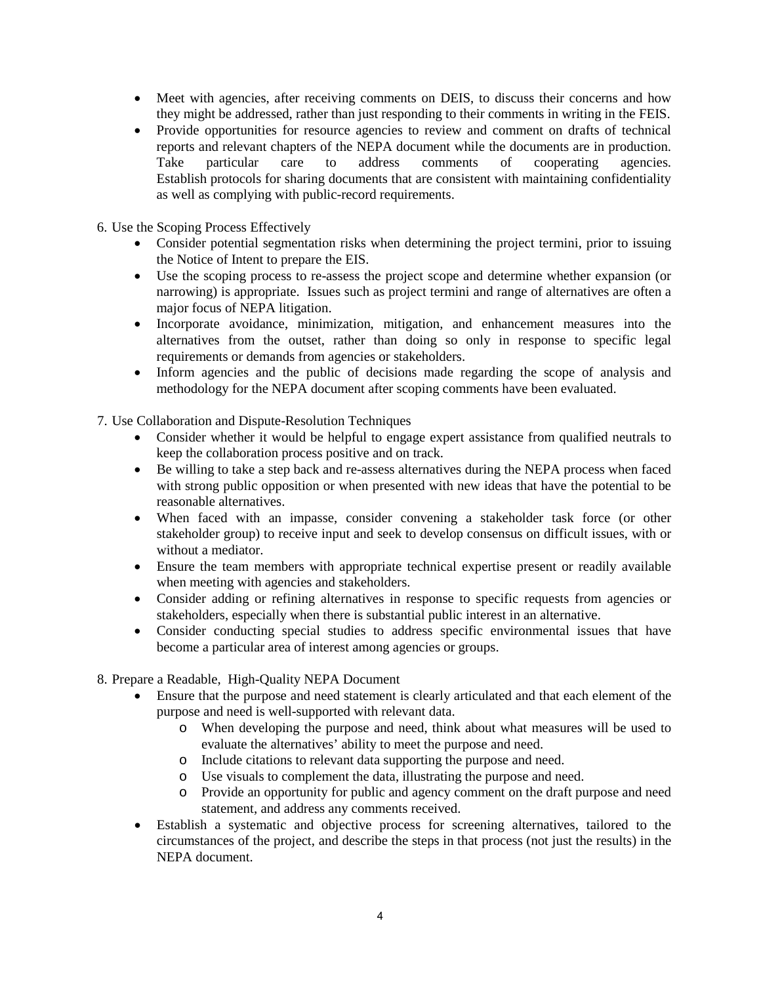- Meet with agencies, after receiving comments on DEIS, to discuss their concerns and how they might be addressed, rather than just responding to their comments in writing in the FEIS.
- Provide opportunities for resource agencies to review and comment on drafts of technical reports and relevant chapters of the NEPA document while the documents are in production. Take particular care to address comments of cooperating agencies. Establish protocols for sharing documents that are consistent with maintaining confidentiality as well as complying with public-record requirements.
- 6. Use the Scoping Process Effectively
	- Consider potential segmentation risks when determining the project termini, prior to issuing the Notice of Intent to prepare the EIS.
	- Use the scoping process to re-assess the project scope and determine whether expansion (or narrowing) is appropriate. Issues such as project termini and range of alternatives are often a major focus of NEPA litigation.
	- Incorporate avoidance, minimization, mitigation, and enhancement measures into the alternatives from the outset, rather than doing so only in response to specific legal requirements or demands from agencies or stakeholders.
	- Inform agencies and the public of decisions made regarding the scope of analysis and methodology for the NEPA document after scoping comments have been evaluated.

7. Use Collaboration and Dispute-Resolution Techniques

- Consider whether it would be helpful to engage expert assistance from qualified neutrals to keep the collaboration process positive and on track.
- Be willing to take a step back and re-assess alternatives during the NEPA process when faced with strong public opposition or when presented with new ideas that have the potential to be reasonable alternatives.
- When faced with an impasse, consider convening a stakeholder task force (or other stakeholder group) to receive input and seek to develop consensus on difficult issues, with or without a mediator.
- Ensure the team members with appropriate technical expertise present or readily available when meeting with agencies and stakeholders.
- Consider adding or refining alternatives in response to specific requests from agencies or stakeholders, especially when there is substantial public interest in an alternative.
- Consider conducting special studies to address specific environmental issues that have become a particular area of interest among agencies or groups.
- 8. Prepare a Readable, High-Quality NEPA Document
	- Ensure that the purpose and need statement is clearly articulated and that each element of the purpose and need is well-supported with relevant data.
		- o When developing the purpose and need, think about what measures will be used to evaluate the alternatives' ability to meet the purpose and need.
		- o Include citations to relevant data supporting the purpose and need.
		- o Use visuals to complement the data, illustrating the purpose and need.
		- o Provide an opportunity for public and agency comment on the draft purpose and need statement, and address any comments received.
	- Establish a systematic and objective process for screening alternatives, tailored to the circumstances of the project, and describe the steps in that process (not just the results) in the NEPA document.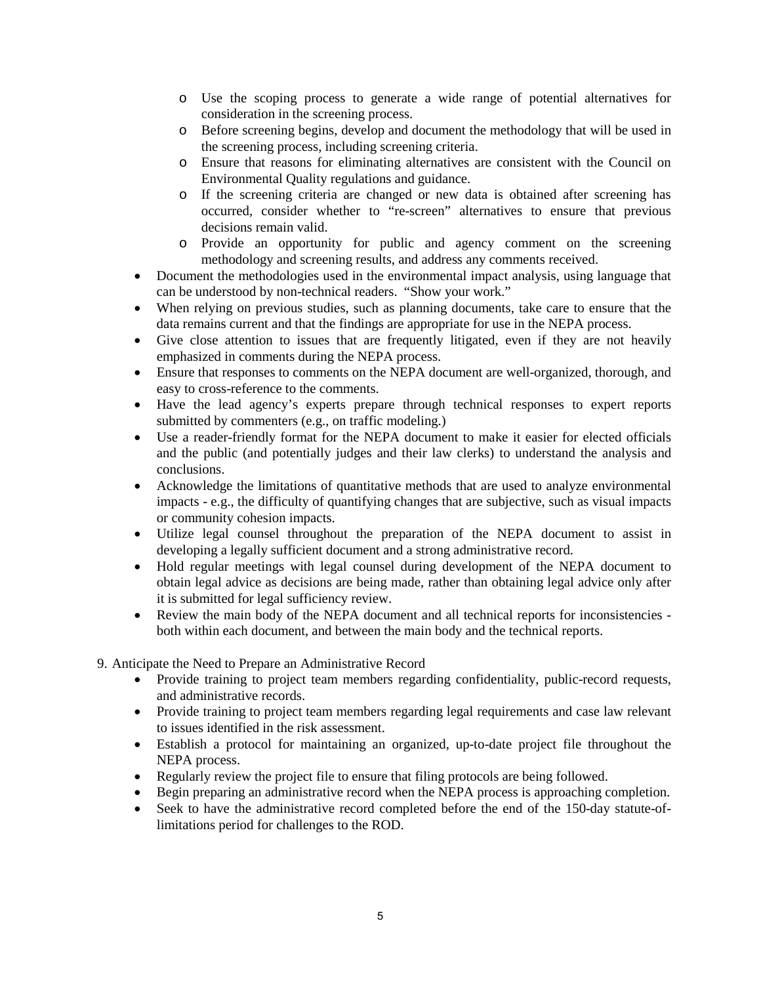- o Use the scoping process to generate a wide range of potential alternatives for consideration in the screening process.
- o Before screening begins, develop and document the methodology that will be used in the screening process, including screening criteria.
- o Ensure that reasons for eliminating alternatives are consistent with the Council on Environmental Quality regulations and guidance.
- o If the screening criteria are changed or new data is obtained after screening has occurred, consider whether to "re-screen" alternatives to ensure that previous decisions remain valid.
- o Provide an opportunity for public and agency comment on the screening methodology and screening results, and address any comments received.
- Document the methodologies used in the environmental impact analysis, using language that can be understood by non-technical readers. "Show your work."
- When relying on previous studies, such as planning documents, take care to ensure that the data remains current and that the findings are appropriate for use in the NEPA process.
- Give close attention to issues that are frequently litigated, even if they are not heavily emphasized in comments during the NEPA process.
- Ensure that responses to comments on the NEPA document are well-organized, thorough, and easy to cross-reference to the comments.
- Have the lead agency's experts prepare through technical responses to expert reports submitted by commenters (e.g., on traffic modeling.)
- Use a reader-friendly format for the NEPA document to make it easier for elected officials and the public (and potentially judges and their law clerks) to understand the analysis and conclusions.
- Acknowledge the limitations of quantitative methods that are used to analyze environmental impacts - e.g., the difficulty of quantifying changes that are subjective, such as visual impacts or community cohesion impacts.
- Utilize legal counsel throughout the preparation of the NEPA document to assist in developing a legally sufficient document and a strong administrative record.
- Hold regular meetings with legal counsel during development of the NEPA document to obtain legal advice as decisions are being made, rather than obtaining legal advice only after it is submitted for legal sufficiency review.
- Review the main body of the NEPA document and all technical reports for inconsistencies both within each document, and between the main body and the technical reports.
- 9. Anticipate the Need to Prepare an Administrative Record
	- Provide training to project team members regarding confidentiality, public-record requests, and administrative records.
	- Provide training to project team members regarding legal requirements and case law relevant to issues identified in the risk assessment.
	- Establish a protocol for maintaining an organized, up-to-date project file throughout the NEPA process.
	- Regularly review the project file to ensure that filing protocols are being followed.
	- Begin preparing an administrative record when the NEPA process is approaching completion.
	- Seek to have the administrative record completed before the end of the 150-day statute-oflimitations period for challenges to the ROD.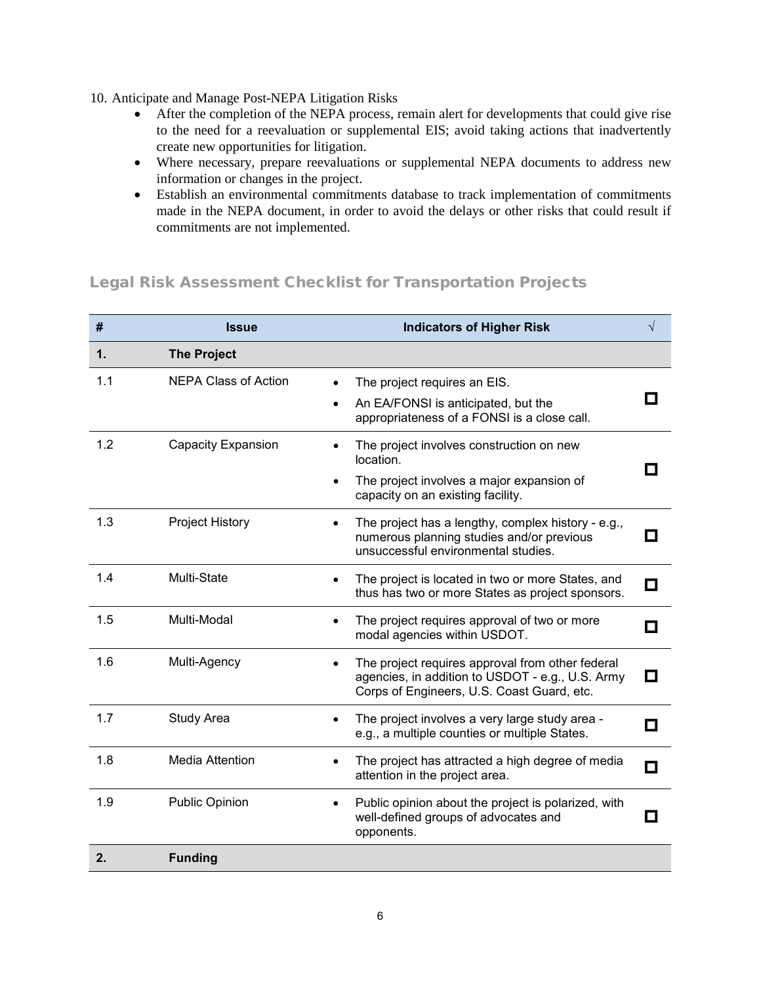- 10. Anticipate and Manage Post-NEPA Litigation Risks
	- After the completion of the NEPA process, remain alert for developments that could give rise to the need for a reevaluation or supplemental EIS; avoid taking actions that inadvertently create new opportunities for litigation.
	- Where necessary, prepare reevaluations or supplemental NEPA documents to address new information or changes in the project.
	- Establish an environmental commitments database to track implementation of commitments made in the NEPA document, in order to avoid the delays or other risks that could result if commitments are not implemented.

### Legal Risk Assessment Checklist for Transportation Projects

| #             | <b>Issue</b>                | <b>Indicators of Higher Risk</b>                                                                                                                   | $\sqrt{}$ |
|---------------|-----------------------------|----------------------------------------------------------------------------------------------------------------------------------------------------|-----------|
| $\mathbf 1$ . | <b>The Project</b>          |                                                                                                                                                    |           |
| 1.1           | <b>NEPA Class of Action</b> | The project requires an EIS.<br>An EA/FONSI is anticipated, but the<br>appropriateness of a FONSI is a close call.                                 |           |
| 1.2           | Capacity Expansion          | The project involves construction on new<br>location.<br>The project involves a major expansion of<br>capacity on an existing facility.            |           |
| 1.3           | Project History             | The project has a lengthy, complex history - e.g.,<br>numerous planning studies and/or previous<br>unsuccessful environmental studies.             |           |
| 1.4           | Multi-State                 | The project is located in two or more States, and<br>thus has two or more States as project sponsors.                                              | О         |
| 1.5           | Multi-Modal                 | The project requires approval of two or more<br>modal agencies within USDOT.                                                                       |           |
| 1.6           | Multi-Agency                | The project requires approval from other federal<br>agencies, in addition to USDOT - e.g., U.S. Army<br>Corps of Engineers, U.S. Coast Guard, etc. | П         |
| 1.7           | Study Area                  | The project involves a very large study area -<br>e.g., a multiple counties or multiple States.                                                    |           |
| 1.8           | <b>Media Attention</b>      | The project has attracted a high degree of media<br>attention in the project area.                                                                 | О         |
| 1.9           | <b>Public Opinion</b>       | Public opinion about the project is polarized, with<br>well-defined groups of advocates and<br>opponents.                                          |           |
| 2.            | <b>Funding</b>              |                                                                                                                                                    |           |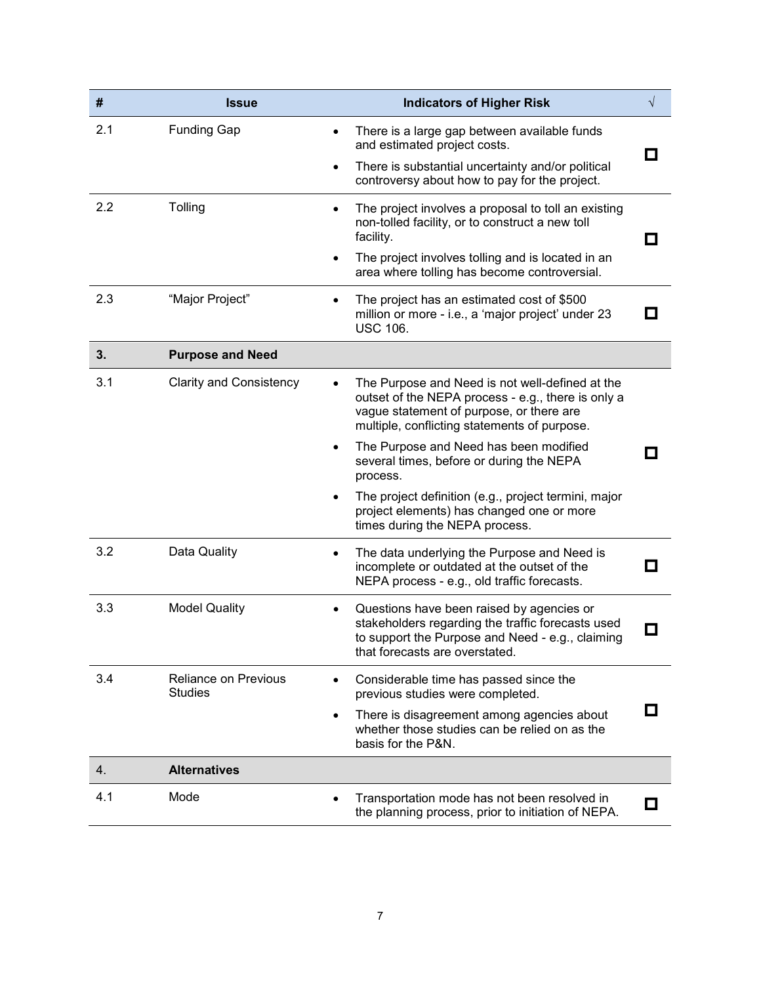| $\pmb{\#}$ | <b>Issue</b>                                  | <b>Indicators of Higher Risk</b>                                                                                                                                                                  | $\sqrt{}$                |
|------------|-----------------------------------------------|---------------------------------------------------------------------------------------------------------------------------------------------------------------------------------------------------|--------------------------|
| 2.1        | <b>Funding Gap</b>                            | There is a large gap between available funds<br>and estimated project costs.                                                                                                                      |                          |
|            |                                               | There is substantial uncertainty and/or political<br>$\bullet$<br>controversy about how to pay for the project.                                                                                   |                          |
| 2.2        | Tolling                                       | The project involves a proposal to toll an existing<br>non-tolled facility, or to construct a new toll<br>facility.                                                                               |                          |
|            |                                               | The project involves tolling and is located in an<br>area where tolling has become controversial.                                                                                                 |                          |
| 2.3        | "Major Project"                               | The project has an estimated cost of \$500<br>million or more - i.e., a 'major project' under 23<br><b>USC 106.</b>                                                                               |                          |
| 3.         | <b>Purpose and Need</b>                       |                                                                                                                                                                                                   |                          |
| 3.1        | <b>Clarity and Consistency</b>                | The Purpose and Need is not well-defined at the<br>outset of the NEPA process - e.g., there is only a<br>vague statement of purpose, or there are<br>multiple, conflicting statements of purpose. |                          |
|            |                                               | The Purpose and Need has been modified<br>several times, before or during the NEPA<br>process.                                                                                                    |                          |
|            |                                               | The project definition (e.g., project termini, major<br>project elements) has changed one or more<br>times during the NEPA process.                                                               |                          |
| 3.2        | Data Quality                                  | The data underlying the Purpose and Need is<br>incomplete or outdated at the outset of the<br>NEPA process - e.g., old traffic forecasts.                                                         |                          |
| 3.3        | <b>Model Quality</b>                          | Questions have been raised by agencies or<br>stakeholders regarding the traffic forecasts used<br>to support the Purpose and Need - e.g., claiming<br>that forecasts are overstated.              | $\overline{\phantom{a}}$ |
| 3.4        | <b>Reliance on Previous</b><br><b>Studies</b> | Considerable time has passed since the<br>previous studies were completed.                                                                                                                        |                          |
|            |                                               | There is disagreement among agencies about<br>whether those studies can be relied on as the<br>basis for the P&N.                                                                                 | П                        |
| 4.         | <b>Alternatives</b>                           |                                                                                                                                                                                                   |                          |
| 4.1        | Mode                                          | Transportation mode has not been resolved in<br>the planning process, prior to initiation of NEPA.                                                                                                |                          |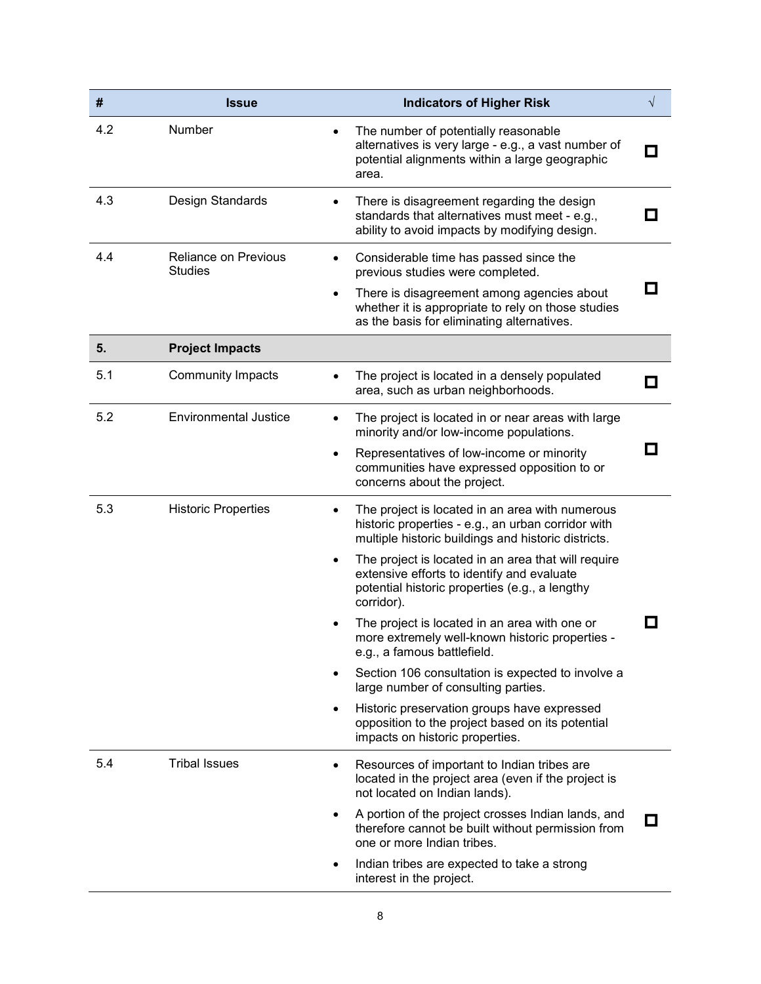| #   | <b>Issue</b>                                  | <b>Indicators of Higher Risk</b>                                                                                                                                  | $\sqrt{}$                |
|-----|-----------------------------------------------|-------------------------------------------------------------------------------------------------------------------------------------------------------------------|--------------------------|
| 4.2 | Number                                        | The number of potentially reasonable<br>alternatives is very large - e.g., a vast number of<br>potential alignments within a large geographic<br>area.            | $\overline{\phantom{a}}$ |
| 4.3 | Design Standards                              | There is disagreement regarding the design<br>standards that alternatives must meet - e.g.,<br>ability to avoid impacts by modifying design.                      | П                        |
| 4.4 | <b>Reliance on Previous</b><br><b>Studies</b> | Considerable time has passed since the<br>$\bullet$<br>previous studies were completed.                                                                           |                          |
|     |                                               | There is disagreement among agencies about<br>$\bullet$<br>whether it is appropriate to rely on those studies<br>as the basis for eliminating alternatives.       | О                        |
| 5.  | <b>Project Impacts</b>                        |                                                                                                                                                                   |                          |
| 5.1 | <b>Community Impacts</b>                      | The project is located in a densely populated<br>area, such as urban neighborhoods.                                                                               | $\overline{\phantom{a}}$ |
| 5.2 | <b>Environmental Justice</b>                  | The project is located in or near areas with large<br>minority and/or low-income populations.                                                                     |                          |
|     |                                               | Representatives of low-income or minority<br>$\bullet$<br>communities have expressed opposition to or<br>concerns about the project.                              | $\sim$                   |
| 5.3 | <b>Historic Properties</b>                    | The project is located in an area with numerous<br>historic properties - e.g., an urban corridor with<br>multiple historic buildings and historic districts.      |                          |
|     |                                               | The project is located in an area that will require<br>extensive efforts to identify and evaluate<br>potential historic properties (e.g., a lengthy<br>corridor). |                          |
|     |                                               | The project is located in an area with one or<br>more extremely well-known historic properties -<br>e.g., a famous battlefield.                                   |                          |
|     |                                               | Section 106 consultation is expected to involve a<br>large number of consulting parties.                                                                          |                          |
|     |                                               | Historic preservation groups have expressed<br>٠<br>opposition to the project based on its potential<br>impacts on historic properties.                           |                          |
| 5.4 | <b>Tribal Issues</b>                          | Resources of important to Indian tribes are<br>$\bullet$<br>located in the project area (even if the project is<br>not located on Indian lands).                  |                          |
|     |                                               | A portion of the project crosses Indian lands, and<br>therefore cannot be built without permission from<br>one or more Indian tribes.                             | ப                        |
|     |                                               | Indian tribes are expected to take a strong<br>٠<br>interest in the project.                                                                                      |                          |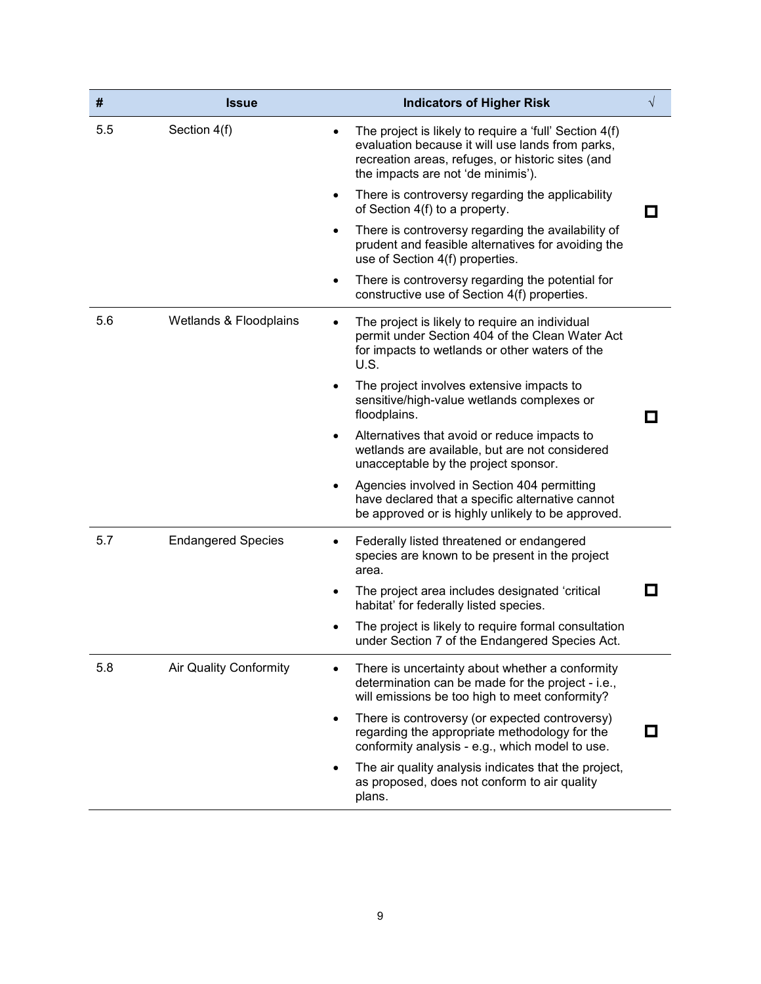| #   | <b>Issue</b>              | <b>Indicators of Higher Risk</b>                                                                                                                                                                      | $\sqrt{}$    |
|-----|---------------------------|-------------------------------------------------------------------------------------------------------------------------------------------------------------------------------------------------------|--------------|
| 5.5 | Section 4(f)              | The project is likely to require a 'full' Section 4(f)<br>evaluation because it will use lands from parks,<br>recreation areas, refuges, or historic sites (and<br>the impacts are not 'de minimis'). |              |
|     |                           | There is controversy regarding the applicability<br>٠<br>of Section 4(f) to a property.                                                                                                               | П            |
|     |                           | There is controversy regarding the availability of<br>prudent and feasible alternatives for avoiding the<br>use of Section 4(f) properties.                                                           |              |
|     |                           | There is controversy regarding the potential for<br>٠<br>constructive use of Section 4(f) properties.                                                                                                 |              |
| 5.6 | Wetlands & Floodplains    | The project is likely to require an individual<br>permit under Section 404 of the Clean Water Act<br>for impacts to wetlands or other waters of the<br>U.S.                                           |              |
|     |                           | The project involves extensive impacts to<br>sensitive/high-value wetlands complexes or<br>floodplains.                                                                                               |              |
|     |                           | Alternatives that avoid or reduce impacts to<br>٠<br>wetlands are available, but are not considered<br>unacceptable by the project sponsor.                                                           |              |
|     |                           | Agencies involved in Section 404 permitting<br>have declared that a specific alternative cannot<br>be approved or is highly unlikely to be approved.                                                  |              |
| 5.7 | <b>Endangered Species</b> | Federally listed threatened or endangered<br>species are known to be present in the project<br>area.                                                                                                  |              |
|     |                           | The project area includes designated 'critical<br>habitat' for federally listed species.                                                                                                              | $\mathbf{r}$ |
|     |                           | The project is likely to require formal consultation<br>under Section 7 of the Endangered Species Act.                                                                                                |              |
| 5.8 | Air Quality Conformity    | There is uncertainty about whether a conformity<br>determination can be made for the project - i.e.,<br>will emissions be too high to meet conformity?                                                |              |
|     |                           | There is controversy (or expected controversy)<br>regarding the appropriate methodology for the<br>conformity analysis - e.g., which model to use.                                                    |              |
|     |                           | The air quality analysis indicates that the project,<br>as proposed, does not conform to air quality<br>plans.                                                                                        |              |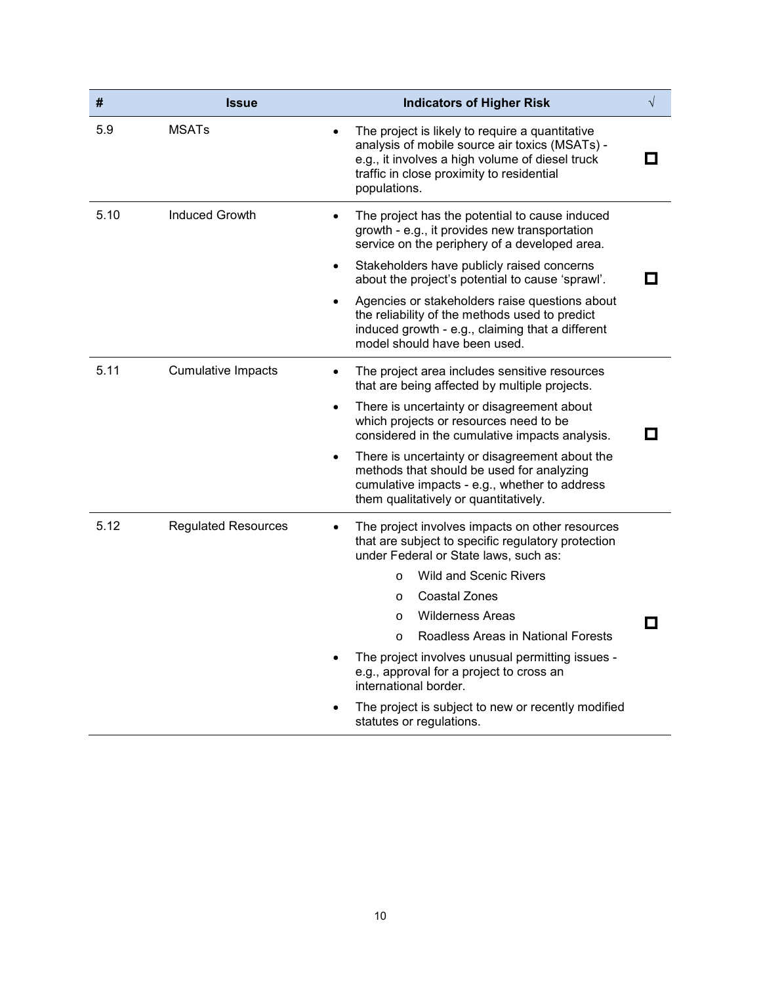| #    | <b>Issue</b>               | <b>Indicators of Higher Risk</b>                                                                                                                                                                                                                                                                                                                                                                                                                                                                                                | $\sqrt{}$ |
|------|----------------------------|---------------------------------------------------------------------------------------------------------------------------------------------------------------------------------------------------------------------------------------------------------------------------------------------------------------------------------------------------------------------------------------------------------------------------------------------------------------------------------------------------------------------------------|-----------|
| 5.9  | <b>MSATs</b>               | The project is likely to require a quantitative<br>analysis of mobile source air toxics (MSATs) -<br>e.g., it involves a high volume of diesel truck<br>traffic in close proximity to residential<br>populations.                                                                                                                                                                                                                                                                                                               |           |
| 5.10 | <b>Induced Growth</b>      | The project has the potential to cause induced<br>$\bullet$<br>growth - e.g., it provides new transportation<br>service on the periphery of a developed area.<br>Stakeholders have publicly raised concerns<br>$\bullet$                                                                                                                                                                                                                                                                                                        | . .       |
|      |                            | about the project's potential to cause 'sprawl'.<br>Agencies or stakeholders raise questions about<br>$\bullet$<br>the reliability of the methods used to predict<br>induced growth - e.g., claiming that a different<br>model should have been used.                                                                                                                                                                                                                                                                           |           |
| 5.11 | <b>Cumulative Impacts</b>  | The project area includes sensitive resources<br>that are being affected by multiple projects.<br>There is uncertainty or disagreement about<br>which projects or resources need to be<br>considered in the cumulative impacts analysis.<br>There is uncertainty or disagreement about the<br>methods that should be used for analyzing<br>cumulative impacts - e.g., whether to address<br>them qualitatively or quantitatively.                                                                                               | П         |
| 5.12 | <b>Regulated Resources</b> | The project involves impacts on other resources<br>that are subject to specific regulatory protection<br>under Federal or State laws, such as:<br><b>Wild and Scenic Rivers</b><br>$\circ$<br><b>Coastal Zones</b><br>$\circ$<br><b>Wilderness Areas</b><br>$\circ$<br>Roadless Areas in National Forests<br>$\circ$<br>The project involves unusual permitting issues -<br>e.g., approval for a project to cross an<br>international border.<br>The project is subject to new or recently modified<br>statutes or regulations. | П         |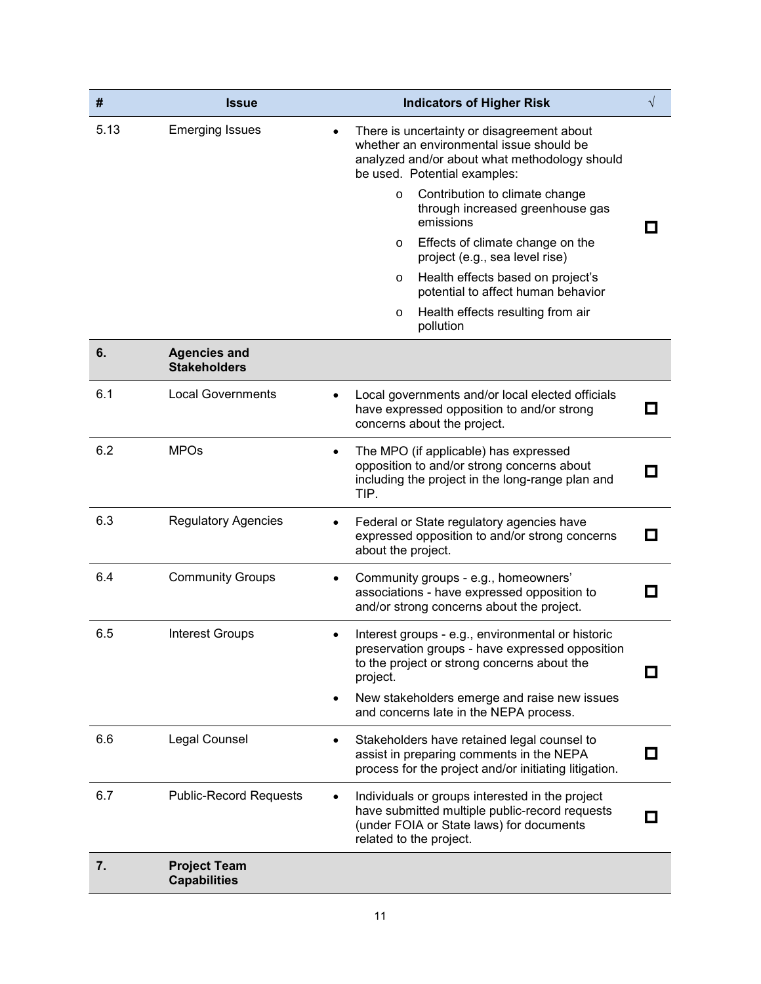| #    | <b>Issue</b>                               | <b>Indicators of Higher Risk</b>                                                                                                                                         | $\sqrt{}$                |
|------|--------------------------------------------|--------------------------------------------------------------------------------------------------------------------------------------------------------------------------|--------------------------|
| 5.13 | <b>Emerging Issues</b>                     | There is uncertainty or disagreement about<br>whether an environmental issue should be<br>analyzed and/or about what methodology should<br>be used. Potential examples:  |                          |
|      |                                            | Contribution to climate change<br>$\circ$<br>through increased greenhouse gas<br>emissions                                                                               |                          |
|      |                                            | Effects of climate change on the<br>$\circ$<br>project (e.g., sea level rise)                                                                                            |                          |
|      |                                            | Health effects based on project's<br>$\circ$<br>potential to affect human behavior                                                                                       |                          |
|      |                                            | Health effects resulting from air<br>$\circ$<br>pollution                                                                                                                |                          |
| 6.   | <b>Agencies and</b><br><b>Stakeholders</b> |                                                                                                                                                                          |                          |
| 6.1  | <b>Local Governments</b>                   | Local governments and/or local elected officials<br>have expressed opposition to and/or strong<br>concerns about the project.                                            | - 1                      |
| 6.2  | <b>MPOs</b>                                | The MPO (if applicable) has expressed<br>$\bullet$<br>opposition to and/or strong concerns about<br>including the project in the long-range plan and<br>TIP.             | $\Box$                   |
| 6.3  | <b>Regulatory Agencies</b>                 | Federal or State regulatory agencies have<br>expressed opposition to and/or strong concerns<br>about the project.                                                        | О                        |
| 6.4  | <b>Community Groups</b>                    | Community groups - e.g., homeowners'<br>٠<br>associations - have expressed opposition to<br>and/or strong concerns about the project.                                    | $\overline{\phantom{a}}$ |
| 6.5  | <b>Interest Groups</b>                     | Interest groups - e.g., environmental or historic<br>preservation groups - have expressed opposition<br>to the project or strong concerns about the<br>project.          |                          |
|      |                                            | New stakeholders emerge and raise new issues<br>٠<br>and concerns late in the NEPA process.                                                                              |                          |
| 6.6  | Legal Counsel                              | Stakeholders have retained legal counsel to<br>assist in preparing comments in the NEPA<br>process for the project and/or initiating litigation.                         |                          |
| 6.7  | <b>Public-Record Requests</b>              | Individuals or groups interested in the project<br>have submitted multiple public-record requests<br>(under FOIA or State laws) for documents<br>related to the project. | . .                      |
| 7.   | <b>Project Team</b><br><b>Capabilities</b> |                                                                                                                                                                          |                          |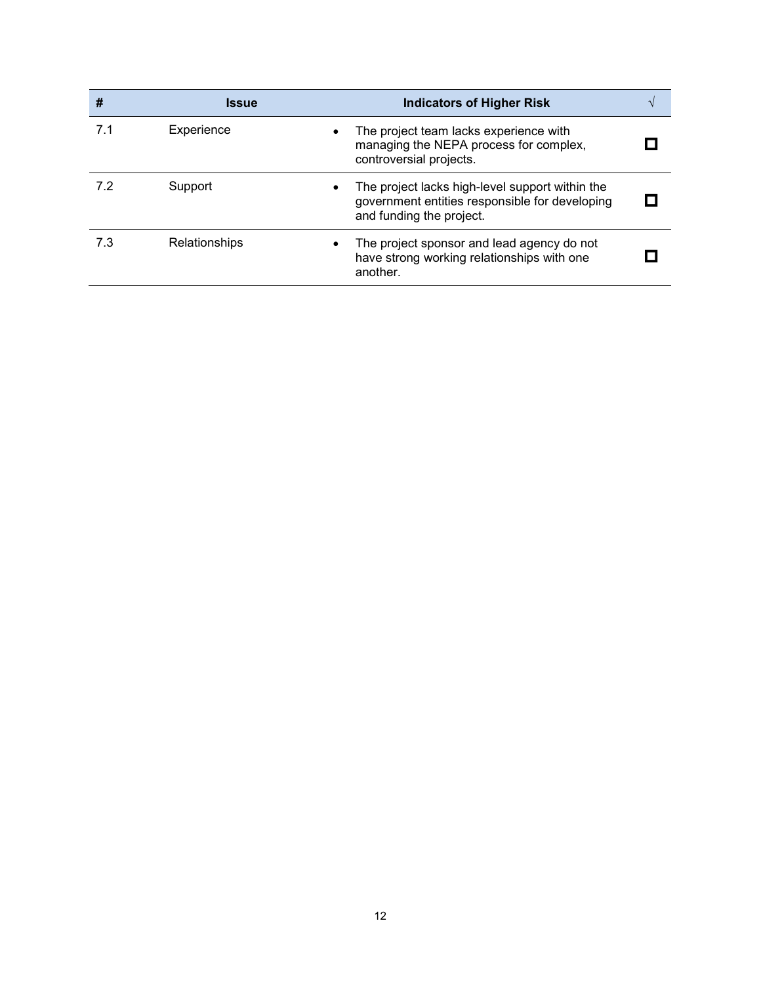| #   | <b>Issue</b>         | <b>Indicators of Higher Risk</b>                                                                                                           |  |
|-----|----------------------|--------------------------------------------------------------------------------------------------------------------------------------------|--|
| 7.1 | Experience           | The project team lacks experience with<br>$\bullet$<br>managing the NEPA process for complex,<br>controversial projects.                   |  |
| 7.2 | Support              | The project lacks high-level support within the<br>$\bullet$<br>government entities responsible for developing<br>and funding the project. |  |
| 7.3 | <b>Relationships</b> | The project sponsor and lead agency do not<br>have strong working relationships with one<br>another.                                       |  |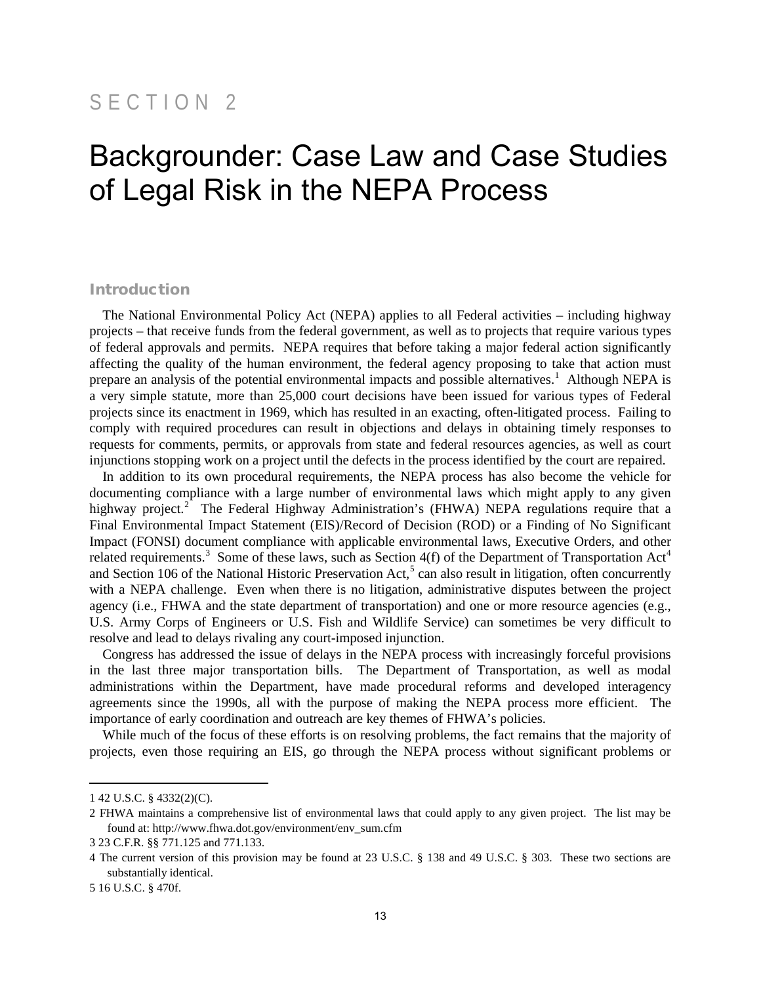## SECTION 2

## Backgrounder: Case Law and Case Studies of Legal Risk in the NEPA Process

#### Introduction

The National Environmental Policy Act (NEPA) applies to all Federal activities – including highway projects – that receive funds from the federal government, as well as to projects that require various types of federal approvals and permits. NEPA requires that before taking a major federal action significantly affecting the quality of the human environment, the federal agency proposing to take that action must prepare an analysis of the potential environmental impacts and possible alternatives.<sup>[1](#page-17-0)</sup> Although NEPA is a very simple statute, more than 25,000 court decisions have been issued for various types of Federal projects since its enactment in 1969, which has resulted in an exacting, often-litigated process. Failing to comply with required procedures can result in objections and delays in obtaining timely responses to requests for comments, permits, or approvals from state and federal resources agencies, as well as court injunctions stopping work on a project until the defects in the process identified by the court are repaired.

In addition to its own procedural requirements, the NEPA process has also become the vehicle for documenting compliance with a large number of environmental laws which might apply to any given highway project.<sup>[2](#page-17-1)</sup> The Federal Highway Administration's (FHWA) NEPA regulations require that a Final Environmental Impact Statement (EIS)/Record of Decision (ROD) or a Finding of No Significant Impact (FONSI) document compliance with applicable environmental laws, Executive Orders, and other related requirements.<sup>[3](#page-17-2)</sup> Some of these laws, such as Section [4](#page-17-3)(f) of the Department of Transportation Act<sup>4</sup> and Section 106 of the National Historic Preservation Act,<sup>[5](#page-17-4)</sup> can also result in litigation, often concurrently with a NEPA challenge. Even when there is no litigation, administrative disputes between the project agency (i.e., FHWA and the state department of transportation) and one or more resource agencies (e.g., U.S. Army Corps of Engineers or U.S. Fish and Wildlife Service) can sometimes be very difficult to resolve and lead to delays rivaling any court-imposed injunction.

Congress has addressed the issue of delays in the NEPA process with increasingly forceful provisions in the last three major transportation bills. The Department of Transportation, as well as modal administrations within the Department, have made procedural reforms and developed interagency agreements since the 1990s, all with the purpose of making the NEPA process more efficient. The importance of early coordination and outreach are key themes of FHWA's policies.

While much of the focus of these efforts is on resolving problems, the fact remains that the majority of projects, even those requiring an EIS, go through the NEPA process without significant problems or

<span id="page-17-0"></span><sup>1 42</sup> U.S.C. § 4332(2)(C).

<span id="page-17-1"></span><sup>2</sup> FHWA maintains a comprehensive list of environmental laws that could apply to any given project. The list may be found at: [http://www.fhwa.dot.gov/environment/env\\_sum.cfm](http://www.fhwa.dot.gov/environment/env_sum.cfm) 

<span id="page-17-2"></span><sup>3 23</sup> C.F.R. §§ 771.125 and 771.133.

<span id="page-17-3"></span><sup>4</sup> The current version of this provision may be found at 23 U.S.C. § 138 and 49 U.S.C. § 303. These two sections are substantially identical.

<span id="page-17-4"></span><sup>5 16</sup> U.S.C. § 470f.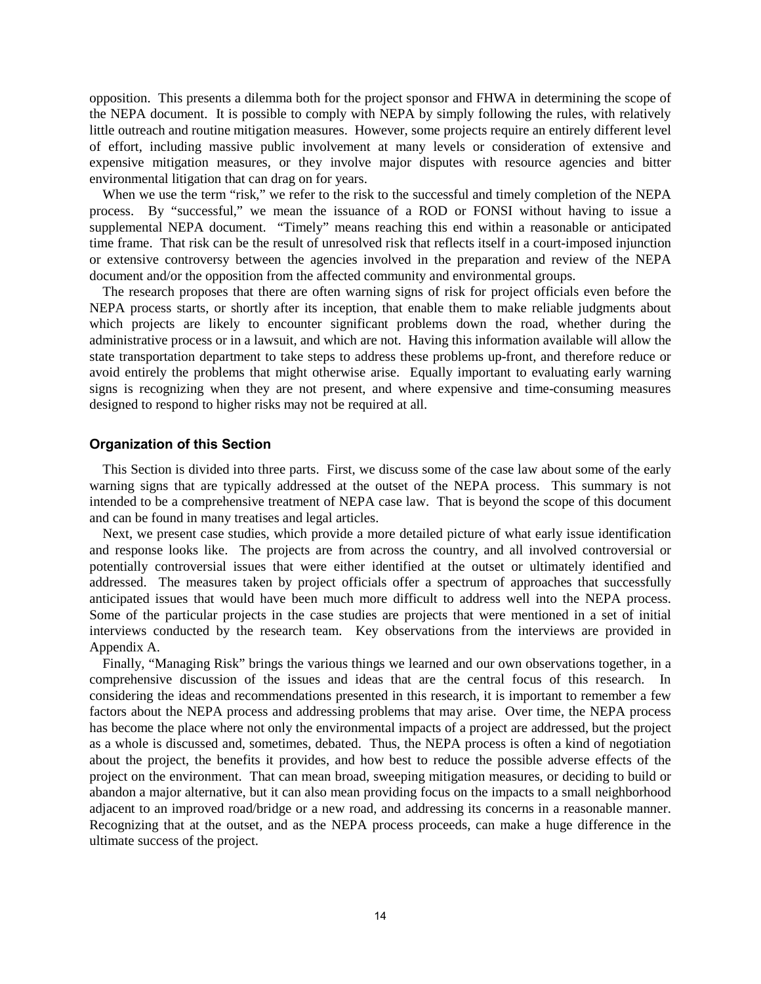opposition. This presents a dilemma both for the project sponsor and FHWA in determining the scope of the NEPA document. It is possible to comply with NEPA by simply following the rules, with relatively little outreach and routine mitigation measures. However, some projects require an entirely different level of effort, including massive public involvement at many levels or consideration of extensive and expensive mitigation measures, or they involve major disputes with resource agencies and bitter environmental litigation that can drag on for years.

When we use the term "risk," we refer to the risk to the successful and timely completion of the NEPA process. By "successful," we mean the issuance of a ROD or FONSI without having to issue a supplemental NEPA document. "Timely" means reaching this end within a reasonable or anticipated time frame. That risk can be the result of unresolved risk that reflects itself in a court-imposed injunction or extensive controversy between the agencies involved in the preparation and review of the NEPA document and/or the opposition from the affected community and environmental groups.

The research proposes that there are often warning signs of risk for project officials even before the NEPA process starts, or shortly after its inception, that enable them to make reliable judgments about which projects are likely to encounter significant problems down the road, whether during the administrative process or in a lawsuit, and which are not. Having this information available will allow the state transportation department to take steps to address these problems up-front, and therefore reduce or avoid entirely the problems that might otherwise arise. Equally important to evaluating early warning signs is recognizing when they are not present, and where expensive and time-consuming measures designed to respond to higher risks may not be required at all.

#### **Organization of this Section**

This Section is divided into three parts. First, we discuss some of the case law about some of the early warning signs that are typically addressed at the outset of the NEPA process. This summary is not intended to be a comprehensive treatment of NEPA case law. That is beyond the scope of this document and can be found in many treatises and legal articles.

Next, we present case studies, which provide a more detailed picture of what early issue identification and response looks like. The projects are from across the country, and all involved controversial or potentially controversial issues that were either identified at the outset or ultimately identified and addressed. The measures taken by project officials offer a spectrum of approaches that successfully anticipated issues that would have been much more difficult to address well into the NEPA process. Some of the particular projects in the case studies are projects that were mentioned in a set of initial interviews conducted by the research team. Key observations from the interviews are provided in Appendix A.

Finally, "Managing Risk" brings the various things we learned and our own observations together, in a comprehensive discussion of the issues and ideas that are the central focus of this research. In considering the ideas and recommendations presented in this research, it is important to remember a few factors about the NEPA process and addressing problems that may arise. Over time, the NEPA process has become the place where not only the environmental impacts of a project are addressed, but the project as a whole is discussed and, sometimes, debated. Thus, the NEPA process is often a kind of negotiation about the project, the benefits it provides, and how best to reduce the possible adverse effects of the project on the environment. That can mean broad, sweeping mitigation measures, or deciding to build or abandon a major alternative, but it can also mean providing focus on the impacts to a small neighborhood adjacent to an improved road/bridge or a new road, and addressing its concerns in a reasonable manner. Recognizing that at the outset, and as the NEPA process proceeds, can make a huge difference in the ultimate success of the project.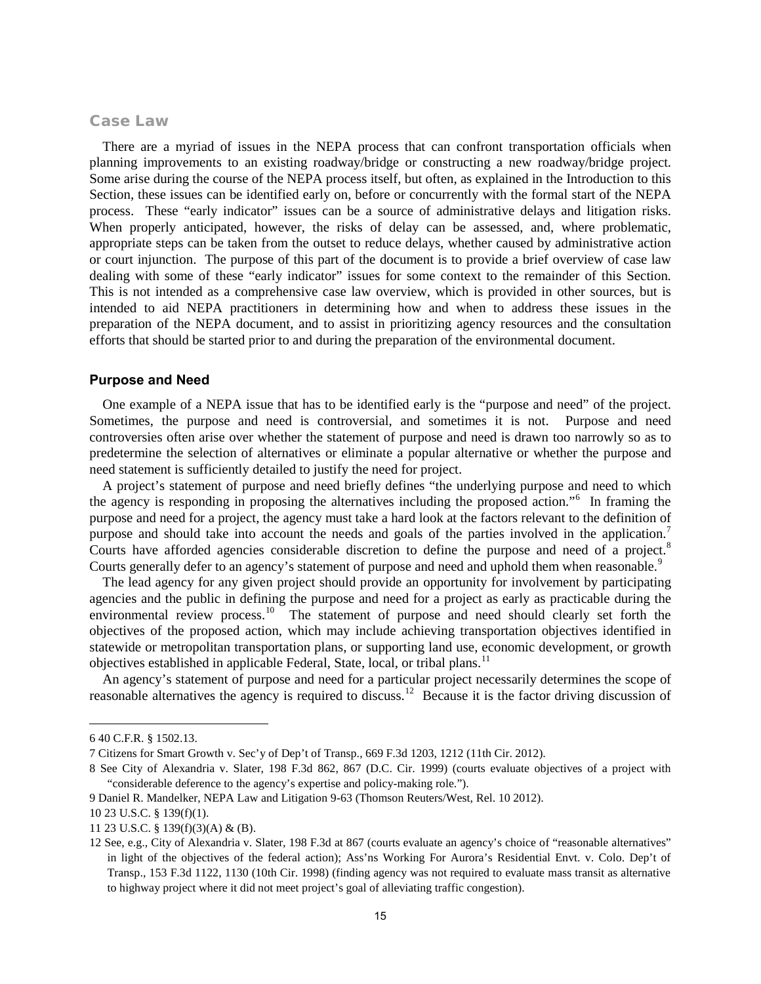#### Case Law

There are a myriad of issues in the NEPA process that can confront transportation officials when planning improvements to an existing roadway/bridge or constructing a new roadway/bridge project. Some arise during the course of the NEPA process itself, but often, as explained in the Introduction to this Section, these issues can be identified early on, before or concurrently with the formal start of the NEPA process. These "early indicator" issues can be a source of administrative delays and litigation risks. When properly anticipated, however, the risks of delay can be assessed, and, where problematic, appropriate steps can be taken from the outset to reduce delays, whether caused by administrative action or court injunction. The purpose of this part of the document is to provide a brief overview of case law dealing with some of these "early indicator" issues for some context to the remainder of this Section. This is not intended as a comprehensive case law overview, which is provided in other sources, but is intended to aid NEPA practitioners in determining how and when to address these issues in the preparation of the NEPA document, and to assist in prioritizing agency resources and the consultation efforts that should be started prior to and during the preparation of the environmental document.

#### **Purpose and Need**

One example of a NEPA issue that has to be identified early is the "purpose and need" of the project. Sometimes, the purpose and need is controversial, and sometimes it is not. Purpose and need controversies often arise over whether the statement of purpose and need is drawn too narrowly so as to predetermine the selection of alternatives or eliminate a popular alternative or whether the purpose and need statement is sufficiently detailed to justify the need for project.

A project's statement of purpose and need briefly defines "the underlying purpose and need to which the agency is responding in proposing the alternatives including the proposed action."[6](#page-19-0) In framing the purpose and need for a project, the agency must take a hard look at the factors relevant to the definition of purpose and should take into account the needs and goals of the parties involved in the application.<sup>[7](#page-19-1)</sup> Courts have afforded agencies considerable discretion to define the purpose and need of a project.<sup>[8](#page-19-2)</sup> Courts generally defer to an agency's statement of purpose and need and uphold them when reasonable.<sup>[9](#page-19-3)</sup>

The lead agency for any given project should provide an opportunity for involvement by participating agencies and the public in defining the purpose and need for a project as early as practicable during the environmental review process.<sup>10</sup> The statement of purpose and need should clearly set forth the objectives of the proposed action, which may include achieving transportation objectives identified in statewide or metropolitan transportation plans, or supporting land use, economic development, or growth objectives established in applicable Federal, State, local, or tribal plans.<sup>[11](#page-19-5)</sup>

An agency's statement of purpose and need for a particular project necessarily determines the scope of reasonable alternatives the agency is required to discuss.[12](#page-19-6) Because it is the factor driving discussion of

<span id="page-19-0"></span><sup>6 40</sup> C.F.R. § 1502.13.

<span id="page-19-1"></span><sup>7</sup> Citizens for Smart Growth v. Sec'y of Dep't of Transp., 669 F.3d 1203, 1212 (11th Cir. 2012).

<span id="page-19-2"></span><sup>8</sup> See City of Alexandria v. Slater, 198 F.3d 862, 867 (D.C. Cir. 1999) (courts evaluate objectives of a project with "considerable deference to the agency's expertise and policy-making role.").

<span id="page-19-3"></span><sup>9</sup> Daniel R. Mandelker, NEPA Law and Litigation 9-63 (Thomson Reuters/West, Rel. 10 2012).

<span id="page-19-4"></span><sup>10</sup> 23 U.S.C. § 139(f)(1).

<span id="page-19-6"></span><span id="page-19-5"></span><sup>11</sup> 23 U.S.C. § 139(f)(3)(A) & (B).

<sup>12</sup> See, e.g., City of Alexandria v. Slater, 198 F.3d at 867 (courts evaluate an agency's choice of "reasonable alternatives" in light of the objectives of the federal action); Ass'ns Working For Aurora's Residential Envt. v. Colo. Dep't of Transp., 153 F.3d 1122, 1130 (10th Cir. 1998) (finding agency was not required to evaluate mass transit as alternative to highway project where it did not meet project's goal of alleviating traffic congestion).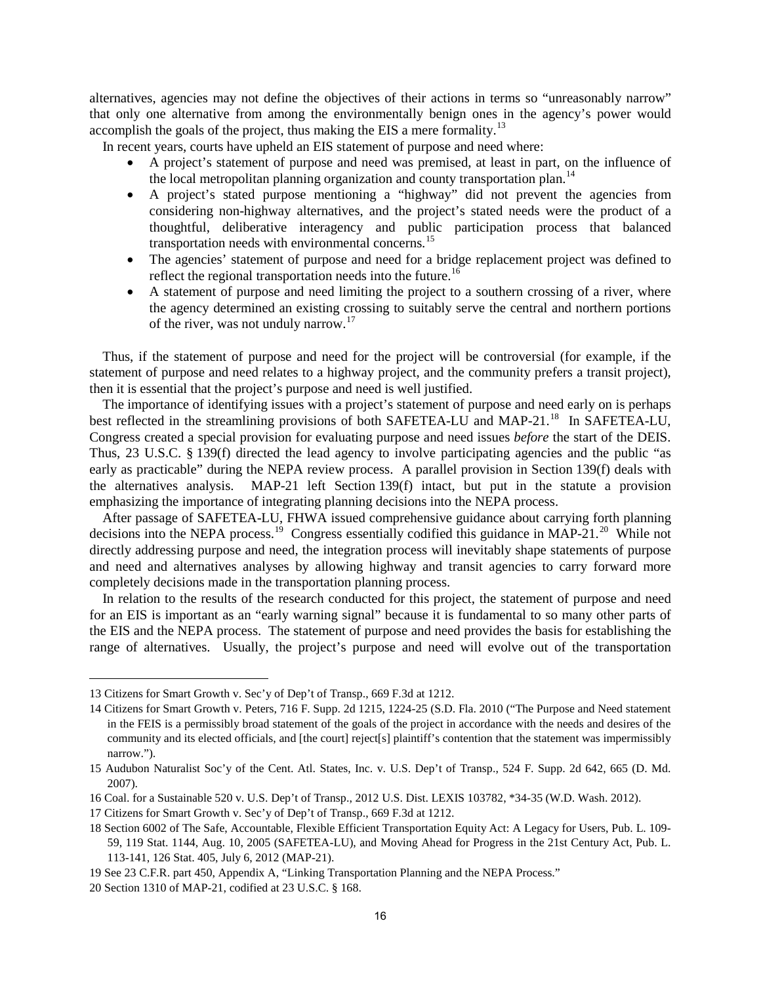alternatives, agencies may not define the objectives of their actions in terms so "unreasonably narrow" that only one alternative from among the environmentally benign ones in the agency's power would accomplish the goals of the project, thus making the EIS a mere formality.<sup>[13](#page-20-0)</sup>

In recent years, courts have upheld an EIS statement of purpose and need where:

- A project's statement of purpose and need was premised, at least in part, on the influence of the local metropolitan planning organization and county transportation plan.<sup>[14](#page-20-1)</sup>
- A project's stated purpose mentioning a "highway" did not prevent the agencies from considering non-highway alternatives, and the project's stated needs were the product of a thoughtful, deliberative interagency and public participation process that balanced transportation needs with environmental concerns.<sup>[15](#page-20-2)</sup>
- The agencies' statement of purpose and need for a bridge replacement project was defined to reflect the regional transportation needs into the future.<sup>[16](#page-20-3)</sup>
- A statement of purpose and need limiting the project to a southern crossing of a river, where the agency determined an existing crossing to suitably serve the central and northern portions of the river, was not unduly narrow.<sup>[17](#page-20-4)</sup>

Thus, if the statement of purpose and need for the project will be controversial (for example, if the statement of purpose and need relates to a highway project, and the community prefers a transit project), then it is essential that the project's purpose and need is well justified.

The importance of identifying issues with a project's statement of purpose and need early on is perhaps best reflected in the streamlining provisions of both SAFETEA-LU and MAP-21.<sup>18</sup> In SAFETEA-LU, Congress created a special provision for evaluating purpose and need issues *before* the start of the DEIS. Thus, 23 U.S.C. § 139(f) directed the lead agency to involve participating agencies and the public "as early as practicable" during the NEPA review process. A parallel provision in Section 139(f) deals with the alternatives analysis. MAP-21 left Section 139(f) intact, but put in the statute a provision emphasizing the importance of integrating planning decisions into the NEPA process.

After passage of SAFETEA-LU, FHWA issued comprehensive guidance about carrying forth planning decisions into the NEPA process.<sup>[19](#page-20-6)</sup> Congress essentially codified this guidance in MAP-21.<sup>20</sup> While not directly addressing purpose and need, the integration process will inevitably shape statements of purpose and need and alternatives analyses by allowing highway and transit agencies to carry forward more completely decisions made in the transportation planning process.

In relation to the results of the research conducted for this project, the statement of purpose and need for an EIS is important as an "early warning signal" because it is fundamental to so many other parts of the EIS and the NEPA process. The statement of purpose and need provides the basis for establishing the range of alternatives. Usually, the project's purpose and need will evolve out of the transportation

<span id="page-20-0"></span><sup>13</sup> Citizens for Smart Growth v. Sec'y of Dep't of Transp., 669 F.3d at 1212.

<span id="page-20-1"></span><sup>14</sup> Citizens for Smart Growth v. Peters, 716 F. Supp. 2d 1215, 1224-25 (S.D. Fla. 2010 ("The Purpose and Need statement in the FEIS is a permissibly broad statement of the goals of the project in accordance with the needs and desires of the community and its elected officials, and [the court] reject[s] plaintiff's contention that the statement was impermissibly narrow.").

<span id="page-20-2"></span><sup>15</sup> Audubon Naturalist Soc'y of the Cent. Atl. States, Inc. v. U.S. Dep't of Transp., 524 F. Supp. 2d 642, 665 (D. Md. 2007).

<span id="page-20-3"></span><sup>16</sup> Coal. for a Sustainable 520 v. U.S. Dep't of Transp., 2012 U.S. Dist. LEXIS 103782, \*34-35 (W.D. Wash. 2012).

<span id="page-20-4"></span><sup>17</sup> Citizens for Smart Growth v. Sec'y of Dep't of Transp., 669 F.3d at 1212.

<span id="page-20-5"></span><sup>18</sup> Section 6002 of The Safe, Accountable, Flexible Efficient Transportation Equity Act: A Legacy for Users, Pub. L. 109- 59, 119 Stat. 1144, Aug. 10, 2005 (SAFETEA-LU), and Moving Ahead for Progress in the 21st Century Act, Pub. L. 113-141, 126 Stat. 405, July 6, 2012 (MAP-21).

<span id="page-20-6"></span><sup>19</sup> See 23 C.F.R. part 450, Appendix A, "Linking Transportation Planning and the NEPA Process."

<span id="page-20-7"></span><sup>20</sup> Section 1310 of MAP-21, codified at 23 U.S.C. § 168.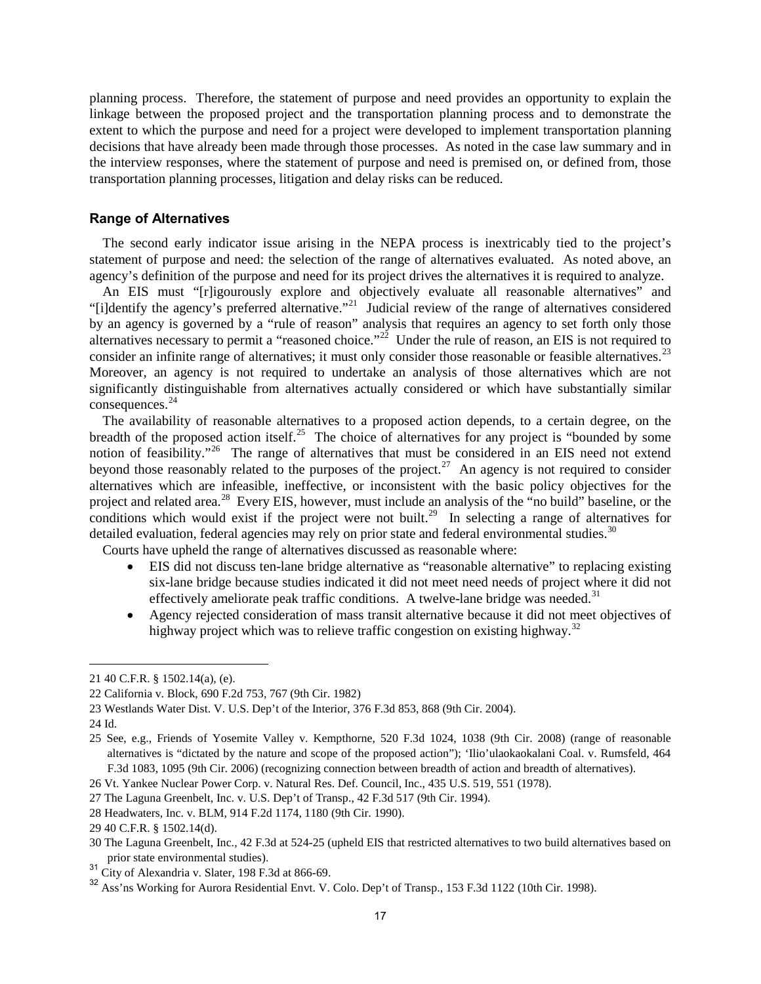planning process. Therefore, the statement of purpose and need provides an opportunity to explain the linkage between the proposed project and the transportation planning process and to demonstrate the extent to which the purpose and need for a project were developed to implement transportation planning decisions that have already been made through those processes. As noted in the case law summary and in the interview responses, where the statement of purpose and need is premised on, or defined from, those transportation planning processes, litigation and delay risks can be reduced.

#### **Range of Alternatives**

The second early indicator issue arising in the NEPA process is inextricably tied to the project's statement of purpose and need: the selection of the range of alternatives evaluated. As noted above, an agency's definition of the purpose and need for its project drives the alternatives it is required to analyze.

An EIS must "[r]igourously explore and objectively evaluate all reasonable alternatives" and "[i]dentify the agency's preferred alternative."[21](#page-21-0) Judicial review of the range of alternatives considered by an agency is governed by a "rule of reason" analysis that requires an agency to set forth only those alternatives necessary to permit a "reasoned choice."<sup>22</sup> Under the rule of reason, an EIS is not required to consider an infinite range of alternatives; it must only consider those reasonable or feasible alternatives.<sup>[23](#page-21-2)</sup> Moreover, an agency is not required to undertake an analysis of those alternatives which are not significantly distinguishable from alternatives actually considered or which have substantially similar consequences.<sup>[24](#page-21-3)</sup>

The availability of reasonable alternatives to a proposed action depends, to a certain degree, on the breadth of the proposed action itself.<sup>25</sup> The choice of alternatives for any project is "bounded by some notion of feasibility."<sup>[26](#page-21-5)</sup> The range of alternatives that must be considered in an EIS need not extend beyond those reasonably related to the purposes of the project.<sup>27</sup> An agency is not required to consider alternatives which are infeasible, ineffective, or inconsistent with the basic policy objectives for the project and related area.<sup>[28](#page-21-7)</sup> Every EIS, however, must include an analysis of the "no build" baseline, or the conditions which would exist if the project were not built.<sup>29</sup> In selecting a range of alternatives for detailed evaluation, federal agencies may rely on prior state and federal environmental studies.<sup>[30](#page-21-9)</sup>

Courts have upheld the range of alternatives discussed as reasonable where:

- EIS did not discuss ten-lane bridge alternative as "reasonable alternative" to replacing existing six-lane bridge because studies indicated it did not meet need needs of project where it did not effectively ameliorate peak traffic conditions. A twelve-lane bridge was needed.<sup>[31](#page-21-10)</sup>
- Agency rejected consideration of mass transit alternative because it did not meet objectives of highway project which was to relieve traffic congestion on existing highway.<sup>[32](#page-21-11)</sup>

<span id="page-21-0"></span><sup>21</sup> 40 C.F.R. § 1502.14(a), (e).

<span id="page-21-1"></span><sup>22</sup> California v. Block, 690 F.2d 753, 767 (9th Cir. 1982)

<span id="page-21-2"></span><sup>23</sup> Westlands Water Dist. V. U.S. Dep't of the Interior, 376 F.3d 853, 868 (9th Cir. 2004).

<span id="page-21-3"></span><sup>24</sup> Id.

<span id="page-21-4"></span><sup>25</sup> See, e.g., Friends of Yosemite Valley v. Kempthorne, 520 F.3d 1024, 1038 (9th Cir. 2008) (range of reasonable alternatives is "dictated by the nature and scope of the proposed action"); 'Ilio'ulaokaokalani Coal. v. Rumsfeld, 464 F.3d 1083, 1095 (9th Cir. 2006) (recognizing connection between breadth of action and breadth of alternatives).

<span id="page-21-5"></span><sup>26</sup> Vt. Yankee Nuclear Power Corp. v. Natural Res. Def. Council, Inc., 435 U.S. 519, 551 (1978).

<span id="page-21-6"></span><sup>27</sup> The Laguna Greenbelt, Inc. v. U.S. Dep't of Transp., 42 F.3d 517 (9th Cir. 1994).

<span id="page-21-7"></span><sup>28</sup> Headwaters, Inc. v. BLM, 914 F.2d 1174, 1180 (9th Cir. 1990).

<span id="page-21-8"></span><sup>29</sup> 40 C.F.R. § 1502.14(d).

<span id="page-21-9"></span><sup>30</sup> The Laguna Greenbelt, Inc., 42 F.3d at 524-25 (upheld EIS that restricted alternatives to two build alternatives based on prior state environmental studies).

<span id="page-21-10"></span><sup>&</sup>lt;sup>31</sup> City of Alexandria v. Slater, 198 F.3d at 866-69.

<span id="page-21-11"></span><sup>&</sup>lt;sup>32</sup> Ass'ns Working for Aurora Residential Envt. V. Colo. Dep't of Transp., 153 F.3d 1122 (10th Cir. 1998).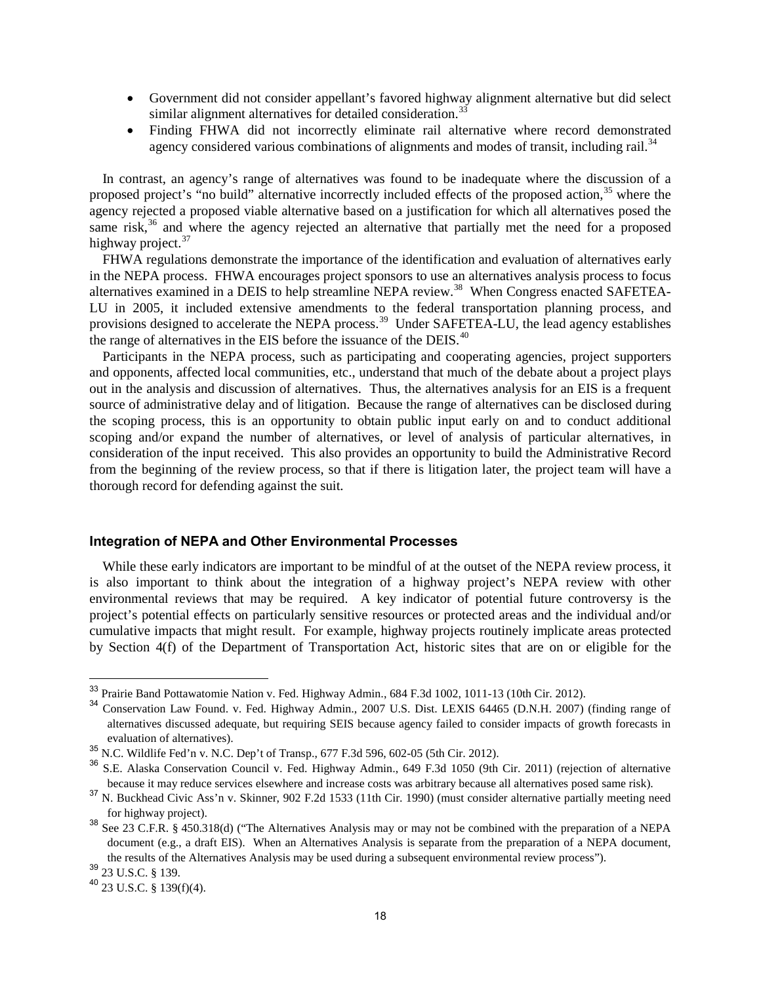- Government did not consider appellant's favored highway alignment alternative but did select similar alignment alternatives for detailed consideration.<sup>[33](#page-22-0)</sup>
- Finding FHWA did not incorrectly eliminate rail alternative where record demonstrated agency considered various combinations of alignments and modes of transit, including rail.<sup>[34](#page-22-1)</sup>

In contrast, an agency's range of alternatives was found to be inadequate where the discussion of a proposed project's "no build" alternative incorrectly included effects of the proposed action,<sup>[35](#page-22-2)</sup> where the agency rejected a proposed viable alternative based on a justification for which all alternatives posed the same risk,<sup>[36](#page-22-3)</sup> and where the agency rejected an alternative that partially met the need for a proposed highway project. $37$ 

FHWA regulations demonstrate the importance of the identification and evaluation of alternatives early in the NEPA process. FHWA encourages project sponsors to use an alternatives analysis process to focus alternatives examined in a DEIS to help streamline NEPA review.<sup>[38](#page-22-5)</sup> When Congress enacted SAFETEA-LU in 2005, it included extensive amendments to the federal transportation planning process, and provisions designed to accelerate the NEPA process.<sup>[39](#page-22-6)</sup> Under SAFETEA-LU, the lead agency establishes the range of alternatives in the EIS before the issuance of the DEIS. $40$ 

Participants in the NEPA process, such as participating and cooperating agencies, project supporters and opponents, affected local communities, etc., understand that much of the debate about a project plays out in the analysis and discussion of alternatives. Thus, the alternatives analysis for an EIS is a frequent source of administrative delay and of litigation. Because the range of alternatives can be disclosed during the scoping process, this is an opportunity to obtain public input early on and to conduct additional scoping and/or expand the number of alternatives, or level of analysis of particular alternatives, in consideration of the input received. This also provides an opportunity to build the Administrative Record from the beginning of the review process, so that if there is litigation later, the project team will have a thorough record for defending against the suit.

#### **Integration of NEPA and Other Environmental Processes**

While these early indicators are important to be mindful of at the outset of the NEPA review process, it is also important to think about the integration of a highway project's NEPA review with other environmental reviews that may be required. A key indicator of potential future controversy is the project's potential effects on particularly sensitive resources or protected areas and the individual and/or cumulative impacts that might result. For example, highway projects routinely implicate areas protected by Section 4(f) of the Department of Transportation Act, historic sites that are on or eligible for the

<span id="page-22-0"></span><sup>33</sup> Prairie Band Pottawatomie Nation v. Fed. Highway Admin., 684 F.3d 1002, 1011-13 (10th Cir. 2012).

<span id="page-22-1"></span><sup>34</sup> Conservation Law Found. v. Fed. Highway Admin., 2007 U.S. Dist. LEXIS 64465 (D.N.H. 2007) (finding range of alternatives discussed adequate, but requiring SEIS because agency failed to consider impacts of growth forecasts in evaluation of alternatives).

<span id="page-22-2"></span><sup>35</sup> N.C. Wildlife Fed'n v. N.C. Dep't of Transp., 677 F.3d 596, 602-05 (5th Cir. 2012).

<span id="page-22-3"></span><sup>36</sup> S.E. Alaska Conservation Council v. Fed. Highway Admin., 649 F.3d 1050 (9th Cir. 2011) (rejection of alternative because it may reduce services elsewhere and increase costs was arbitrary because all alternatives posed same risk).

<span id="page-22-4"></span><sup>&</sup>lt;sup>37</sup> N. Buckhead Civic Ass'n v. Skinner, 902 F.2d 1533 (11th Cir. 1990) (must consider alternative partially meeting need for highway project).

<span id="page-22-5"></span><sup>38</sup> See 23 C.F.R. § 450.318(d) ("The Alternatives Analysis may or may not be combined with the preparation of a NEPA document (e.g., a draft EIS). When an Alternatives Analysis is separate from the preparation of a NEPA document, the results of the Alternatives Analysis may be used during a subsequent environmental review process").

<span id="page-22-6"></span><sup>39</sup> 23 U.S.C. § 139.

<span id="page-22-7"></span> $40\,$  23 U.S.C. § 139(f)(4).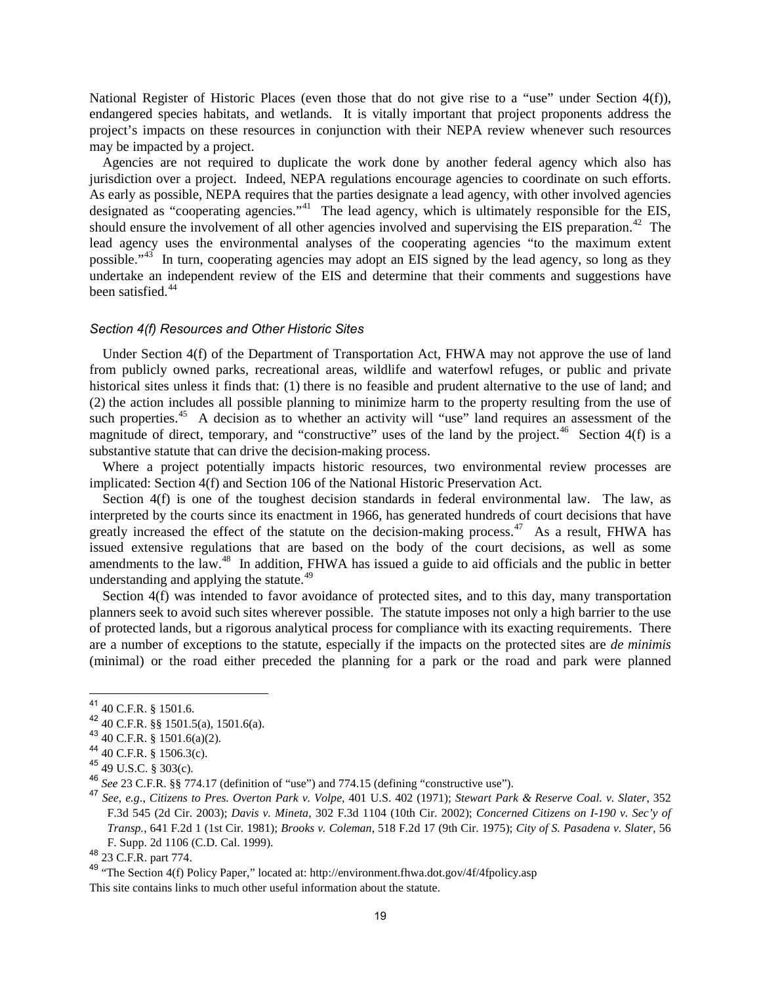National Register of Historic Places (even those that do not give rise to a "use" under Section 4(f)), endangered species habitats, and wetlands. It is vitally important that project proponents address the project's impacts on these resources in conjunction with their NEPA review whenever such resources may be impacted by a project.

Agencies are not required to duplicate the work done by another federal agency which also has jurisdiction over a project. Indeed, NEPA regulations encourage agencies to coordinate on such efforts. As early as possible, NEPA requires that the parties designate a lead agency, with other involved agencies designated as "cooperating agencies."<sup>[41](#page-23-0)</sup> The lead agency, which is ultimately responsible for the EIS, should ensure the involvement of all other agencies involved and supervising the EIS preparation.<sup>[42](#page-23-1)</sup> The lead agency uses the environmental analyses of the cooperating agencies "to the maximum extent possible."<sup>[43](#page-23-2)</sup> In turn, cooperating agencies may adopt an EIS signed by the lead agency, so long as they undertake an independent review of the EIS and determine that their comments and suggestions have been satisfied.<sup>[44](#page-23-3)</sup>

#### *Section 4(f) Resources and Other Historic Sites*

Under Section 4(f) of the Department of Transportation Act, FHWA may not approve the use of land from publicly owned parks, recreational areas, wildlife and waterfowl refuges, or public and private historical sites unless it finds that: (1) there is no feasible and prudent alternative to the use of land; and (2) the action includes all possible planning to minimize harm to the property resulting from the use of such properties.<sup>45</sup> A decision as to whether an activity will "use" land requires an assessment of the magnitude of direct, temporary, and "constructive" uses of the land by the project.<sup>46</sup> Section 4(f) is a substantive statute that can drive the decision-making process.

Where a project potentially impacts historic resources, two environmental review processes are implicated: Section 4(f) and Section 106 of the National Historic Preservation Act.

Section  $4(f)$  is one of the toughest decision standards in federal environmental law. The law, as interpreted by the courts since its enactment in 1966, has generated hundreds of court decisions that have greatly increased the effect of the statute on the decision-making process.<sup>47</sup> As a result, FHWA has issued extensive regulations that are based on the body of the court decisions, as well as some amendments to the law.[48](#page-23-7) In addition, FHWA has issued a guide to aid officials and the public in better understanding and applying the statute.<sup>[49](#page-23-8)</sup>

Section 4(f) was intended to favor avoidance of protected sites, and to this day, many transportation planners seek to avoid such sites wherever possible. The statute imposes not only a high barrier to the use of protected lands, but a rigorous analytical process for compliance with its exacting requirements. There are a number of exceptions to the statute, especially if the impacts on the protected sites are *de minimis*  (minimal) or the road either preceded the planning for a park or the road and park were planned

<span id="page-23-0"></span><sup>41</sup> 40 C.F.R. § 1501.6.

<span id="page-23-1"></span><sup>42 40</sup> C.F.R. §§ 1501.5(a), 1501.6(a).

<span id="page-23-2"></span><sup>43</sup> 40 C.F.R. § 1501.6(a)(2).

<span id="page-23-3"></span><sup>44</sup> 40 C.F.R. § 1506.3(c).

<span id="page-23-4"></span><sup>45</sup> 49 U.S.C. § 303(c).

<span id="page-23-5"></span><sup>46</sup> *See* 23 C.F.R. §§ 774.17 (definition of "use") and 774.15 (defining "constructive use").

<span id="page-23-6"></span><sup>47</sup> *See*, *e.g*., *Citizens to Pres. Overton Park v. Volpe*, 401 U.S. 402 (1971); *Stewart Park & Reserve Coal. v. Slater*, 352 F.3d 545 (2d Cir. 2003); *Davis v. Mineta*, 302 F.3d 1104 (10th Cir. 2002); *Concerned Citizens on I-190 v. Sec'y of Transp.*, 641 F.2d 1 (1st Cir. 1981); *Brooks v. Coleman*, 518 F.2d 17 (9th Cir. 1975); *City of S. Pasadena v. Slater*, 56 F. Supp. 2d 1106 (C.D. Cal. 1999).

<span id="page-23-7"></span><sup>48 23</sup> C.F.R. part 774.

<span id="page-23-8"></span><sup>49</sup> "The Section 4(f) Policy Paper," located at: http://environment.fhwa.dot.gov/4f/4fpolicy.asp This site contains links to much other useful information about the statute.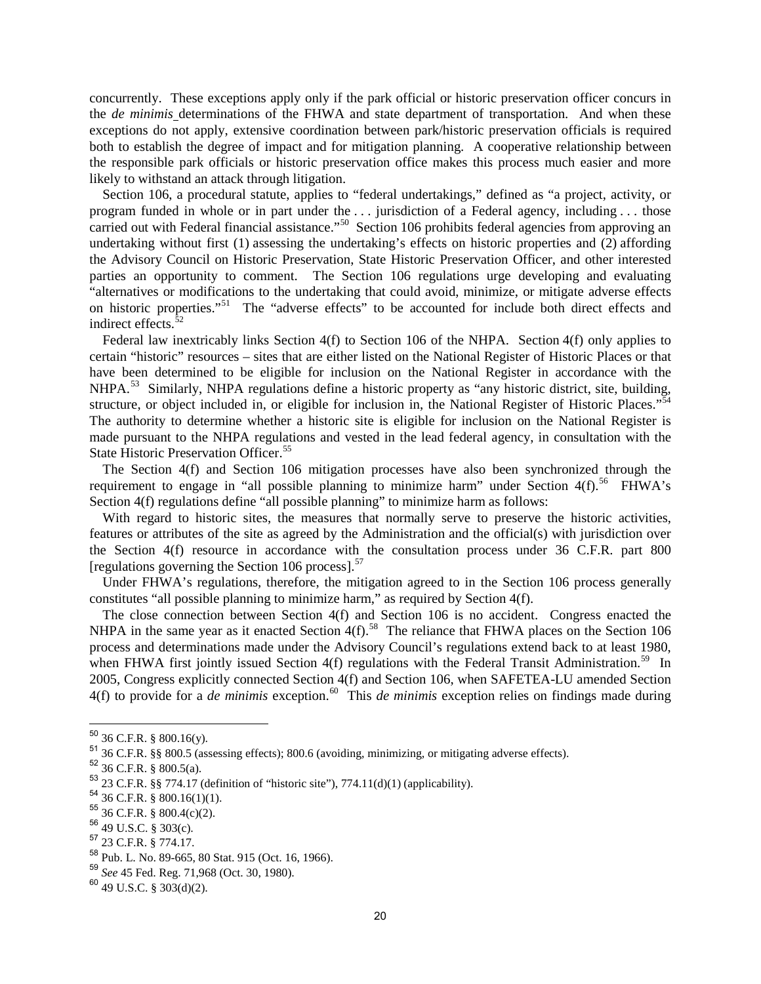concurrently. These exceptions apply only if the park official or historic preservation officer concurs in the *de minimis* determinations of the FHWA and state department of transportation. And when these exceptions do not apply, extensive coordination between park/historic preservation officials is required both to establish the degree of impact and for mitigation planning. A cooperative relationship between the responsible park officials or historic preservation office makes this process much easier and more likely to withstand an attack through litigation.

Section 106, a procedural statute, applies to "federal undertakings," defined as "a project, activity, or program funded in whole or in part under the . . . jurisdiction of a Federal agency, including . . . those carried out with Federal financial assistance."<sup>50</sup> Section 106 prohibits federal agencies from approving an undertaking without first (1) assessing the undertaking's effects on historic properties and (2) affording the Advisory Council on Historic Preservation, State Historic Preservation Officer, and other interested parties an opportunity to comment. The Section 106 regulations urge developing and evaluating "alternatives or modifications to the undertaking that could avoid, minimize, or mitigate adverse effects on historic properties."<sup>[51](#page-24-1)</sup> The "adverse effects" to be accounted for include both direct effects and indirect effects.<sup>[52](#page-24-2)</sup>

Federal law inextricably links Section 4(f) to Section 106 of the NHPA. Section 4(f) only applies to certain "historic" resources – sites that are either listed on the National Register of Historic Places or that have been determined to be eligible for inclusion on the National Register in accordance with the NHPA.<sup>[53](#page-24-3)</sup> Similarly, NHPA regulations define a historic property as "any historic district, site, building, structure, or object included in, or eligible for inclusion in, the National Register of Historic Places."[54](#page-24-4) The authority to determine whether a historic site is eligible for inclusion on the National Register is made pursuant to the NHPA regulations and vested in the lead federal agency, in consultation with the State Historic Preservation Officer.<sup>[55](#page-24-5)</sup>

The Section 4(f) and Section 106 mitigation processes have also been synchronized through the requirement to engage in "all possible planning to minimize harm" under Section  $4(f)$ .<sup>[56](#page-24-6)</sup> FHWA's Section 4(f) regulations define "all possible planning" to minimize harm as follows:

With regard to historic sites, the measures that normally serve to preserve the historic activities, features or attributes of the site as agreed by the Administration and the official(s) with jurisdiction over the Section 4(f) resource in accordance with the consultation process under 36 C.F.R. part 800 [regulations governing the Section 106 process]. $57$ 

Under FHWA's regulations, therefore, the mitigation agreed to in the Section 106 process generally constitutes "all possible planning to minimize harm," as required by Section 4(f).

The close connection between Section 4(f) and Section 106 is no accident. Congress enacted the NHPA in the same year as it enacted Section  $4(f)$ .<sup>[58](#page-24-8)</sup> The reliance that FHWA places on the Section 106 process and determinations made under the Advisory Council's regulations extend back to at least 1980, when FHWA first jointly issued Section 4(f) regulations with the Federal Transit Administration.<sup>59</sup> In 2005, Congress explicitly connected Section 4(f) and Section 106, when SAFETEA-LU amended Section 4(f) to provide for a *de minimis* exception.<sup>[60](#page-24-10)</sup> This *de minimis* exception relies on findings made during

 $50$  36 C.F.R. § 800.16(y).

<span id="page-24-1"></span><span id="page-24-0"></span><sup>51</sup> 36 C.F.R. §§ 800.5 (assessing effects); 800.6 (avoiding, minimizing, or mitigating adverse effects).

<span id="page-24-2"></span> $52\frac{36}{36}$  C.F.R. § 800.5(a).

<span id="page-24-3"></span> $53$  23 C.F.R. §§ 774.17 (definition of "historic site"), 774.11(d)(1) (applicability).

<span id="page-24-4"></span><sup>54</sup> 36 C.F.R. § 800.16(1)(1).

<sup>55</sup> 36 C.F.R. § 800.4(c)(2).

<span id="page-24-6"></span><span id="page-24-5"></span><sup>56</sup> 49 U.S.C. § 303(c).

<sup>57</sup> 23 C.F.R. § 774.17.

<span id="page-24-8"></span><span id="page-24-7"></span><sup>58</sup> Pub. L. No. 89-665, 80 Stat. 915 (Oct. 16, 1966).

<sup>59</sup> *See* 45 Fed. Reg. 71,968 (Oct. 30, 1980).

<span id="page-24-10"></span><span id="page-24-9"></span> $60$  49 U.S.C. § 303(d)(2).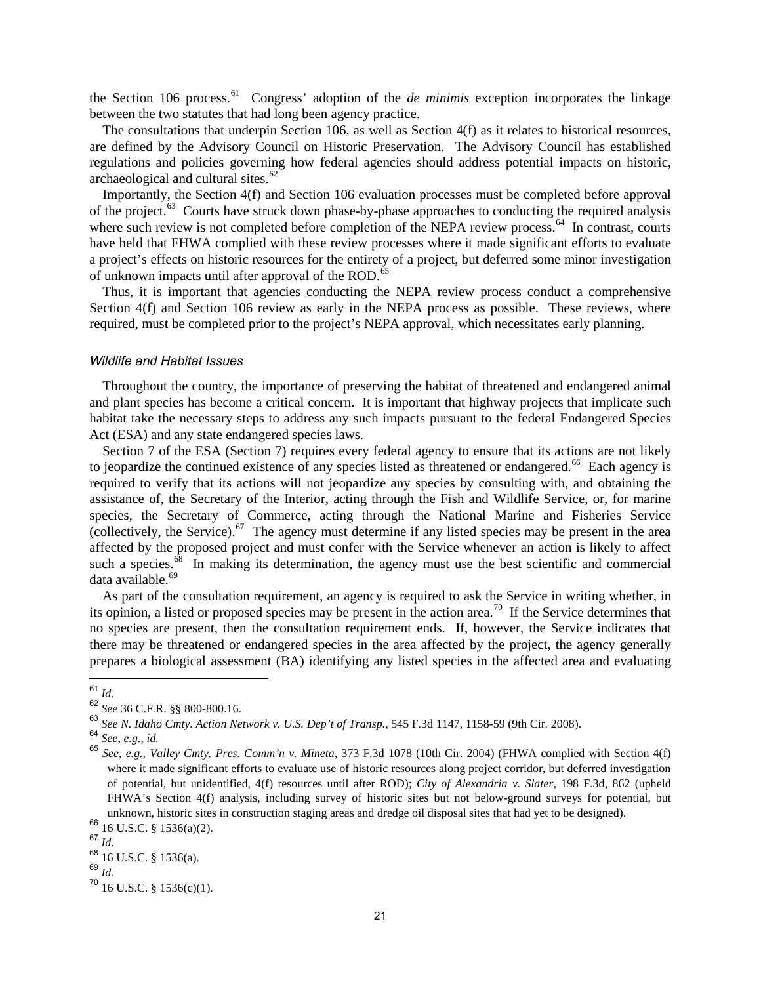the Section 106 process.<sup>61</sup> Congress' adoption of the *de minimis* exception incorporates the linkage between the two statutes that had long been agency practice.

The consultations that underpin Section 106, as well as Section 4(f) as it relates to historical resources, are defined by the Advisory Council on Historic Preservation. The Advisory Council has established regulations and policies governing how federal agencies should address potential impacts on historic, archaeological and cultural sites.<sup>[62](#page-25-1)</sup>

Importantly, the Section 4(f) and Section 106 evaluation processes must be completed before approval of the project.<sup>[63](#page-25-2)</sup> Courts have struck down phase-by-phase approaches to conducting the required analysis where such review is not completed before completion of the NEPA review process.<sup>[64](#page-25-3)</sup> In contrast, courts have held that FHWA complied with these review processes where it made significant efforts to evaluate a project's effects on historic resources for the entirety of a project, but deferred some minor investigation of unknown impacts until after approval of the ROD.<sup>[65](#page-25-4)</sup>

Thus, it is important that agencies conducting the NEPA review process conduct a comprehensive Section 4(f) and Section 106 review as early in the NEPA process as possible. These reviews, where required, must be completed prior to the project's NEPA approval, which necessitates early planning.

#### *Wildlife and Habitat Issues*

Throughout the country, the importance of preserving the habitat of threatened and endangered animal and plant species has become a critical concern. It is important that highway projects that implicate such habitat take the necessary steps to address any such impacts pursuant to the federal Endangered Species Act (ESA) and any state endangered species laws.

Section 7 of the ESA (Section 7) requires every federal agency to ensure that its actions are not likely to jeopardize the continued existence of any species listed as threatened or endangered.<sup>[66](#page-25-5)</sup> Each agency is required to verify that its actions will not jeopardize any species by consulting with, and obtaining the assistance of, the Secretary of the Interior, acting through the Fish and Wildlife Service, or, for marine species, the Secretary of Commerce, acting through the National Marine and Fisheries Service (collectively, the Service).<sup>67</sup> The agency must determine if any listed species may be present in the area affected by the proposed project and must confer with the Service whenever an action is likely to affect such a species.<sup>[68](#page-25-7)</sup> In making its determination, the agency must use the best scientific and commercial data available.<sup>[69](#page-25-8)</sup>

As part of the consultation requirement, an agency is required to ask the Service in writing whether, in its opinion, a listed or proposed species may be present in the action area.<sup>[70](#page-25-9)</sup> If the Service determines that no species are present, then the consultation requirement ends. If, however, the Service indicates that there may be threatened or endangered species in the area affected by the project, the agency generally prepares a biological assessment (BA) identifying any listed species in the affected area and evaluating

<span id="page-25-0"></span><sup>61</sup> *Id.*

<span id="page-25-1"></span><sup>62</sup> *See* 36 C.F.R. §§ 800-800.16.

<span id="page-25-2"></span><sup>63</sup> *See N. Idaho Cmty. Action Network v. U.S. Dep't of Transp.*, 545 F.3d 1147, 1158-59 (9th Cir. 2008).

<span id="page-25-3"></span><sup>64</sup> *See*, *e.g.*, *id.*

<span id="page-25-4"></span><sup>65</sup> *See*, *e.g.*, *Valley Cmty. Pres. Comm'n v. Mineta*, 373 F.3d 1078 (10th Cir. 2004) (FHWA complied with Section 4(f) where it made significant efforts to evaluate use of historic resources along project corridor, but deferred investigation of potential, but unidentified, 4(f) resources until after ROD); *City of Alexandria v. Slater*, 198 F.3d, 862 (upheld FHWA's Section 4(f) analysis, including survey of historic sites but not below-ground surveys for potential, but unknown, historic sites in construction staging areas and dredge oil disposal sites that had yet to be designed).

<span id="page-25-5"></span><sup>66</sup> 16 U.S.C. § 1536(a)(2).

<span id="page-25-6"></span><sup>67</sup> *Id.*

<span id="page-25-7"></span> $68$  16 U.S.C. § 1536(a).

<span id="page-25-8"></span><sup>69</sup> *Id.*

<span id="page-25-9"></span> $70$  16 U.S.C. § 1536(c)(1).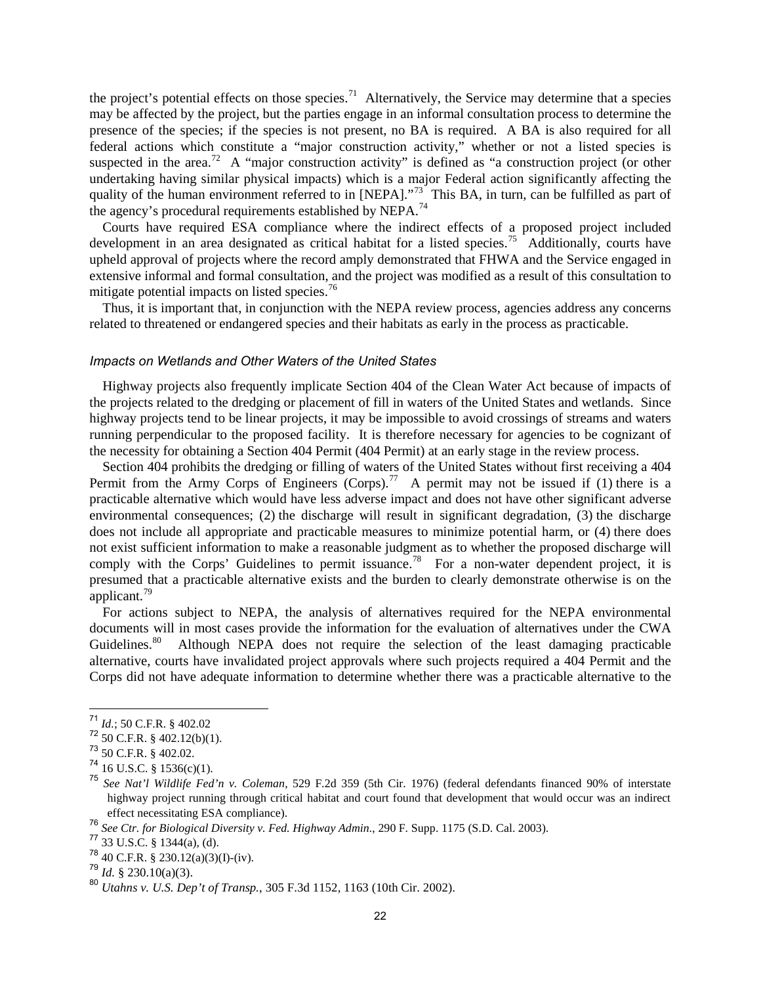the project's potential effects on those species.<sup>71</sup> Alternatively, the Service may determine that a species may be affected by the project, but the parties engage in an informal consultation process to determine the presence of the species; if the species is not present, no BA is required. A BA is also required for all federal actions which constitute a "major construction activity," whether or not a listed species is suspected in the area.<sup>[72](#page-26-1)</sup> A "major construction activity" is defined as "a construction project (or other undertaking having similar physical impacts) which is a major Federal action significantly affecting the quality of the human environment referred to in [NEPA]."<sup>[73](#page-26-2)</sup> This BA, in turn, can be fulfilled as part of the agency's procedural requirements established by NEPA.<sup>[74](#page-26-3)</sup>

Courts have required ESA compliance where the indirect effects of a proposed project included development in an area designated as critical habitat for a listed species.<sup>[75](#page-26-4)</sup> Additionally, courts have upheld approval of projects where the record amply demonstrated that FHWA and the Service engaged in extensive informal and formal consultation, and the project was modified as a result of this consultation to mitigate potential impacts on listed species.<sup>[76](#page-26-5)</sup>

Thus, it is important that, in conjunction with the NEPA review process, agencies address any concerns related to threatened or endangered species and their habitats as early in the process as practicable.

#### *Impacts on Wetlands and Other Waters of the United States*

Highway projects also frequently implicate Section 404 of the Clean Water Act because of impacts of the projects related to the dredging or placement of fill in waters of the United States and wetlands. Since highway projects tend to be linear projects, it may be impossible to avoid crossings of streams and waters running perpendicular to the proposed facility. It is therefore necessary for agencies to be cognizant of the necessity for obtaining a Section 404 Permit (404 Permit) at an early stage in the review process.

Section 404 prohibits the dredging or filling of waters of the United States without first receiving a 404 Permit from the Army Corps of Engineers (Corps).<sup>[77](#page-26-6)</sup> A permit may not be issued if (1) there is a practicable alternative which would have less adverse impact and does not have other significant adverse environmental consequences; (2) the discharge will result in significant degradation, (3) the discharge does not include all appropriate and practicable measures to minimize potential harm, or (4) there does not exist sufficient information to make a reasonable judgment as to whether the proposed discharge will comply with the Corps' Guidelines to permit issuance.<sup>[78](#page-26-7)</sup> For a non-water dependent project, it is presumed that a practicable alternative exists and the burden to clearly demonstrate otherwise is on the applicant.[79](#page-26-8)

For actions subject to NEPA, the analysis of alternatives required for the NEPA environmental documents will in most cases provide the information for the evaluation of alternatives under the CWA Guidelines.<sup>80</sup> Although NEPA does not require the selection of the least damaging practicable alternative, courts have invalidated project approvals where such projects required a 404 Permit and the Corps did not have adequate information to determine whether there was a practicable alternative to the

<span id="page-26-0"></span><sup>71</sup> *Id.*; 50 C.F.R. § 402.02

<span id="page-26-1"></span> $72$  50 C.F.R. § 402.12(b)(1).

<span id="page-26-2"></span><sup>73</sup> 50 C.F.R. § 402.02.

<span id="page-26-3"></span> $74$  16 U.S.C. § 1536(c)(1).

<span id="page-26-4"></span><sup>75</sup> *See Nat'l Wildlife Fed'n v. Coleman*, 529 F.2d 359 (5th Cir. 1976) (federal defendants financed 90% of interstate highway project running through critical habitat and court found that development that would occur was an indirect effect necessitating ESA compliance).

<span id="page-26-5"></span><sup>76</sup> *See Ctr. for Biological Diversity v. Fed. Highway Admin.*, 290 F. Supp. 1175 (S.D. Cal. 2003).

<span id="page-26-6"></span> $77 \overline{)33 \text{ U.S.C. } }$  \$ 1344(a), (d).

<span id="page-26-7"></span> $^{78}$  40 C.F.R. § 230.12(a)(3)(I)-(iv).

 $^{79}$  *Id.* § 230.10(a)(3).

<span id="page-26-9"></span><span id="page-26-8"></span><sup>80</sup> *Utahns v. U.S. Dep't of Transp.*, 305 F.3d 1152, 1163 (10th Cir. 2002).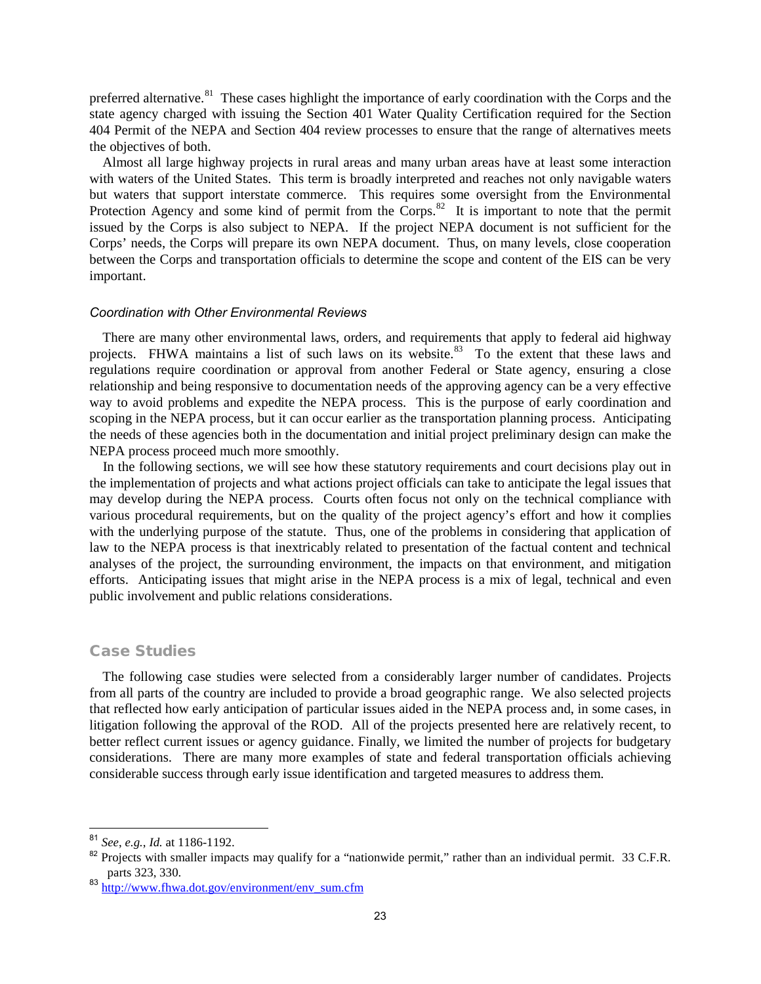preferred alternative.<sup>81</sup> These cases highlight the importance of early coordination with the Corps and the state agency charged with issuing the Section 401 Water Quality Certification required for the Section 404 Permit of the NEPA and Section 404 review processes to ensure that the range of alternatives meets the objectives of both.

Almost all large highway projects in rural areas and many urban areas have at least some interaction with waters of the United States. This term is broadly interpreted and reaches not only navigable waters but waters that support interstate commerce. This requires some oversight from the Environmental Protection Agency and some kind of permit from the Corps.<sup>[82](#page-27-1)</sup> It is important to note that the permit issued by the Corps is also subject to NEPA. If the project NEPA document is not sufficient for the Corps' needs, the Corps will prepare its own NEPA document. Thus, on many levels, close cooperation between the Corps and transportation officials to determine the scope and content of the EIS can be very important.

#### *Coordination with Other Environmental Reviews*

There are many other environmental laws, orders, and requirements that apply to federal aid highway projects. FHWA maintains a list of such laws on its website.<sup>[83](#page-27-2)</sup> To the extent that these laws and regulations require coordination or approval from another Federal or State agency, ensuring a close relationship and being responsive to documentation needs of the approving agency can be a very effective way to avoid problems and expedite the NEPA process. This is the purpose of early coordination and scoping in the NEPA process, but it can occur earlier as the transportation planning process. Anticipating the needs of these agencies both in the documentation and initial project preliminary design can make the NEPA process proceed much more smoothly.

In the following sections, we will see how these statutory requirements and court decisions play out in the implementation of projects and what actions project officials can take to anticipate the legal issues that may develop during the NEPA process. Courts often focus not only on the technical compliance with various procedural requirements, but on the quality of the project agency's effort and how it complies with the underlying purpose of the statute. Thus, one of the problems in considering that application of law to the NEPA process is that inextricably related to presentation of the factual content and technical analyses of the project, the surrounding environment, the impacts on that environment, and mitigation efforts. Anticipating issues that might arise in the NEPA process is a mix of legal, technical and even public involvement and public relations considerations.

#### Case Studies

The following case studies were selected from a considerably larger number of candidates. Projects from all parts of the country are included to provide a broad geographic range. We also selected projects that reflected how early anticipation of particular issues aided in the NEPA process and, in some cases, in litigation following the approval of the ROD. All of the projects presented here are relatively recent, to better reflect current issues or agency guidance. Finally, we limited the number of projects for budgetary considerations. There are many more examples of state and federal transportation officials achieving considerable success through early issue identification and targeted measures to address them.

<span id="page-27-0"></span><sup>81</sup> *See*, *e.g.*, *Id.* at 1186-1192.

<span id="page-27-1"></span><sup>&</sup>lt;sup>82</sup> Projects with smaller impacts may qualify for a "nationwide permit," rather than an individual permit. 33 C.F.R. parts 323, 330.

<span id="page-27-2"></span><sup>&</sup>lt;sup>83</sup> [http://www.fhwa.dot.gov/environment/env\\_sum.cfm](http://www.fhwa.dot.gov/environment/env_sum.cfm)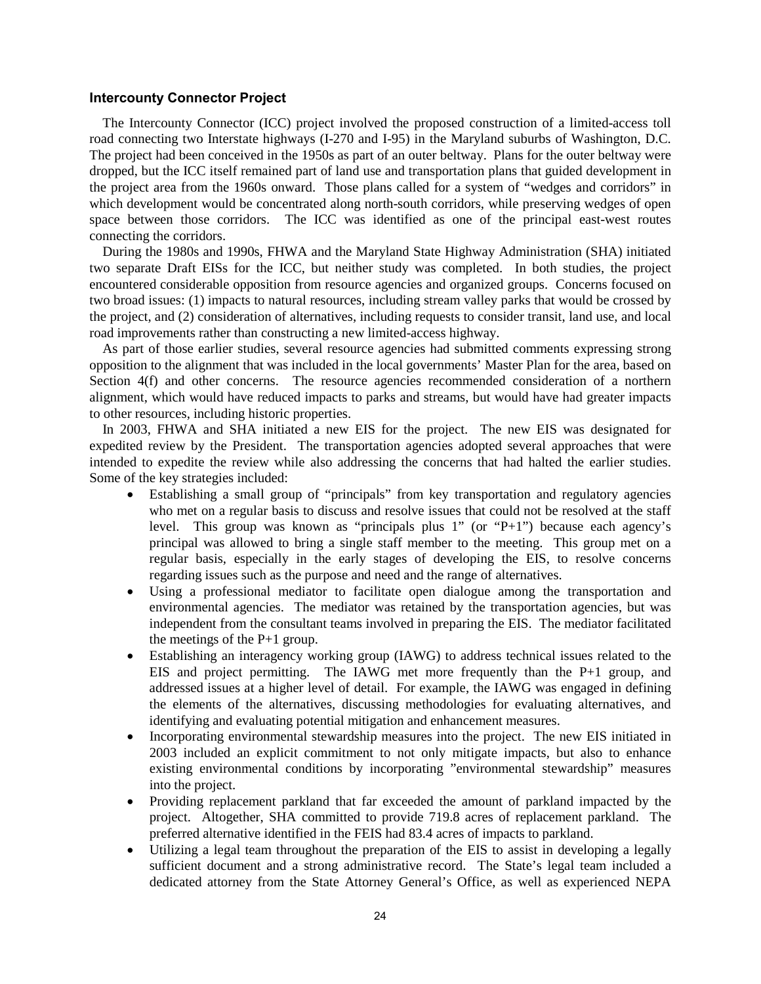#### **Intercounty Connector Project**

The Intercounty Connector (ICC) project involved the proposed construction of a limited-access toll road connecting two Interstate highways (I-270 and I-95) in the Maryland suburbs of Washington, D.C. The project had been conceived in the 1950s as part of an outer beltway. Plans for the outer beltway were dropped, but the ICC itself remained part of land use and transportation plans that guided development in the project area from the 1960s onward. Those plans called for a system of "wedges and corridors" in which development would be concentrated along north-south corridors, while preserving wedges of open space between those corridors. The ICC was identified as one of the principal east-west routes connecting the corridors.

During the 1980s and 1990s, FHWA and the Maryland State Highway Administration (SHA) initiated two separate Draft EISs for the ICC, but neither study was completed. In both studies, the project encountered considerable opposition from resource agencies and organized groups. Concerns focused on two broad issues: (1) impacts to natural resources, including stream valley parks that would be crossed by the project, and (2) consideration of alternatives, including requests to consider transit, land use, and local road improvements rather than constructing a new limited-access highway.

As part of those earlier studies, several resource agencies had submitted comments expressing strong opposition to the alignment that was included in the local governments' Master Plan for the area, based on Section 4(f) and other concerns. The resource agencies recommended consideration of a northern alignment, which would have reduced impacts to parks and streams, but would have had greater impacts to other resources, including historic properties.

In 2003, FHWA and SHA initiated a new EIS for the project. The new EIS was designated for expedited review by the President. The transportation agencies adopted several approaches that were intended to expedite the review while also addressing the concerns that had halted the earlier studies. Some of the key strategies included:

- Establishing a small group of "principals" from key transportation and regulatory agencies who met on a regular basis to discuss and resolve issues that could not be resolved at the staff level. This group was known as "principals plus 1" (or "P+1") because each agency's principal was allowed to bring a single staff member to the meeting. This group met on a regular basis, especially in the early stages of developing the EIS, to resolve concerns regarding issues such as the purpose and need and the range of alternatives.
- Using a professional mediator to facilitate open dialogue among the transportation and environmental agencies. The mediator was retained by the transportation agencies, but was independent from the consultant teams involved in preparing the EIS. The mediator facilitated the meetings of the P+1 group.
- Establishing an interagency working group (IAWG) to address technical issues related to the EIS and project permitting. The IAWG met more frequently than the P+1 group, and addressed issues at a higher level of detail. For example, the IAWG was engaged in defining the elements of the alternatives, discussing methodologies for evaluating alternatives, and identifying and evaluating potential mitigation and enhancement measures.
- Incorporating environmental stewardship measures into the project. The new EIS initiated in 2003 included an explicit commitment to not only mitigate impacts, but also to enhance existing environmental conditions by incorporating "environmental stewardship" measures into the project.
- Providing replacement parkland that far exceeded the amount of parkland impacted by the project. Altogether, SHA committed to provide 719.8 acres of replacement parkland. The preferred alternative identified in the FEIS had 83.4 acres of impacts to parkland.
- Utilizing a legal team throughout the preparation of the EIS to assist in developing a legally sufficient document and a strong administrative record. The State's legal team included a dedicated attorney from the State Attorney General's Office, as well as experienced NEPA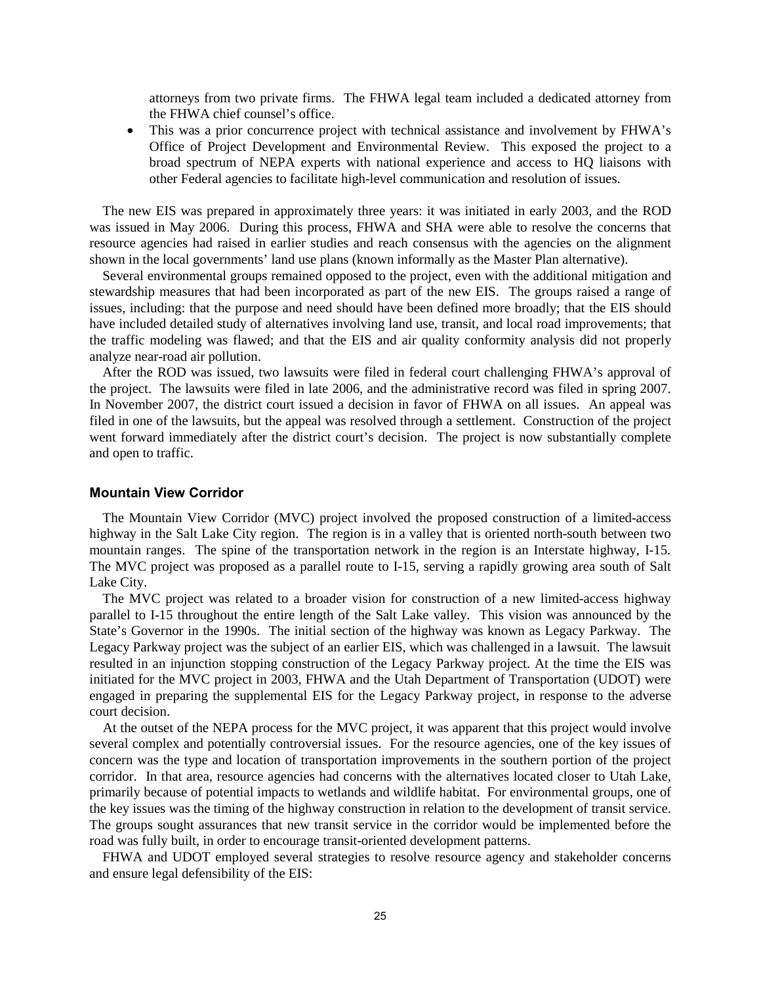attorneys from two private firms. The FHWA legal team included a dedicated attorney from the FHWA chief counsel's office.

• This was a prior concurrence project with technical assistance and involvement by FHWA's Office of Project Development and Environmental Review. This exposed the project to a broad spectrum of NEPA experts with national experience and access to HQ liaisons with other Federal agencies to facilitate high-level communication and resolution of issues.

The new EIS was prepared in approximately three years: it was initiated in early 2003, and the ROD was issued in May 2006. During this process, FHWA and SHA were able to resolve the concerns that resource agencies had raised in earlier studies and reach consensus with the agencies on the alignment shown in the local governments' land use plans (known informally as the Master Plan alternative).

Several environmental groups remained opposed to the project, even with the additional mitigation and stewardship measures that had been incorporated as part of the new EIS. The groups raised a range of issues, including: that the purpose and need should have been defined more broadly; that the EIS should have included detailed study of alternatives involving land use, transit, and local road improvements; that the traffic modeling was flawed; and that the EIS and air quality conformity analysis did not properly analyze near-road air pollution.

After the ROD was issued, two lawsuits were filed in federal court challenging FHWA's approval of the project. The lawsuits were filed in late 2006, and the administrative record was filed in spring 2007. In November 2007, the district court issued a decision in favor of FHWA on all issues. An appeal was filed in one of the lawsuits, but the appeal was resolved through a settlement. Construction of the project went forward immediately after the district court's decision. The project is now substantially complete and open to traffic.

#### **Mountain View Corridor**

The Mountain View Corridor (MVC) project involved the proposed construction of a limited-access highway in the Salt Lake City region. The region is in a valley that is oriented north-south between two mountain ranges. The spine of the transportation network in the region is an Interstate highway, I-15. The MVC project was proposed as a parallel route to I-15, serving a rapidly growing area south of Salt Lake City.

The MVC project was related to a broader vision for construction of a new limited-access highway parallel to I-15 throughout the entire length of the Salt Lake valley. This vision was announced by the State's Governor in the 1990s. The initial section of the highway was known as Legacy Parkway. The Legacy Parkway project was the subject of an earlier EIS, which was challenged in a lawsuit. The lawsuit resulted in an injunction stopping construction of the Legacy Parkway project. At the time the EIS was initiated for the MVC project in 2003, FHWA and the Utah Department of Transportation (UDOT) were engaged in preparing the supplemental EIS for the Legacy Parkway project, in response to the adverse court decision.

At the outset of the NEPA process for the MVC project, it was apparent that this project would involve several complex and potentially controversial issues. For the resource agencies, one of the key issues of concern was the type and location of transportation improvements in the southern portion of the project corridor. In that area, resource agencies had concerns with the alternatives located closer to Utah Lake, primarily because of potential impacts to wetlands and wildlife habitat. For environmental groups, one of the key issues was the timing of the highway construction in relation to the development of transit service. The groups sought assurances that new transit service in the corridor would be implemented before the road was fully built, in order to encourage transit-oriented development patterns.

FHWA and UDOT employed several strategies to resolve resource agency and stakeholder concerns and ensure legal defensibility of the EIS: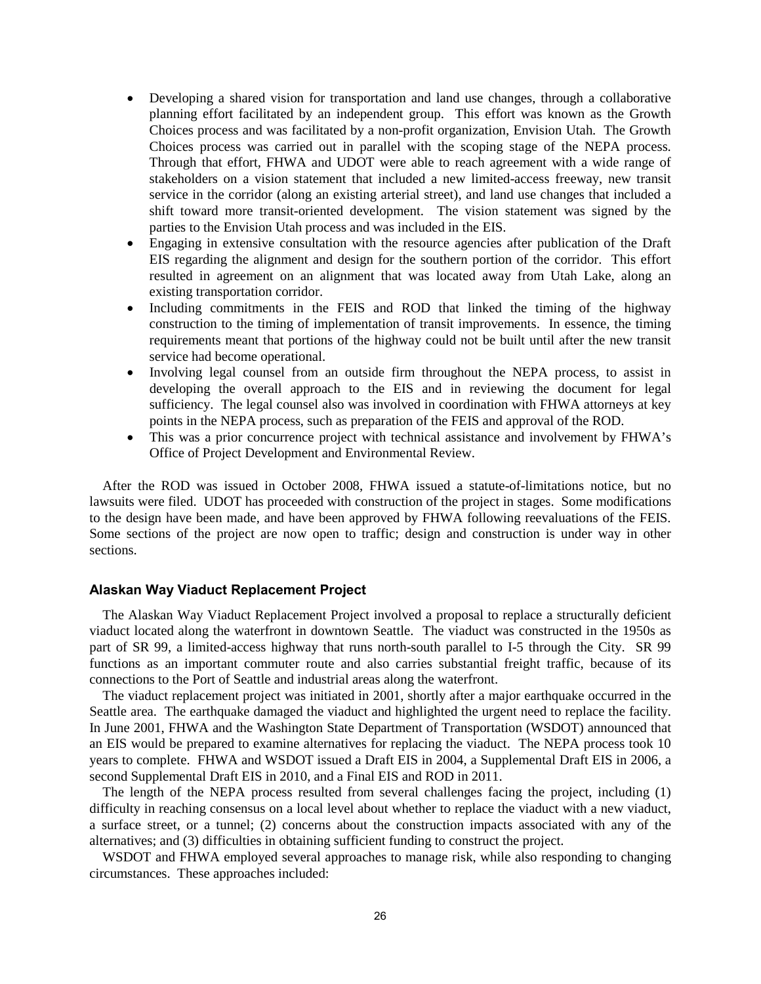- Developing a shared vision for transportation and land use changes, through a collaborative planning effort facilitated by an independent group. This effort was known as the Growth Choices process and was facilitated by a non-profit organization, Envision Utah. The Growth Choices process was carried out in parallel with the scoping stage of the NEPA process. Through that effort, FHWA and UDOT were able to reach agreement with a wide range of stakeholders on a vision statement that included a new limited-access freeway, new transit service in the corridor (along an existing arterial street), and land use changes that included a shift toward more transit-oriented development. The vision statement was signed by the parties to the Envision Utah process and was included in the EIS.
- Engaging in extensive consultation with the resource agencies after publication of the Draft EIS regarding the alignment and design for the southern portion of the corridor. This effort resulted in agreement on an alignment that was located away from Utah Lake, along an existing transportation corridor.
- Including commitments in the FEIS and ROD that linked the timing of the highway construction to the timing of implementation of transit improvements. In essence, the timing requirements meant that portions of the highway could not be built until after the new transit service had become operational.
- Involving legal counsel from an outside firm throughout the NEPA process, to assist in developing the overall approach to the EIS and in reviewing the document for legal sufficiency. The legal counsel also was involved in coordination with FHWA attorneys at key points in the NEPA process, such as preparation of the FEIS and approval of the ROD.
- This was a prior concurrence project with technical assistance and involvement by FHWA's Office of Project Development and Environmental Review.

After the ROD was issued in October 2008, FHWA issued a statute-of-limitations notice, but no lawsuits were filed. UDOT has proceeded with construction of the project in stages. Some modifications to the design have been made, and have been approved by FHWA following reevaluations of the FEIS. Some sections of the project are now open to traffic; design and construction is under way in other sections.

#### **Alaskan Way Viaduct Replacement Project**

The Alaskan Way Viaduct Replacement Project involved a proposal to replace a structurally deficient viaduct located along the waterfront in downtown Seattle. The viaduct was constructed in the 1950s as part of SR 99, a limited-access highway that runs north-south parallel to I-5 through the City. SR 99 functions as an important commuter route and also carries substantial freight traffic, because of its connections to the Port of Seattle and industrial areas along the waterfront.

The viaduct replacement project was initiated in 2001, shortly after a major earthquake occurred in the Seattle area. The earthquake damaged the viaduct and highlighted the urgent need to replace the facility. In June 2001, FHWA and the Washington State Department of Transportation (WSDOT) announced that an EIS would be prepared to examine alternatives for replacing the viaduct. The NEPA process took 10 years to complete. FHWA and WSDOT issued a Draft EIS in 2004, a Supplemental Draft EIS in 2006, a second Supplemental Draft EIS in 2010, and a Final EIS and ROD in 2011.

The length of the NEPA process resulted from several challenges facing the project, including (1) difficulty in reaching consensus on a local level about whether to replace the viaduct with a new viaduct, a surface street, or a tunnel; (2) concerns about the construction impacts associated with any of the alternatives; and (3) difficulties in obtaining sufficient funding to construct the project.

WSDOT and FHWA employed several approaches to manage risk, while also responding to changing circumstances. These approaches included: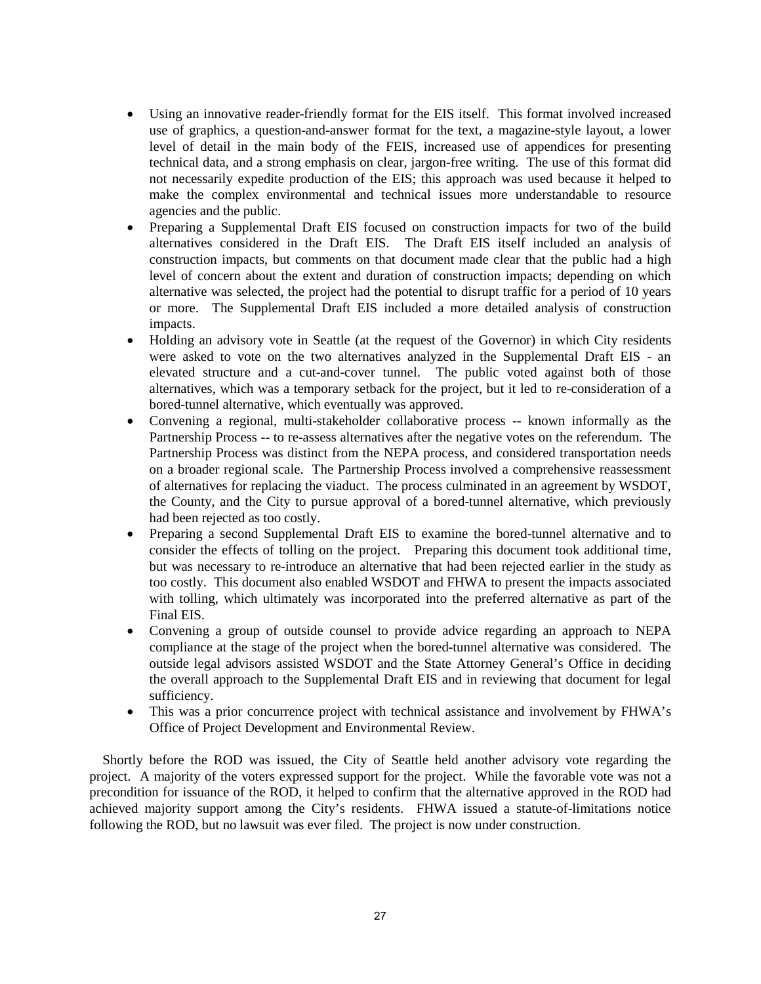- Using an innovative reader-friendly format for the EIS itself. This format involved increased use of graphics, a question-and-answer format for the text, a magazine-style layout, a lower level of detail in the main body of the FEIS, increased use of appendices for presenting technical data, and a strong emphasis on clear, jargon-free writing. The use of this format did not necessarily expedite production of the EIS; this approach was used because it helped to make the complex environmental and technical issues more understandable to resource agencies and the public.
- Preparing a Supplemental Draft EIS focused on construction impacts for two of the build alternatives considered in the Draft EIS. The Draft EIS itself included an analysis of construction impacts, but comments on that document made clear that the public had a high level of concern about the extent and duration of construction impacts; depending on which alternative was selected, the project had the potential to disrupt traffic for a period of 10 years or more. The Supplemental Draft EIS included a more detailed analysis of construction impacts.
- Holding an advisory vote in Seattle (at the request of the Governor) in which City residents were asked to vote on the two alternatives analyzed in the Supplemental Draft EIS - an elevated structure and a cut-and-cover tunnel. The public voted against both of those alternatives, which was a temporary setback for the project, but it led to re-consideration of a bored-tunnel alternative, which eventually was approved.
- Convening a regional, multi-stakeholder collaborative process -- known informally as the Partnership Process -- to re-assess alternatives after the negative votes on the referendum. The Partnership Process was distinct from the NEPA process, and considered transportation needs on a broader regional scale. The Partnership Process involved a comprehensive reassessment of alternatives for replacing the viaduct. The process culminated in an agreement by WSDOT, the County, and the City to pursue approval of a bored-tunnel alternative, which previously had been rejected as too costly.
- Preparing a second Supplemental Draft EIS to examine the bored-tunnel alternative and to consider the effects of tolling on the project. Preparing this document took additional time, but was necessary to re-introduce an alternative that had been rejected earlier in the study as too costly. This document also enabled WSDOT and FHWA to present the impacts associated with tolling, which ultimately was incorporated into the preferred alternative as part of the Final EIS.
- Convening a group of outside counsel to provide advice regarding an approach to NEPA compliance at the stage of the project when the bored-tunnel alternative was considered. The outside legal advisors assisted WSDOT and the State Attorney General's Office in deciding the overall approach to the Supplemental Draft EIS and in reviewing that document for legal sufficiency.
- This was a prior concurrence project with technical assistance and involvement by FHWA's Office of Project Development and Environmental Review.

Shortly before the ROD was issued, the City of Seattle held another advisory vote regarding the project. A majority of the voters expressed support for the project. While the favorable vote was not a precondition for issuance of the ROD, it helped to confirm that the alternative approved in the ROD had achieved majority support among the City's residents. FHWA issued a statute-of-limitations notice following the ROD, but no lawsuit was ever filed. The project is now under construction.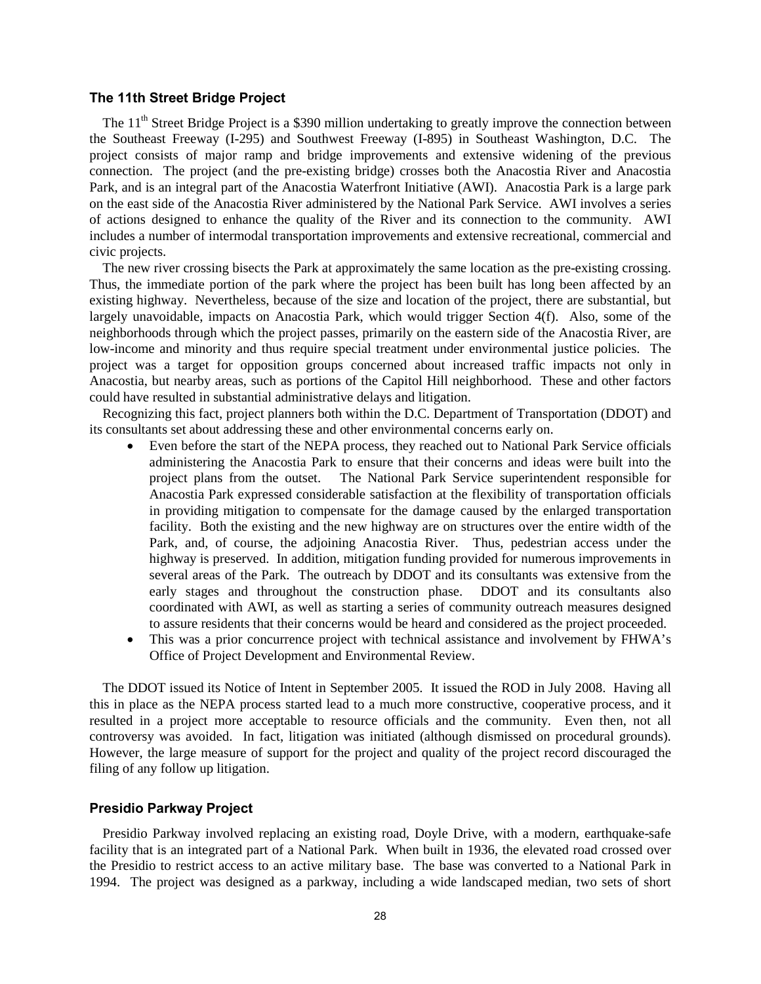#### **The 11th Street Bridge Project**

The 11<sup>th</sup> Street Bridge Project is a \$390 million undertaking to greatly improve the connection between the Southeast Freeway (I-295) and Southwest Freeway (I-895) in Southeast Washington, D.C. The project consists of major ramp and bridge improvements and extensive widening of the previous connection. The project (and the pre-existing bridge) crosses both the Anacostia River and Anacostia Park, and is an integral part of the Anacostia Waterfront Initiative (AWI). Anacostia Park is a large park on the east side of the Anacostia River administered by the National Park Service. AWI involves a series of actions designed to enhance the quality of the River and its connection to the community. AWI includes a number of intermodal transportation improvements and extensive recreational, commercial and civic projects.

The new river crossing bisects the Park at approximately the same location as the pre-existing crossing. Thus, the immediate portion of the park where the project has been built has long been affected by an existing highway. Nevertheless, because of the size and location of the project, there are substantial, but largely unavoidable, impacts on Anacostia Park, which would trigger Section 4(f). Also, some of the neighborhoods through which the project passes, primarily on the eastern side of the Anacostia River, are low-income and minority and thus require special treatment under environmental justice policies. The project was a target for opposition groups concerned about increased traffic impacts not only in Anacostia, but nearby areas, such as portions of the Capitol Hill neighborhood. These and other factors could have resulted in substantial administrative delays and litigation.

Recognizing this fact, project planners both within the D.C. Department of Transportation (DDOT) and its consultants set about addressing these and other environmental concerns early on.

- Even before the start of the NEPA process, they reached out to National Park Service officials administering the Anacostia Park to ensure that their concerns and ideas were built into the project plans from the outset. The National Park Service superintendent responsible for Anacostia Park expressed considerable satisfaction at the flexibility of transportation officials in providing mitigation to compensate for the damage caused by the enlarged transportation facility. Both the existing and the new highway are on structures over the entire width of the Park, and, of course, the adjoining Anacostia River. Thus, pedestrian access under the highway is preserved. In addition, mitigation funding provided for numerous improvements in several areas of the Park. The outreach by DDOT and its consultants was extensive from the early stages and throughout the construction phase. DDOT and its consultants also coordinated with AWI, as well as starting a series of community outreach measures designed to assure residents that their concerns would be heard and considered as the project proceeded.
- This was a prior concurrence project with technical assistance and involvement by FHWA's Office of Project Development and Environmental Review.

The DDOT issued its Notice of Intent in September 2005. It issued the ROD in July 2008. Having all this in place as the NEPA process started lead to a much more constructive, cooperative process, and it resulted in a project more acceptable to resource officials and the community. Even then, not all controversy was avoided. In fact, litigation was initiated (although dismissed on procedural grounds). However, the large measure of support for the project and quality of the project record discouraged the filing of any follow up litigation.

#### **Presidio Parkway Project**

Presidio Parkway involved replacing an existing road, Doyle Drive, with a modern, earthquake-safe facility that is an integrated part of a National Park. When built in 1936, the elevated road crossed over the Presidio to restrict access to an active military base. The base was converted to a National Park in 1994. The project was designed as a parkway, including a wide landscaped median, two sets of short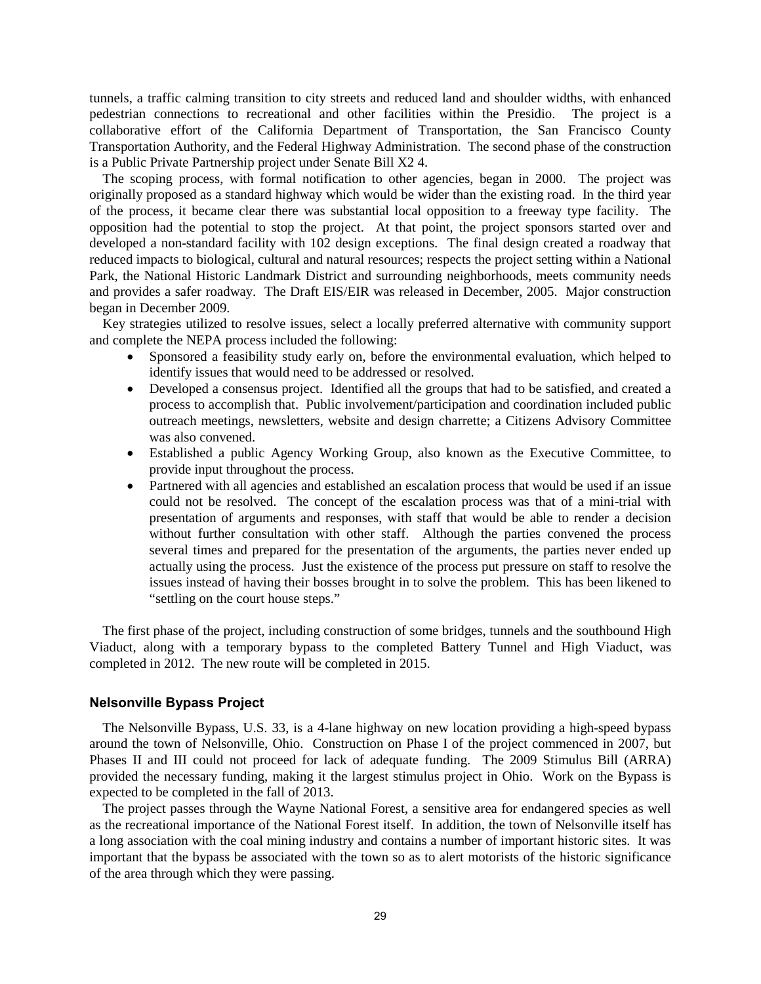tunnels, a traffic calming transition to city streets and reduced land and shoulder widths, with enhanced pedestrian connections to recreational and other facilities within the Presidio. The project is a collaborative effort of the California Department of Transportation, the San Francisco County Transportation Authority, and the Federal Highway Administration. The second phase of the construction is a Public Private Partnership project under Senate Bill X2 4.

The scoping process, with formal notification to other agencies, began in 2000. The project was originally proposed as a standard highway which would be wider than the existing road. In the third year of the process, it became clear there was substantial local opposition to a freeway type facility. The opposition had the potential to stop the project. At that point, the project sponsors started over and developed a non-standard facility with 102 design exceptions. The final design created a roadway that reduced impacts to biological, cultural and natural resources; respects the project setting within a National Park, the National Historic Landmark District and surrounding neighborhoods, meets community needs and provides a safer roadway. The Draft EIS/EIR was released in December, 2005. Major construction began in December 2009.

Key strategies utilized to resolve issues, select a locally preferred alternative with community support and complete the NEPA process included the following:

- Sponsored a feasibility study early on, before the environmental evaluation, which helped to identify issues that would need to be addressed or resolved.
- Developed a consensus project. Identified all the groups that had to be satisfied, and created a process to accomplish that. Public involvement/participation and coordination included public outreach meetings, newsletters, website and design charrette; a Citizens Advisory Committee was also convened.
- Established a public Agency Working Group, also known as the Executive Committee, to provide input throughout the process.
- Partnered with all agencies and established an escalation process that would be used if an issue could not be resolved. The concept of the escalation process was that of a mini-trial with presentation of arguments and responses, with staff that would be able to render a decision without further consultation with other staff. Although the parties convened the process several times and prepared for the presentation of the arguments, the parties never ended up actually using the process. Just the existence of the process put pressure on staff to resolve the issues instead of having their bosses brought in to solve the problem. This has been likened to "settling on the court house steps."

The first phase of the project, including construction of some bridges, tunnels and the southbound High Viaduct, along with a temporary bypass to the completed Battery Tunnel and High Viaduct, was completed in 2012. The new route will be completed in 2015.

#### **Nelsonville Bypass Project**

The Nelsonville Bypass, U.S. 33, is a 4-lane highway on new location providing a high-speed bypass around the town of Nelsonville, Ohio. Construction on Phase I of the project commenced in 2007, but Phases II and III could not proceed for lack of adequate funding. The 2009 Stimulus Bill (ARRA) provided the necessary funding, making it the largest stimulus project in Ohio. Work on the Bypass is expected to be completed in the fall of 2013.

The project passes through the Wayne National Forest, a sensitive area for endangered species as well as the recreational importance of the National Forest itself. In addition, the town of Nelsonville itself has a long association with the coal mining industry and contains a number of important historic sites. It was important that the bypass be associated with the town so as to alert motorists of the historic significance of the area through which they were passing.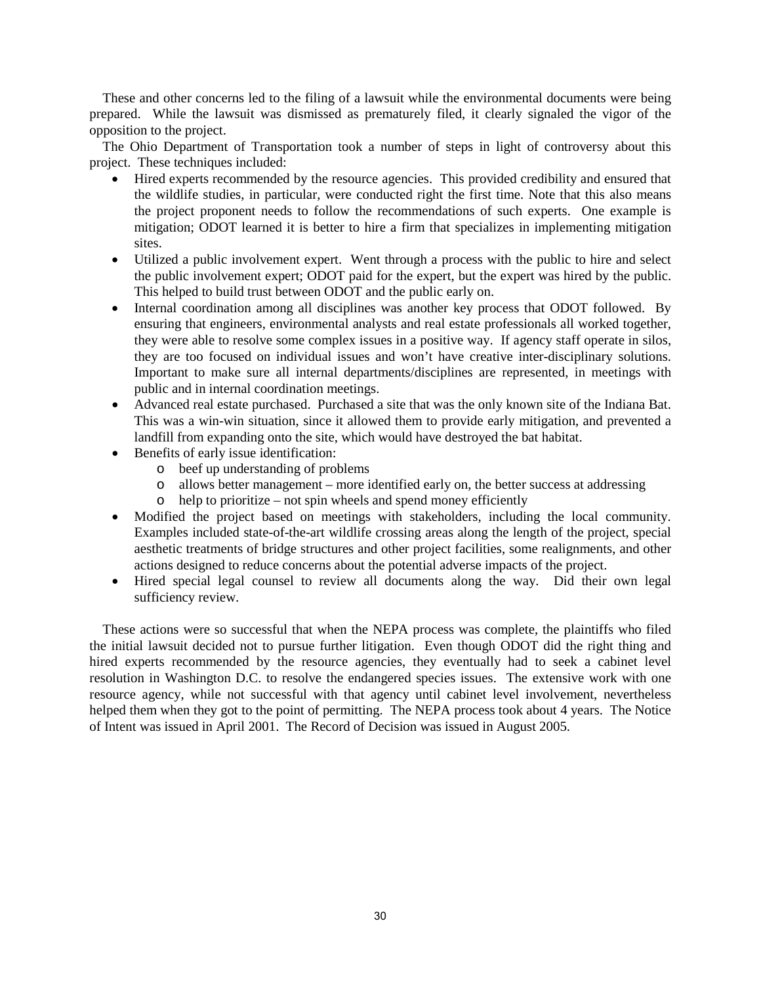These and other concerns led to the filing of a lawsuit while the environmental documents were being prepared. While the lawsuit was dismissed as prematurely filed, it clearly signaled the vigor of the opposition to the project.

The Ohio Department of Transportation took a number of steps in light of controversy about this project. These techniques included:

- Hired experts recommended by the resource agencies. This provided credibility and ensured that the wildlife studies, in particular, were conducted right the first time. Note that this also means the project proponent needs to follow the recommendations of such experts. One example is mitigation; ODOT learned it is better to hire a firm that specializes in implementing mitigation sites.
- Utilized a public involvement expert. Went through a process with the public to hire and select the public involvement expert; ODOT paid for the expert, but the expert was hired by the public. This helped to build trust between ODOT and the public early on.
- Internal coordination among all disciplines was another key process that ODOT followed. By ensuring that engineers, environmental analysts and real estate professionals all worked together, they were able to resolve some complex issues in a positive way. If agency staff operate in silos, they are too focused on individual issues and won't have creative inter-disciplinary solutions. Important to make sure all internal departments/disciplines are represented, in meetings with public and in internal coordination meetings.
- Advanced real estate purchased. Purchased a site that was the only known site of the Indiana Bat. This was a win-win situation, since it allowed them to provide early mitigation, and prevented a landfill from expanding onto the site, which would have destroyed the bat habitat.
- Benefits of early issue identification:
	- o beef up understanding of problems
	- o allows better management more identified early on, the better success at addressing
	- o help to prioritize not spin wheels and spend money efficiently
- Modified the project based on meetings with stakeholders, including the local community. Examples included state-of-the-art wildlife crossing areas along the length of the project, special aesthetic treatments of bridge structures and other project facilities, some realignments, and other actions designed to reduce concerns about the potential adverse impacts of the project.
- Hired special legal counsel to review all documents along the way. Did their own legal sufficiency review.

These actions were so successful that when the NEPA process was complete, the plaintiffs who filed the initial lawsuit decided not to pursue further litigation. Even though ODOT did the right thing and hired experts recommended by the resource agencies, they eventually had to seek a cabinet level resolution in Washington D.C. to resolve the endangered species issues. The extensive work with one resource agency, while not successful with that agency until cabinet level involvement, nevertheless helped them when they got to the point of permitting. The NEPA process took about 4 years. The Notice of Intent was issued in April 2001. The Record of Decision was issued in August 2005.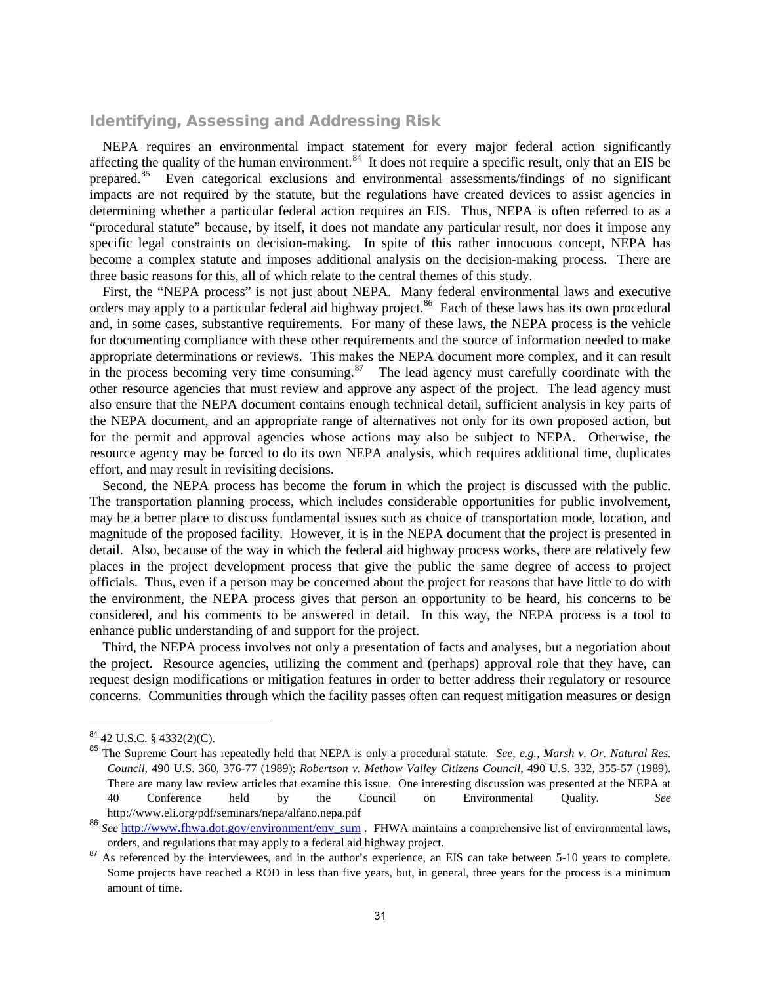#### Identifying, Assessing and Addressing Risk

NEPA requires an environmental impact statement for every major federal action significantly affecting the quality of the human environment.<sup>84</sup> It does not require a specific result, only that an EIS be prepared.[85](#page-35-1) Even categorical exclusions and environmental assessments/findings of no significant impacts are not required by the statute, but the regulations have created devices to assist agencies in determining whether a particular federal action requires an EIS. Thus, NEPA is often referred to as a "procedural statute" because, by itself, it does not mandate any particular result, nor does it impose any specific legal constraints on decision-making. In spite of this rather innocuous concept, NEPA has become a complex statute and imposes additional analysis on the decision-making process. There are three basic reasons for this, all of which relate to the central themes of this study.

First, the "NEPA process" is not just about NEPA. Many federal environmental laws and executive orders may apply to a particular federal aid highway project.<sup>[86](#page-35-2)</sup> Each of these laws has its own procedural and, in some cases, substantive requirements. For many of these laws, the NEPA process is the vehicle for documenting compliance with these other requirements and the source of information needed to make appropriate determinations or reviews. This makes the NEPA document more complex, and it can result in the process becoming very time consuming. $87$  The lead agency must carefully coordinate with the other resource agencies that must review and approve any aspect of the project. The lead agency must also ensure that the NEPA document contains enough technical detail, sufficient analysis in key parts of the NEPA document, and an appropriate range of alternatives not only for its own proposed action, but for the permit and approval agencies whose actions may also be subject to NEPA. Otherwise, the resource agency may be forced to do its own NEPA analysis, which requires additional time, duplicates effort, and may result in revisiting decisions.

Second, the NEPA process has become the forum in which the project is discussed with the public. The transportation planning process, which includes considerable opportunities for public involvement, may be a better place to discuss fundamental issues such as choice of transportation mode, location, and magnitude of the proposed facility. However, it is in the NEPA document that the project is presented in detail. Also, because of the way in which the federal aid highway process works, there are relatively few places in the project development process that give the public the same degree of access to project officials. Thus, even if a person may be concerned about the project for reasons that have little to do with the environment, the NEPA process gives that person an opportunity to be heard, his concerns to be considered, and his comments to be answered in detail. In this way, the NEPA process is a tool to enhance public understanding of and support for the project.

Third, the NEPA process involves not only a presentation of facts and analyses, but a negotiation about the project. Resource agencies, utilizing the comment and (perhaps) approval role that they have, can request design modifications or mitigation features in order to better address their regulatory or resource concerns. Communities through which the facility passes often can request mitigation measures or design

<span id="page-35-0"></span><sup>84</sup> 42 U.S.C. § 4332(2)(C).

<span id="page-35-1"></span><sup>85</sup> The Supreme Court has repeatedly held that NEPA is only a procedural statute. *See*, *e.g.*, *Marsh v. Or. Natural Res. Council*, 490 U.S. 360, 376-77 (1989); *Robertson v. Methow Valley Citizens Council*, 490 U.S. 332, 355-57 (1989). There are many law review articles that examine this issue. One interesting discussion was presented at the NEPA at 40 Conference held by the Council on Environmental Quality. *See* http://www.eli.org/pdf/seminars/nepa/alfano.nepa.pdf

<span id="page-35-2"></span><sup>86</sup> *See* [http://www.fhwa.dot.gov/environment/env\\_sum](http://www.fhwa.dot.gov/environment/env_sum) . FHWA maintains a comprehensive list of environmental laws, orders, and regulations that may apply to a federal aid highway project.

<span id="page-35-3"></span><sup>&</sup>lt;sup>87</sup> As referenced by the interviewees, and in the author's experience, an EIS can take between 5-10 years to complete. Some projects have reached a ROD in less than five years, but, in general, three years for the process is a minimum amount of time.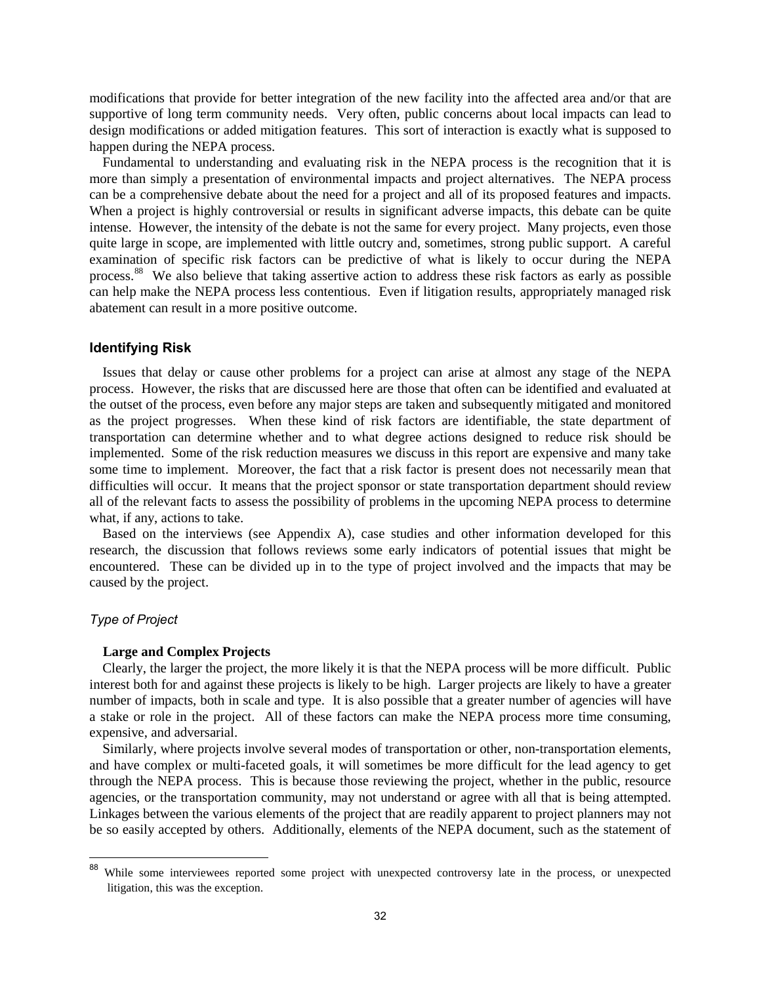modifications that provide for better integration of the new facility into the affected area and/or that are supportive of long term community needs. Very often, public concerns about local impacts can lead to design modifications or added mitigation features. This sort of interaction is exactly what is supposed to happen during the NEPA process.

Fundamental to understanding and evaluating risk in the NEPA process is the recognition that it is more than simply a presentation of environmental impacts and project alternatives. The NEPA process can be a comprehensive debate about the need for a project and all of its proposed features and impacts. When a project is highly controversial or results in significant adverse impacts, this debate can be quite intense. However, the intensity of the debate is not the same for every project. Many projects, even those quite large in scope, are implemented with little outcry and, sometimes, strong public support. A careful examination of specific risk factors can be predictive of what is likely to occur during the NEPA process.[88](#page-36-0) We also believe that taking assertive action to address these risk factors as early as possible can help make the NEPA process less contentious. Even if litigation results, appropriately managed risk abatement can result in a more positive outcome.

#### **Identifying Risk**

Issues that delay or cause other problems for a project can arise at almost any stage of the NEPA process. However, the risks that are discussed here are those that often can be identified and evaluated at the outset of the process, even before any major steps are taken and subsequently mitigated and monitored as the project progresses. When these kind of risk factors are identifiable, the state department of transportation can determine whether and to what degree actions designed to reduce risk should be implemented. Some of the risk reduction measures we discuss in this report are expensive and many take some time to implement. Moreover, the fact that a risk factor is present does not necessarily mean that difficulties will occur. It means that the project sponsor or state transportation department should review all of the relevant facts to assess the possibility of problems in the upcoming NEPA process to determine what, if any, actions to take.

Based on the interviews (see Appendix A), case studies and other information developed for this research, the discussion that follows reviews some early indicators of potential issues that might be encountered. These can be divided up in to the type of project involved and the impacts that may be caused by the project.

#### *Type of Project*

#### **Large and Complex Projects**

Clearly, the larger the project, the more likely it is that the NEPA process will be more difficult. Public interest both for and against these projects is likely to be high. Larger projects are likely to have a greater number of impacts, both in scale and type. It is also possible that a greater number of agencies will have a stake or role in the project. All of these factors can make the NEPA process more time consuming, expensive, and adversarial.

Similarly, where projects involve several modes of transportation or other, non-transportation elements, and have complex or multi-faceted goals, it will sometimes be more difficult for the lead agency to get through the NEPA process. This is because those reviewing the project, whether in the public, resource agencies, or the transportation community, may not understand or agree with all that is being attempted. Linkages between the various elements of the project that are readily apparent to project planners may not be so easily accepted by others. Additionally, elements of the NEPA document, such as the statement of

<span id="page-36-0"></span><sup>&</sup>lt;sup>88</sup> While some interviewees reported some project with unexpected controversy late in the process, or unexpected litigation, this was the exception.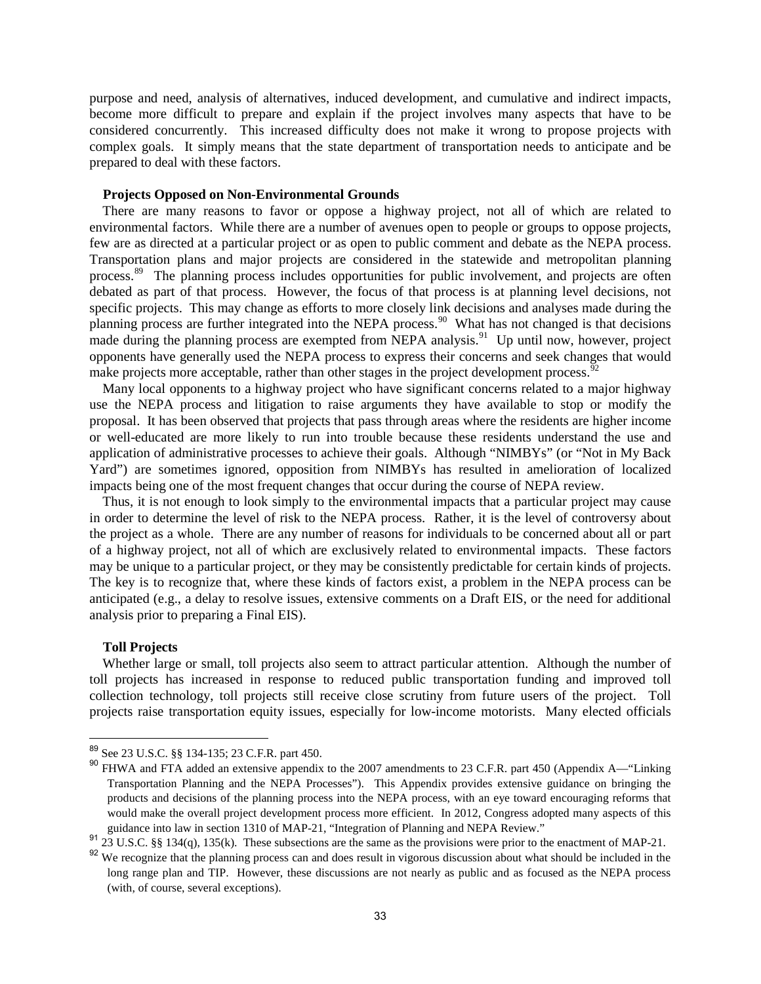purpose and need, analysis of alternatives, induced development, and cumulative and indirect impacts, become more difficult to prepare and explain if the project involves many aspects that have to be considered concurrently. This increased difficulty does not make it wrong to propose projects with complex goals. It simply means that the state department of transportation needs to anticipate and be prepared to deal with these factors.

#### **Projects Opposed on Non-Environmental Grounds**

There are many reasons to favor or oppose a highway project, not all of which are related to environmental factors. While there are a number of avenues open to people or groups to oppose projects, few are as directed at a particular project or as open to public comment and debate as the NEPA process. Transportation plans and major projects are considered in the statewide and metropolitan planning process.<sup>[89](#page-37-0)</sup> The planning process includes opportunities for public involvement, and projects are often debated as part of that process. However, the focus of that process is at planning level decisions, not specific projects. This may change as efforts to more closely link decisions and analyses made during the planning process are further integrated into the NEPA process.<sup>90</sup> What has not changed is that decisions made during the planning process are exempted from NEPA analysis.<sup>91</sup> Up until now, however, project opponents have generally used the NEPA process to express their concerns and seek changes that would make projects more acceptable, rather than other stages in the project development process.<sup>[92](#page-37-3)</sup>

Many local opponents to a highway project who have significant concerns related to a major highway use the NEPA process and litigation to raise arguments they have available to stop or modify the proposal. It has been observed that projects that pass through areas where the residents are higher income or well-educated are more likely to run into trouble because these residents understand the use and application of administrative processes to achieve their goals. Although "NIMBYs" (or "Not in My Back Yard") are sometimes ignored, opposition from NIMBYs has resulted in amelioration of localized impacts being one of the most frequent changes that occur during the course of NEPA review.

Thus, it is not enough to look simply to the environmental impacts that a particular project may cause in order to determine the level of risk to the NEPA process. Rather, it is the level of controversy about the project as a whole. There are any number of reasons for individuals to be concerned about all or part of a highway project, not all of which are exclusively related to environmental impacts. These factors may be unique to a particular project, or they may be consistently predictable for certain kinds of projects. The key is to recognize that, where these kinds of factors exist, a problem in the NEPA process can be anticipated (e.g., a delay to resolve issues, extensive comments on a Draft EIS, or the need for additional analysis prior to preparing a Final EIS).

#### **Toll Projects**

Whether large or small, toll projects also seem to attract particular attention. Although the number of toll projects has increased in response to reduced public transportation funding and improved toll collection technology, toll projects still receive close scrutiny from future users of the project. Toll projects raise transportation equity issues, especially for low-income motorists. Many elected officials

<sup>89</sup> See 23 U.S.C. §§ 134-135; 23 C.F.R. part 450.

<span id="page-37-1"></span><span id="page-37-0"></span><sup>90</sup> FHWA and FTA added an extensive appendix to the 2007 amendments to 23 C.F.R. part 450 (Appendix A—"Linking Transportation Planning and the NEPA Processes"). This Appendix provides extensive guidance on bringing the products and decisions of the planning process into the NEPA process, with an eye toward encouraging reforms that would make the overall project development process more efficient. In 2012, Congress adopted many aspects of this guidance into law in section 1310 of MAP-21, "Integration of Planning and NEPA Review."

<span id="page-37-3"></span><span id="page-37-2"></span> $23$  U.S.C. §§ 134(q), 135(k). These subsections are the same as the provisions were prior to the enactment of MAP-21.

We recognize that the planning process can and does result in vigorous discussion about what should be included in the long range plan and TIP. However, these discussions are not nearly as public and as focused as the NEPA process (with, of course, several exceptions).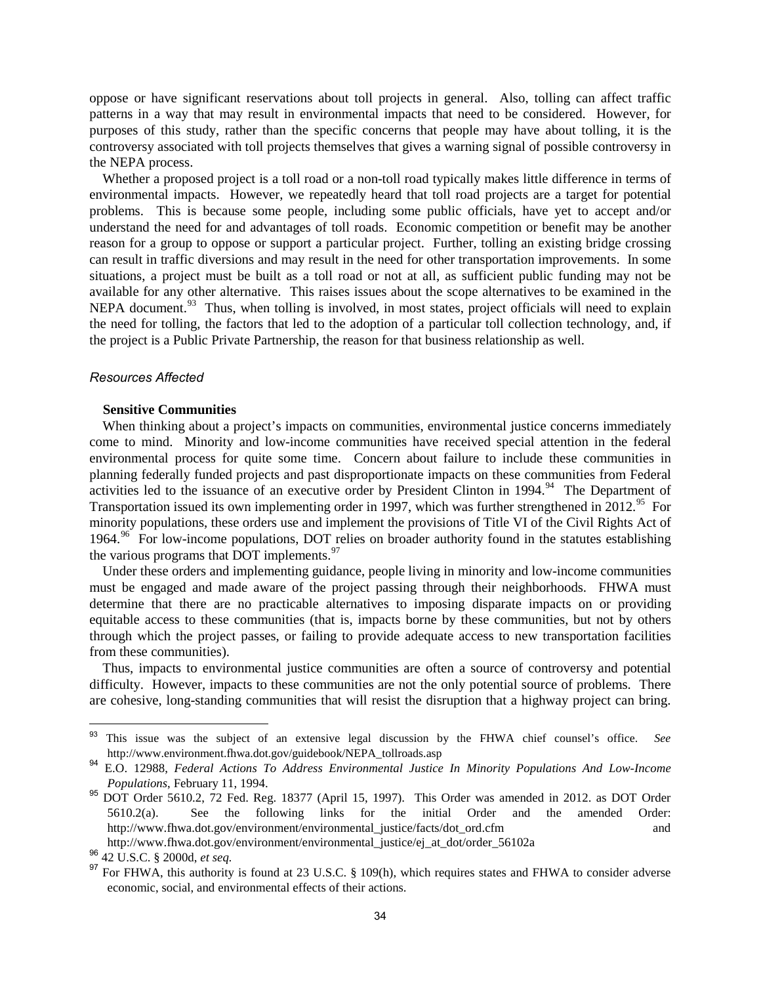oppose or have significant reservations about toll projects in general. Also, tolling can affect traffic patterns in a way that may result in environmental impacts that need to be considered. However, for purposes of this study, rather than the specific concerns that people may have about tolling, it is the controversy associated with toll projects themselves that gives a warning signal of possible controversy in the NEPA process.

Whether a proposed project is a toll road or a non-toll road typically makes little difference in terms of environmental impacts. However, we repeatedly heard that toll road projects are a target for potential problems. This is because some people, including some public officials, have yet to accept and/or understand the need for and advantages of toll roads. Economic competition or benefit may be another reason for a group to oppose or support a particular project. Further, tolling an existing bridge crossing can result in traffic diversions and may result in the need for other transportation improvements. In some situations, a project must be built as a toll road or not at all, as sufficient public funding may not be available for any other alternative. This raises issues about the scope alternatives to be examined in the NEPA document.<sup>93</sup> Thus, when tolling is involved, in most states, project officials will need to explain the need for tolling, the factors that led to the adoption of a particular toll collection technology, and, if the project is a Public Private Partnership, the reason for that business relationship as well.

#### *Resources Affected*

#### **Sensitive Communities**

When thinking about a project's impacts on communities, environmental justice concerns immediately come to mind. Minority and low-income communities have received special attention in the federal environmental process for quite some time. Concern about failure to include these communities in planning federally funded projects and past disproportionate impacts on these communities from Federal activities led to the issuance of an executive order by President Clinton in 19[94](#page-38-1).<sup>94</sup> The Department of Transportation issued its own implementing order in 1997, which was further strengthened in 2012.<sup>[95](#page-38-2)</sup> For minority populations, these orders use and implement the provisions of Title VI of the Civil Rights Act of 1[96](#page-38-3)4.<sup>96</sup> For low-income populations, DOT relies on broader authority found in the statutes establishing the various programs that DOT implements. $97$ 

Under these orders and implementing guidance, people living in minority and low-income communities must be engaged and made aware of the project passing through their neighborhoods. FHWA must determine that there are no practicable alternatives to imposing disparate impacts on or providing equitable access to these communities (that is, impacts borne by these communities, but not by others through which the project passes, or failing to provide adequate access to new transportation facilities from these communities).

Thus, impacts to environmental justice communities are often a source of controversy and potential difficulty. However, impacts to these communities are not the only potential source of problems. There are cohesive, long-standing communities that will resist the disruption that a highway project can bring.

<span id="page-38-0"></span><sup>93</sup> This issue was the subject of an extensive legal discussion by the FHWA chief counsel's office. *See* http://www.environment.fhwa.dot.gov/guidebook/NEPA\_tollroads.asp

<span id="page-38-1"></span><sup>94</sup> E.O. 12988, *Federal Actions To Address Environmental Justice In Minority Populations And Low-Income Populations*, February 11, 1994.

<span id="page-38-2"></span><sup>95</sup> DOT Order 5610.2, 72 Fed. Reg. 18377 (April 15, 1997). This Order was amended in 2012. as DOT Order 5610.2(a). See the following links for the initial Order and the amended Order: http://www.fhwa.dot.gov/environment/environmental\_justice/facts/dot\_ord.cfm and

http://www.fhwa.dot.gov/environment/environmental\_justice/ej\_at\_dot/order\_56102a

<span id="page-38-3"></span><sup>96</sup> 42 U.S.C. § 2000d, *et seq.*

<span id="page-38-4"></span><sup>&</sup>lt;sup>97</sup> For FHWA, this authority is found at 23 U.S.C. § 109(h), which requires states and FHWA to consider adverse economic, social, and environmental effects of their actions.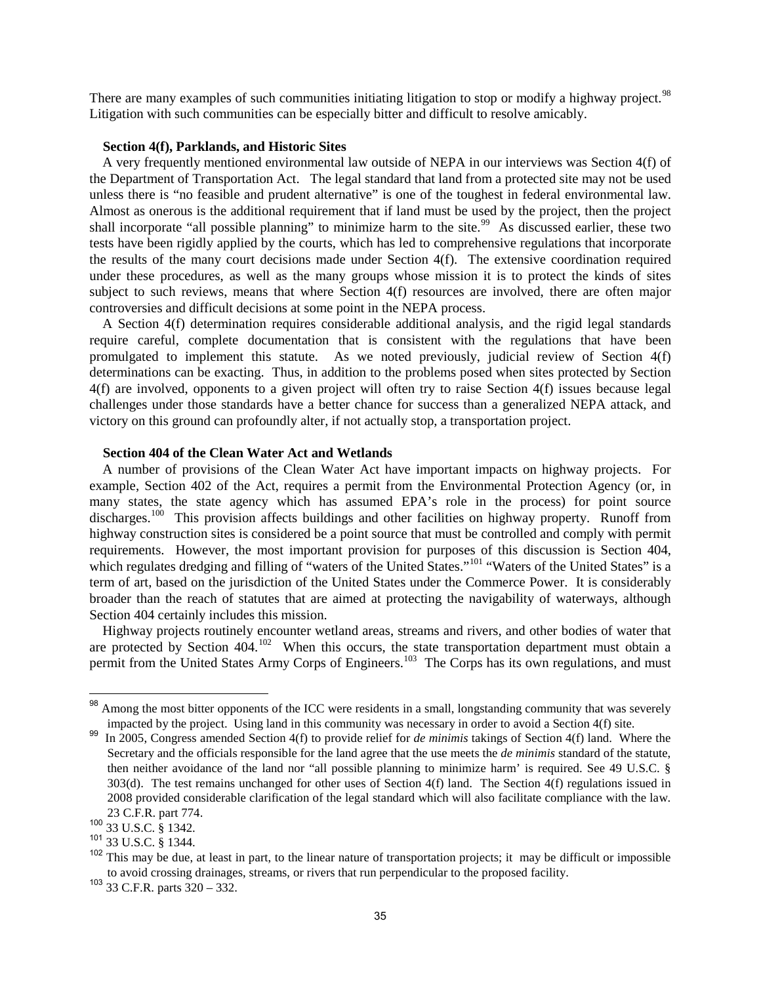There are many examples of such communities initiating litigation to stop or modify a highway project.<sup>[98](#page-39-0)</sup> Litigation with such communities can be especially bitter and difficult to resolve amicably.

#### **Section 4(f), Parklands, and Historic Sites**

A very frequently mentioned environmental law outside of NEPA in our interviews was Section 4(f) of the Department of Transportation Act. The legal standard that land from a protected site may not be used unless there is "no feasible and prudent alternative" is one of the toughest in federal environmental law. Almost as onerous is the additional requirement that if land must be used by the project, then the project shall incorporate "all possible planning" to minimize harm to the site.<sup>[99](#page-39-1)</sup> As discussed earlier, these two tests have been rigidly applied by the courts, which has led to comprehensive regulations that incorporate the results of the many court decisions made under Section 4(f). The extensive coordination required under these procedures, as well as the many groups whose mission it is to protect the kinds of sites subject to such reviews, means that where Section 4(f) resources are involved, there are often major controversies and difficult decisions at some point in the NEPA process.

A Section 4(f) determination requires considerable additional analysis, and the rigid legal standards require careful, complete documentation that is consistent with the regulations that have been promulgated to implement this statute. As we noted previously, judicial review of Section 4(f) determinations can be exacting. Thus, in addition to the problems posed when sites protected by Section 4(f) are involved, opponents to a given project will often try to raise Section 4(f) issues because legal challenges under those standards have a better chance for success than a generalized NEPA attack, and victory on this ground can profoundly alter, if not actually stop, a transportation project.

#### **Section 404 of the Clean Water Act and Wetlands**

A number of provisions of the Clean Water Act have important impacts on highway projects. For example, Section 402 of the Act, requires a permit from the Environmental Protection Agency (or, in many states, the state agency which has assumed EPA's role in the process) for point source discharges.<sup>[100](#page-39-2)</sup> This provision affects buildings and other facilities on highway property. Runoff from highway construction sites is considered be a point source that must be controlled and comply with permit requirements. However, the most important provision for purposes of this discussion is Section 404, which regulates dredging and filling of "waters of the United States."<sup>[101](#page-39-3)</sup> "Waters of the United States" is a term of art, based on the jurisdiction of the United States under the Commerce Power. It is considerably broader than the reach of statutes that are aimed at protecting the navigability of waterways, although Section 404 certainly includes this mission.

Highway projects routinely encounter wetland areas, streams and rivers, and other bodies of water that are protected by Section  $404$ .<sup>102</sup> When this occurs, the state transportation department must obtain a permit from the United States Army Corps of Engineers.<sup>103</sup> The Corps has its own regulations, and must

<span id="page-39-0"></span>Among the most bitter opponents of the ICC were residents in a small, longstanding community that was severely impacted by the project. Using land in this community was necessary in order to avoid a Section 4(f) site.

<span id="page-39-1"></span><sup>&</sup>lt;sup>99</sup> In 2005, Congress amended Section 4(f) to provide relief for *de minimis* takings of Section 4(f) land. Where the Secretary and the officials responsible for the land agree that the use meets the *de minimis* standard of the statute, then neither avoidance of the land nor "all possible planning to minimize harm' is required. See 49 U.S.C. § 303(d). The test remains unchanged for other uses of Section 4(f) land. The Section 4(f) regulations issued in 2008 provided considerable clarification of the legal standard which will also facilitate compliance with the law. 23 C.F.R. part 774.

<span id="page-39-2"></span> $100\frac{25}{33}$  U.S.C. § 1342.

<span id="page-39-3"></span><sup>101</sup> 33 U.S.C. § 1344.

<span id="page-39-4"></span><sup>&</sup>lt;sup>102</sup> This may be due, at least in part, to the linear nature of transportation projects; it may be difficult or impossible to avoid crossing drainages, streams, or rivers that run perpendicular to the proposed facility.

<span id="page-39-5"></span><sup>103</sup> 33 C.F.R. parts 320 – 332.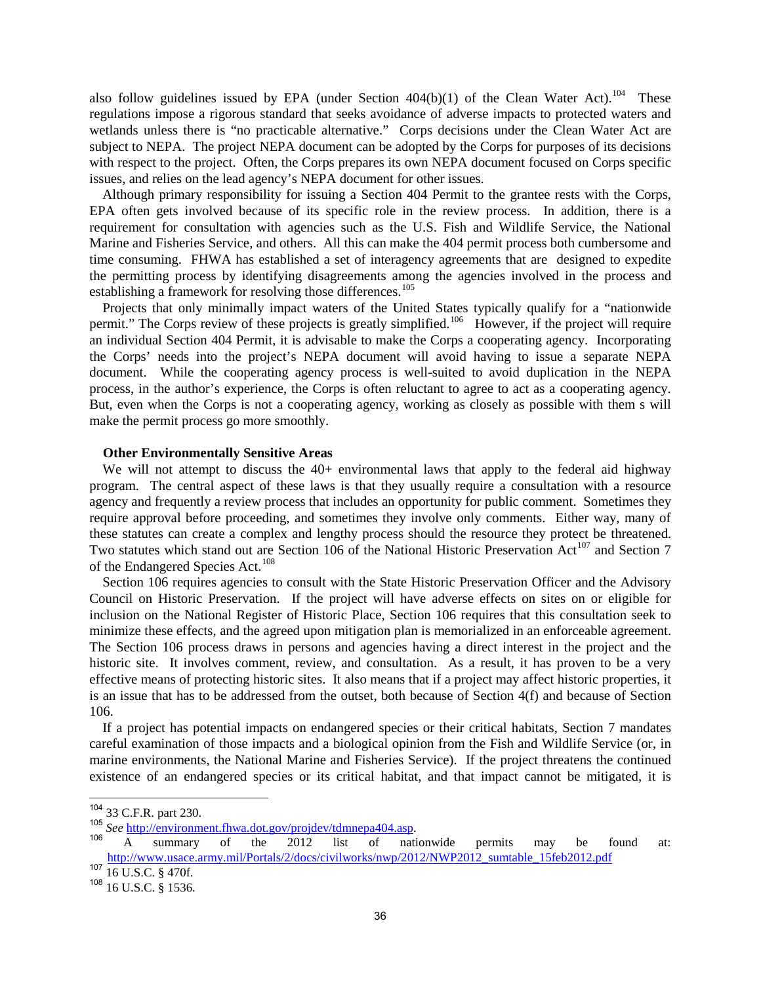also follow guidelines issued by EPA (under Section  $404(b)(1)$  of the Clean Water Act).<sup>[104](#page-40-0)</sup> These regulations impose a rigorous standard that seeks avoidance of adverse impacts to protected waters and wetlands unless there is "no practicable alternative." Corps decisions under the Clean Water Act are subject to NEPA. The project NEPA document can be adopted by the Corps for purposes of its decisions with respect to the project. Often, the Corps prepares its own NEPA document focused on Corps specific issues, and relies on the lead agency's NEPA document for other issues.

Although primary responsibility for issuing a Section 404 Permit to the grantee rests with the Corps, EPA often gets involved because of its specific role in the review process. In addition, there is a requirement for consultation with agencies such as the U.S. Fish and Wildlife Service, the National Marine and Fisheries Service, and others. All this can make the 404 permit process both cumbersome and time consuming. FHWA has established a set of interagency agreements that are designed to expedite the permitting process by identifying disagreements among the agencies involved in the process and establishing a framework for resolving those differences.<sup>105</sup>

Projects that only minimally impact waters of the United States typically qualify for a "nationwide permit." The Corps review of these projects is greatly simplified.<sup>106</sup> However, if the project will require an individual Section 404 Permit, it is advisable to make the Corps a cooperating agency. Incorporating the Corps' needs into the project's NEPA document will avoid having to issue a separate NEPA document. While the cooperating agency process is well-suited to avoid duplication in the NEPA process, in the author's experience, the Corps is often reluctant to agree to act as a cooperating agency. But, even when the Corps is not a cooperating agency, working as closely as possible with them s will make the permit process go more smoothly.

#### **Other Environmentally Sensitive Areas**

We will not attempt to discuss the 40+ environmental laws that apply to the federal aid highway program. The central aspect of these laws is that they usually require a consultation with a resource agency and frequently a review process that includes an opportunity for public comment. Sometimes they require approval before proceeding, and sometimes they involve only comments. Either way, many of these statutes can create a complex and lengthy process should the resource they protect be threatened. Two statutes which stand out are Section 106 of the National Historic Preservation Act<sup>[107](#page-40-3)</sup> and Section 7 of the Endangered Species Act.<sup>[108](#page-40-4)</sup>

Section 106 requires agencies to consult with the State Historic Preservation Officer and the Advisory Council on Historic Preservation. If the project will have adverse effects on sites on or eligible for inclusion on the National Register of Historic Place, Section 106 requires that this consultation seek to minimize these effects, and the agreed upon mitigation plan is memorialized in an enforceable agreement. The Section 106 process draws in persons and agencies having a direct interest in the project and the historic site. It involves comment, review, and consultation. As a result, it has proven to be a very effective means of protecting historic sites. It also means that if a project may affect historic properties, it is an issue that has to be addressed from the outset, both because of Section 4(f) and because of Section 106.

If a project has potential impacts on endangered species or their critical habitats, Section 7 mandates careful examination of those impacts and a biological opinion from the Fish and Wildlife Service (or, in marine environments, the National Marine and Fisheries Service). If the project threatens the continued existence of an endangered species or its critical habitat, and that impact cannot be mitigated, it is

<span id="page-40-0"></span> $^{104}$  33 C.F.R. part 230.

<span id="page-40-2"></span>

<span id="page-40-1"></span><sup>&</sup>lt;sup>105</sup> See <u>http://environment.fhwa.dot.gov/projdev/tdmnepa404.asp</u>.<br><sup>106</sup> A summary of the 2012 list of nationwide permits may be found at: [http://www.usace.army.mil/Portals/2/docs/civilworks/nwp/2012/NWP2012\\_sumtable\\_15feb2012.pdf](http://www.usace.army.mil/Portals/2/docs/civilworks/nwp/2012/NWP2012_sumtable_15feb2012.pdf)

<span id="page-40-3"></span><sup>107</sup> 16 U.S.C. § 470f.

<span id="page-40-4"></span><sup>108</sup> 16 U.S.C. § 1536.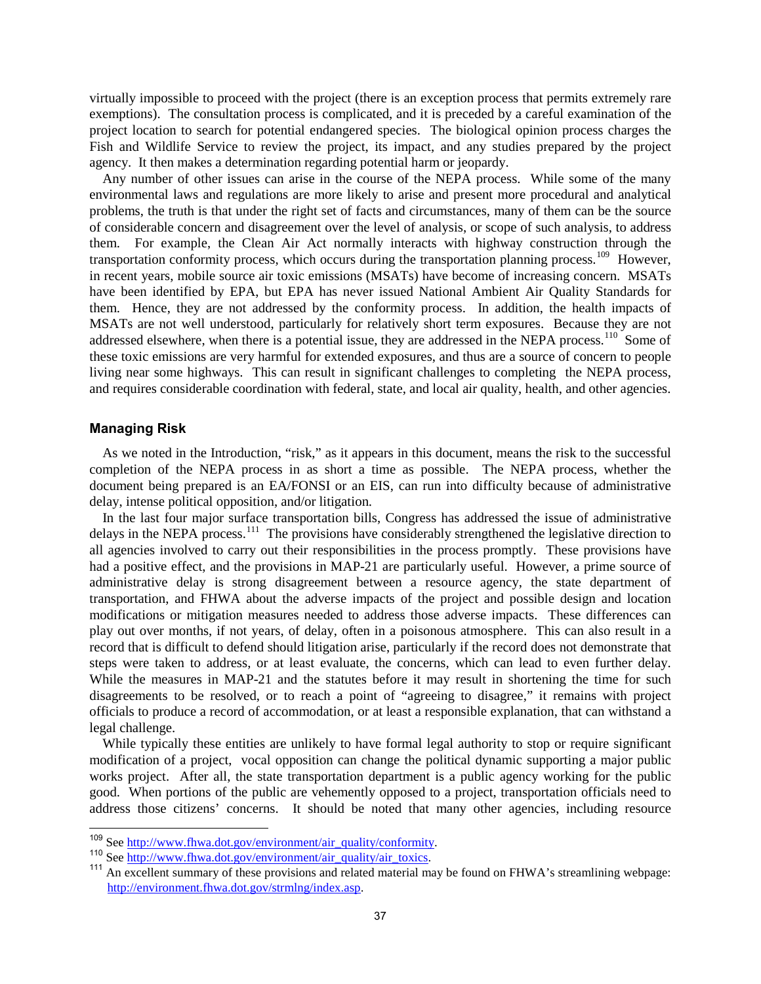virtually impossible to proceed with the project (there is an exception process that permits extremely rare exemptions). The consultation process is complicated, and it is preceded by a careful examination of the project location to search for potential endangered species. The biological opinion process charges the Fish and Wildlife Service to review the project, its impact, and any studies prepared by the project agency. It then makes a determination regarding potential harm or jeopardy.

Any number of other issues can arise in the course of the NEPA process. While some of the many environmental laws and regulations are more likely to arise and present more procedural and analytical problems, the truth is that under the right set of facts and circumstances, many of them can be the source of considerable concern and disagreement over the level of analysis, or scope of such analysis, to address them. For example, the Clean Air Act normally interacts with highway construction through the transportation conformity process, which occurs during the transportation planning process.<sup>109</sup> However, in recent years, mobile source air toxic emissions (MSATs) have become of increasing concern. MSATs have been identified by EPA, but EPA has never issued National Ambient Air Quality Standards for them. Hence, they are not addressed by the conformity process. In addition, the health impacts of MSATs are not well understood, particularly for relatively short term exposures. Because they are not addressed elsewhere, when there is a potential issue, they are addressed in the NEPA process.<sup>[110](#page-41-1)</sup> Some of these toxic emissions are very harmful for extended exposures, and thus are a source of concern to people living near some highways. This can result in significant challenges to completing the NEPA process, and requires considerable coordination with federal, state, and local air quality, health, and other agencies.

#### **Managing Risk**

As we noted in the Introduction, "risk," as it appears in this document, means the risk to the successful completion of the NEPA process in as short a time as possible. The NEPA process, whether the document being prepared is an EA/FONSI or an EIS, can run into difficulty because of administrative delay, intense political opposition, and/or litigation.

In the last four major surface transportation bills, Congress has addressed the issue of administrative delays in the NEPA process.<sup>111</sup> The provisions have considerably strengthened the legislative direction to all agencies involved to carry out their responsibilities in the process promptly. These provisions have had a positive effect, and the provisions in MAP-21 are particularly useful. However, a prime source of administrative delay is strong disagreement between a resource agency, the state department of transportation, and FHWA about the adverse impacts of the project and possible design and location modifications or mitigation measures needed to address those adverse impacts. These differences can play out over months, if not years, of delay, often in a poisonous atmosphere. This can also result in a record that is difficult to defend should litigation arise, particularly if the record does not demonstrate that steps were taken to address, or at least evaluate, the concerns, which can lead to even further delay. While the measures in MAP-21 and the statutes before it may result in shortening the time for such disagreements to be resolved, or to reach a point of "agreeing to disagree," it remains with project officials to produce a record of accommodation, or at least a responsible explanation, that can withstand a legal challenge.

While typically these entities are unlikely to have formal legal authority to stop or require significant modification of a project, vocal opposition can change the political dynamic supporting a major public works project. After all, the state transportation department is a public agency working for the public good. When portions of the public are vehemently opposed to a project, transportation officials need to address those citizens' concerns. It should be noted that many other agencies, including resource

<span id="page-41-2"></span><span id="page-41-1"></span>

<span id="page-41-0"></span><sup>&</sup>lt;sup>109</sup> See http://www.fhwa.dot.gov/environment/air quality/conformity.<br><sup>110</sup> See http://www.fhwa.dot.gov/environment/air quality/air toxics.<br><sup>111</sup> An excellent summary of these provisions and related material may be found [http://environment.fhwa.dot.gov/strmlng/index.asp.](http://environment.fhwa.dot.gov/strmlng/index.asp)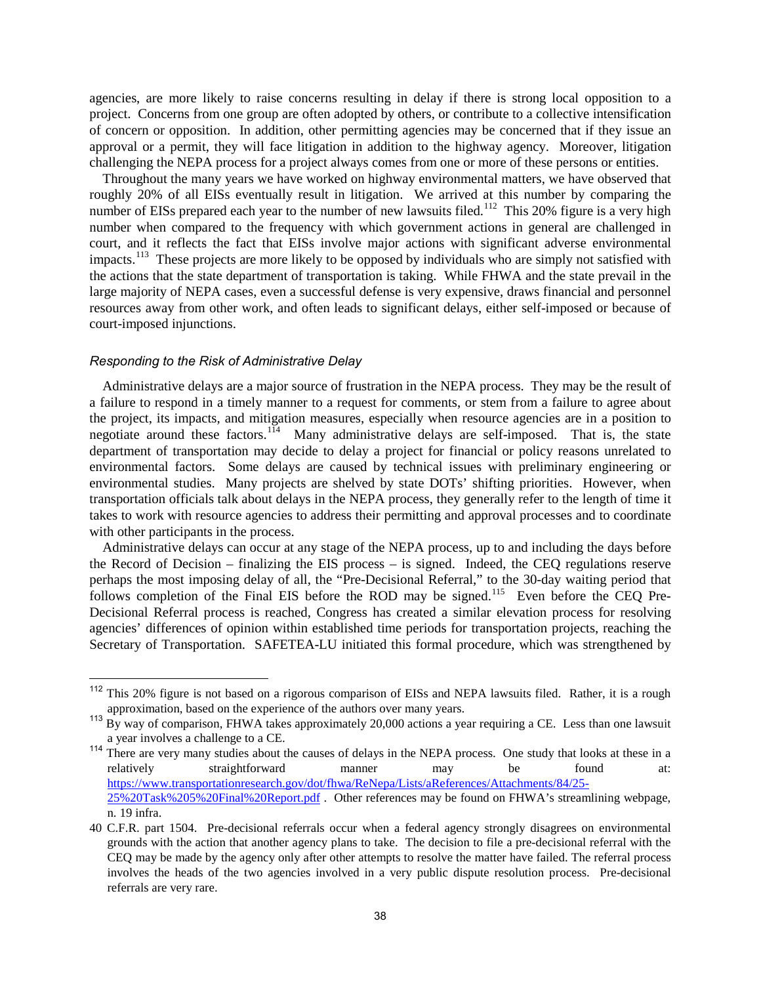agencies, are more likely to raise concerns resulting in delay if there is strong local opposition to a project. Concerns from one group are often adopted by others, or contribute to a collective intensification of concern or opposition. In addition, other permitting agencies may be concerned that if they issue an approval or a permit, they will face litigation in addition to the highway agency. Moreover, litigation challenging the NEPA process for a project always comes from one or more of these persons or entities.

Throughout the many years we have worked on highway environmental matters, we have observed that roughly 20% of all EISs eventually result in litigation. We arrived at this number by comparing the number of EISs prepared each year to the number of new lawsuits filed.<sup>[112](#page-42-0)</sup> This 20% figure is a very high number when compared to the frequency with which government actions in general are challenged in court, and it reflects the fact that EISs involve major actions with significant adverse environmental impacts.<sup>113</sup> These projects are more likely to be opposed by individuals who are simply not satisfied with the actions that the state department of transportation is taking. While FHWA and the state prevail in the large majority of NEPA cases, even a successful defense is very expensive, draws financial and personnel resources away from other work, and often leads to significant delays, either self-imposed or because of court-imposed injunctions.

#### *Responding to the Risk of Administrative Delay*

Administrative delays are a major source of frustration in the NEPA process. They may be the result of a failure to respond in a timely manner to a request for comments, or stem from a failure to agree about the project, its impacts, and mitigation measures, especially when resource agencies are in a position to negotiate around these factors.<sup>114</sup> Many administrative delays are self-imposed. That is, the state department of transportation may decide to delay a project for financial or policy reasons unrelated to environmental factors. Some delays are caused by technical issues with preliminary engineering or environmental studies. Many projects are shelved by state DOTs' shifting priorities. However, when transportation officials talk about delays in the NEPA process, they generally refer to the length of time it takes to work with resource agencies to address their permitting and approval processes and to coordinate with other participants in the process.

Administrative delays can occur at any stage of the NEPA process, up to and including the days before the Record of Decision – finalizing the EIS process – is signed. Indeed, the CEQ regulations reserve perhaps the most imposing delay of all, the "Pre-Decisional Referral," to the 30-day waiting period that follows completion of the Final EIS before the ROD may be signed.<sup>[115](#page-42-3)</sup> Even before the CEQ Pre-Decisional Referral process is reached, Congress has created a similar elevation process for resolving agencies' differences of opinion within established time periods for transportation projects, reaching the Secretary of Transportation. SAFETEA-LU initiated this formal procedure, which was strengthened by

<span id="page-42-0"></span><sup>112</sup> This 20% figure is not based on a rigorous comparison of EISs and NEPA lawsuits filed. Rather, it is a rough approximation, based on the experience of the authors over many years.

<span id="page-42-1"></span><sup>&</sup>lt;sup>113</sup> By way of comparison, FHWA takes approximately 20,000 actions a year requiring a CE. Less than one lawsuit a year involves a challenge to a CE.

<span id="page-42-2"></span><sup>&</sup>lt;sup>114</sup> There are very many studies about the causes of delays in the NEPA process. One study that looks at these in a relatively straightforward manner may be found at: [https://www.transportationresearch.gov/dot/fhwa/ReNepa/Lists/aReferences/Attachments/84/25-](https://www.transportationresearch.gov/dot/fhwa/ReNepa/Lists/aReferences/Attachments/84/25-25%20Task%205%20Final%20Report.pdf) [25%20Task%205%20Final%20Report.pdf](https://www.transportationresearch.gov/dot/fhwa/ReNepa/Lists/aReferences/Attachments/84/25-25%20Task%205%20Final%20Report.pdf) . Other references may be found on FHWA's streamlining webpage, n. 19 infra.

<span id="page-42-3"></span><sup>40</sup> C.F.R. part 1504. Pre-decisional referrals occur when a federal agency strongly disagrees on environmental grounds with the action that another agency plans to take. The decision to file a pre-decisional referral with the CEQ may be made by the agency only after other attempts to resolve the matter have failed. The referral process involves the heads of the two agencies involved in a very public dispute resolution process. Pre-decisional referrals are very rare.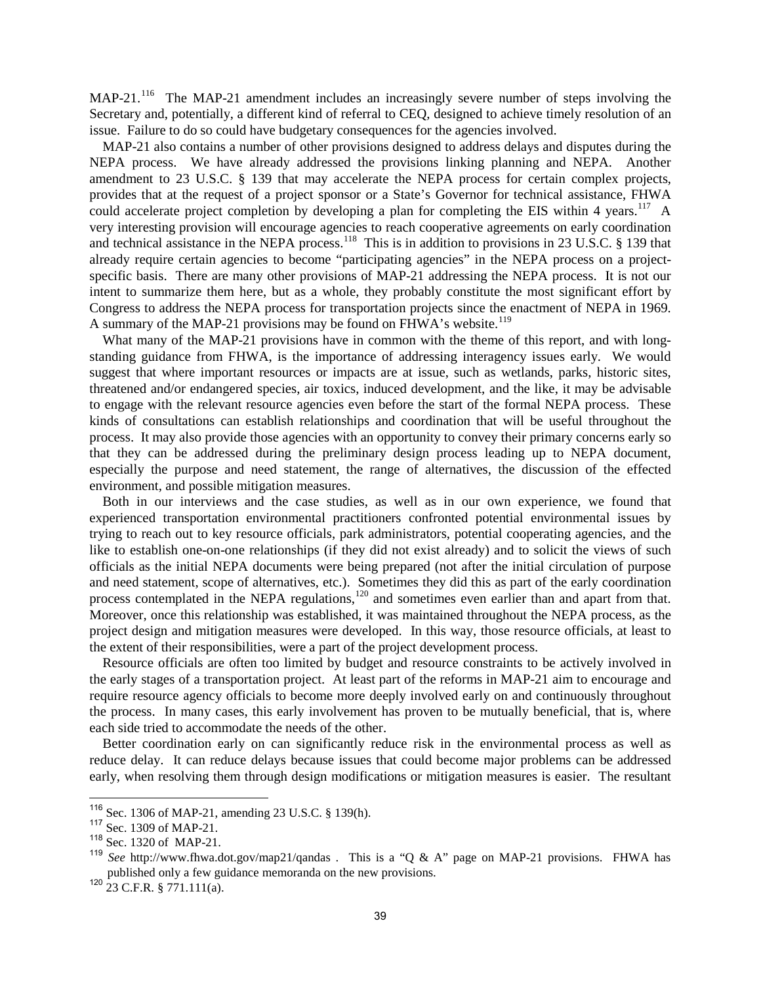MAP-21.<sup>[116](#page-43-0)</sup> The MAP-21 amendment includes an increasingly severe number of steps involving the Secretary and, potentially, a different kind of referral to CEQ, designed to achieve timely resolution of an issue. Failure to do so could have budgetary consequences for the agencies involved.

MAP-21 also contains a number of other provisions designed to address delays and disputes during the NEPA process. We have already addressed the provisions linking planning and NEPA. Another amendment to 23 U.S.C. § 139 that may accelerate the NEPA process for certain complex projects, provides that at the request of a project sponsor or a State's Governor for technical assistance, FHWA could accelerate project completion by developing a plan for completing the EIS within 4 years.<sup>117</sup> A very interesting provision will encourage agencies to reach cooperative agreements on early coordination and technical assistance in the NEPA process.<sup>[118](#page-43-2)</sup> This is in addition to provisions in 23 U.S.C. § 139 that already require certain agencies to become "participating agencies" in the NEPA process on a projectspecific basis. There are many other provisions of MAP-21 addressing the NEPA process. It is not our intent to summarize them here, but as a whole, they probably constitute the most significant effort by Congress to address the NEPA process for transportation projects since the enactment of NEPA in 1969. A summary of the MAP-21 provisions may be found on FHWA's website.<sup>[119](#page-43-3)</sup>

What many of the MAP-21 provisions have in common with the theme of this report, and with longstanding guidance from FHWA, is the importance of addressing interagency issues early. We would suggest that where important resources or impacts are at issue, such as wetlands, parks, historic sites, threatened and/or endangered species, air toxics, induced development, and the like, it may be advisable to engage with the relevant resource agencies even before the start of the formal NEPA process. These kinds of consultations can establish relationships and coordination that will be useful throughout the process. It may also provide those agencies with an opportunity to convey their primary concerns early so that they can be addressed during the preliminary design process leading up to NEPA document, especially the purpose and need statement, the range of alternatives, the discussion of the effected environment, and possible mitigation measures.

Both in our interviews and the case studies, as well as in our own experience, we found that experienced transportation environmental practitioners confronted potential environmental issues by trying to reach out to key resource officials, park administrators, potential cooperating agencies, and the like to establish one-on-one relationships (if they did not exist already) and to solicit the views of such officials as the initial NEPA documents were being prepared (not after the initial circulation of purpose and need statement, scope of alternatives, etc.). Sometimes they did this as part of the early coordination process contemplated in the NEPA regulations,<sup>[120](#page-43-4)</sup> and sometimes even earlier than and apart from that. Moreover, once this relationship was established, it was maintained throughout the NEPA process, as the project design and mitigation measures were developed. In this way, those resource officials, at least to the extent of their responsibilities, were a part of the project development process.

Resource officials are often too limited by budget and resource constraints to be actively involved in the early stages of a transportation project. At least part of the reforms in MAP-21 aim to encourage and require resource agency officials to become more deeply involved early on and continuously throughout the process. In many cases, this early involvement has proven to be mutually beneficial, that is, where each side tried to accommodate the needs of the other.

Better coordination early on can significantly reduce risk in the environmental process as well as reduce delay. It can reduce delays because issues that could become major problems can be addressed early, when resolving them through design modifications or mitigation measures is easier. The resultant

<span id="page-43-0"></span><sup>&</sup>lt;sup>116</sup> Sec. 1306 of MAP-21, amending 23 U.S.C. § 139(h).<br><sup>117</sup> Sec. 1309 of MAP-21.

<span id="page-43-2"></span><span id="page-43-1"></span><sup>118</sup> Sec. 1320 of MAP-21.

<span id="page-43-3"></span><sup>119</sup> *See* http://www.fhwa.dot.gov/map21/qandas . This is a "Q & A" page on MAP-21 provisions. FHWA has published only a few guidance memoranda on the new provisions.

<span id="page-43-4"></span> $120$  23 C.F.R. § 771.111(a).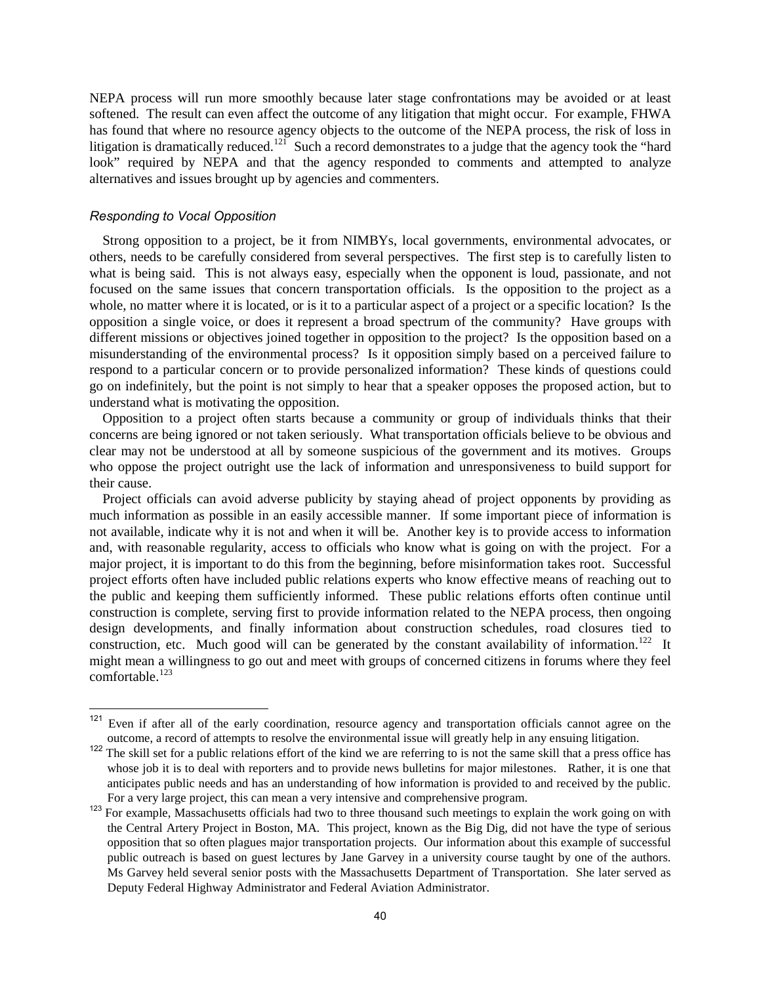NEPA process will run more smoothly because later stage confrontations may be avoided or at least softened. The result can even affect the outcome of any litigation that might occur. For example, FHWA has found that where no resource agency objects to the outcome of the NEPA process, the risk of loss in litigation is dramatically reduced.<sup>[121](#page-44-0)</sup> Such a record demonstrates to a judge that the agency took the "hard" look" required by NEPA and that the agency responded to comments and attempted to analyze alternatives and issues brought up by agencies and commenters.

#### *Responding to Vocal Opposition*

Strong opposition to a project, be it from NIMBYs, local governments, environmental advocates, or others, needs to be carefully considered from several perspectives. The first step is to carefully listen to what is being said. This is not always easy, especially when the opponent is loud, passionate, and not focused on the same issues that concern transportation officials. Is the opposition to the project as a whole, no matter where it is located, or is it to a particular aspect of a project or a specific location? Is the opposition a single voice, or does it represent a broad spectrum of the community? Have groups with different missions or objectives joined together in opposition to the project? Is the opposition based on a misunderstanding of the environmental process? Is it opposition simply based on a perceived failure to respond to a particular concern or to provide personalized information? These kinds of questions could go on indefinitely, but the point is not simply to hear that a speaker opposes the proposed action, but to understand what is motivating the opposition.

Opposition to a project often starts because a community or group of individuals thinks that their concerns are being ignored or not taken seriously. What transportation officials believe to be obvious and clear may not be understood at all by someone suspicious of the government and its motives. Groups who oppose the project outright use the lack of information and unresponsiveness to build support for their cause.

Project officials can avoid adverse publicity by staying ahead of project opponents by providing as much information as possible in an easily accessible manner. If some important piece of information is not available, indicate why it is not and when it will be. Another key is to provide access to information and, with reasonable regularity, access to officials who know what is going on with the project. For a major project, it is important to do this from the beginning, before misinformation takes root. Successful project efforts often have included public relations experts who know effective means of reaching out to the public and keeping them sufficiently informed. These public relations efforts often continue until construction is complete, serving first to provide information related to the NEPA process, then ongoing design developments, and finally information about construction schedules, road closures tied to construction, etc. Much good will can be generated by the constant availability of information.<sup>122</sup> It might mean a willingness to go out and meet with groups of concerned citizens in forums where they feel comfortable.<sup>123</sup>

<span id="page-44-0"></span><sup>&</sup>lt;sup>121</sup> Even if after all of the early coordination, resource agency and transportation officials cannot agree on the outcome, a record of attempts to resolve the environmental issue will greatly help in any ensuing litigation.

<span id="page-44-1"></span><sup>&</sup>lt;sup>122</sup> The skill set for a public relations effort of the kind we are referring to is not the same skill that a press office has whose job it is to deal with reporters and to provide news bulletins for major milestones. Rather, it is one that anticipates public needs and has an understanding of how information is provided to and received by the public. For a very large project, this can mean a very intensive and comprehensive program.

<span id="page-44-2"></span><sup>&</sup>lt;sup>123</sup> For example, Massachusetts officials had two to three thousand such meetings to explain the work going on with the Central Artery Project in Boston, MA. This project, known as the Big Dig, did not have the type of serious opposition that so often plagues major transportation projects. Our information about this example of successful public outreach is based on guest lectures by Jane Garvey in a university course taught by one of the authors. Ms Garvey held several senior posts with the Massachusetts Department of Transportation. She later served as Deputy Federal Highway Administrator and Federal Aviation Administrator.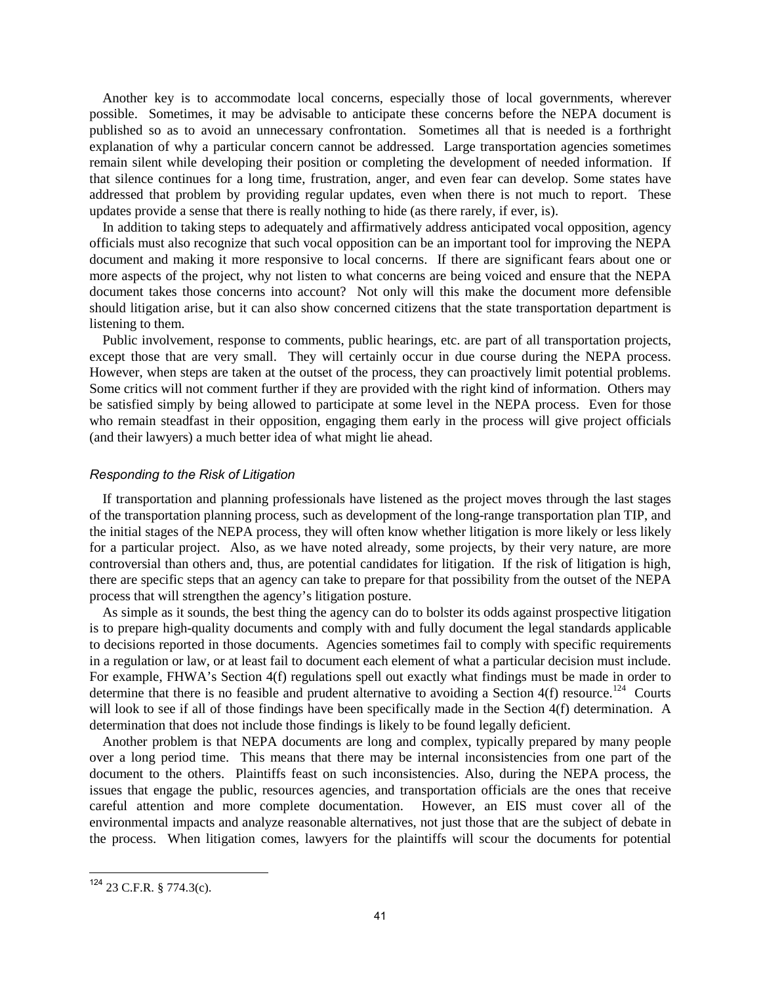Another key is to accommodate local concerns, especially those of local governments, wherever possible. Sometimes, it may be advisable to anticipate these concerns before the NEPA document is published so as to avoid an unnecessary confrontation. Sometimes all that is needed is a forthright explanation of why a particular concern cannot be addressed. Large transportation agencies sometimes remain silent while developing their position or completing the development of needed information. If that silence continues for a long time, frustration, anger, and even fear can develop. Some states have addressed that problem by providing regular updates, even when there is not much to report. These updates provide a sense that there is really nothing to hide (as there rarely, if ever, is).

In addition to taking steps to adequately and affirmatively address anticipated vocal opposition, agency officials must also recognize that such vocal opposition can be an important tool for improving the NEPA document and making it more responsive to local concerns. If there are significant fears about one or more aspects of the project, why not listen to what concerns are being voiced and ensure that the NEPA document takes those concerns into account? Not only will this make the document more defensible should litigation arise, but it can also show concerned citizens that the state transportation department is listening to them.

Public involvement, response to comments, public hearings, etc. are part of all transportation projects, except those that are very small. They will certainly occur in due course during the NEPA process. However, when steps are taken at the outset of the process, they can proactively limit potential problems. Some critics will not comment further if they are provided with the right kind of information. Others may be satisfied simply by being allowed to participate at some level in the NEPA process. Even for those who remain steadfast in their opposition, engaging them early in the process will give project officials (and their lawyers) a much better idea of what might lie ahead.

#### *Responding to the Risk of Litigation*

If transportation and planning professionals have listened as the project moves through the last stages of the transportation planning process, such as development of the long-range transportation plan TIP, and the initial stages of the NEPA process, they will often know whether litigation is more likely or less likely for a particular project. Also, as we have noted already, some projects, by their very nature, are more controversial than others and, thus, are potential candidates for litigation. If the risk of litigation is high, there are specific steps that an agency can take to prepare for that possibility from the outset of the NEPA process that will strengthen the agency's litigation posture.

As simple as it sounds, the best thing the agency can do to bolster its odds against prospective litigation is to prepare high-quality documents and comply with and fully document the legal standards applicable to decisions reported in those documents. Agencies sometimes fail to comply with specific requirements in a regulation or law, or at least fail to document each element of what a particular decision must include. For example, FHWA's Section 4(f) regulations spell out exactly what findings must be made in order to determine that there is no feasible and prudent alternative to avoiding a Section  $4(f)$  resource.<sup>124</sup> Courts will look to see if all of those findings have been specifically made in the Section 4(f) determination. A determination that does not include those findings is likely to be found legally deficient.

Another problem is that NEPA documents are long and complex, typically prepared by many people over a long period time. This means that there may be internal inconsistencies from one part of the document to the others. Plaintiffs feast on such inconsistencies. Also, during the NEPA process, the issues that engage the public, resources agencies, and transportation officials are the ones that receive careful attention and more complete documentation. However, an EIS must cover all of the environmental impacts and analyze reasonable alternatives, not just those that are the subject of debate in the process. When litigation comes, lawyers for the plaintiffs will scour the documents for potential

<span id="page-45-0"></span><sup>124</sup> 23 C.F.R. § 774.3(c).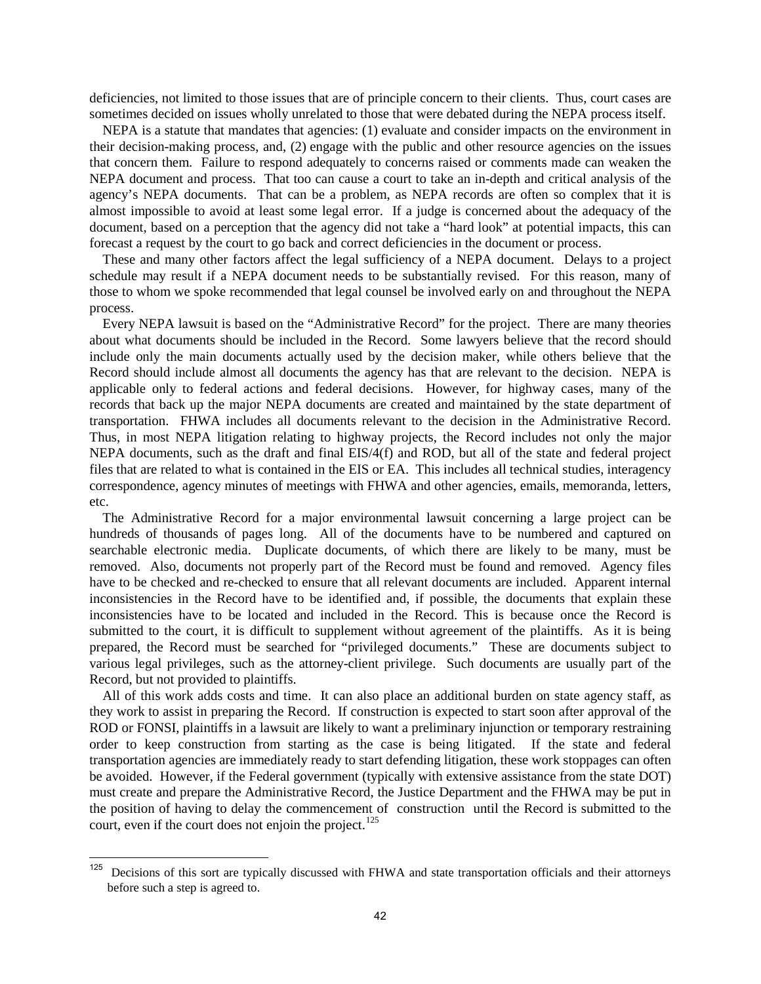deficiencies, not limited to those issues that are of principle concern to their clients. Thus, court cases are sometimes decided on issues wholly unrelated to those that were debated during the NEPA process itself.

NEPA is a statute that mandates that agencies: (1) evaluate and consider impacts on the environment in their decision-making process, and, (2) engage with the public and other resource agencies on the issues that concern them. Failure to respond adequately to concerns raised or comments made can weaken the NEPA document and process. That too can cause a court to take an in-depth and critical analysis of the agency's NEPA documents. That can be a problem, as NEPA records are often so complex that it is almost impossible to avoid at least some legal error. If a judge is concerned about the adequacy of the document, based on a perception that the agency did not take a "hard look" at potential impacts, this can forecast a request by the court to go back and correct deficiencies in the document or process.

These and many other factors affect the legal sufficiency of a NEPA document. Delays to a project schedule may result if a NEPA document needs to be substantially revised. For this reason, many of those to whom we spoke recommended that legal counsel be involved early on and throughout the NEPA process.

Every NEPA lawsuit is based on the "Administrative Record" for the project. There are many theories about what documents should be included in the Record. Some lawyers believe that the record should include only the main documents actually used by the decision maker, while others believe that the Record should include almost all documents the agency has that are relevant to the decision. NEPA is applicable only to federal actions and federal decisions. However, for highway cases, many of the records that back up the major NEPA documents are created and maintained by the state department of transportation. FHWA includes all documents relevant to the decision in the Administrative Record. Thus, in most NEPA litigation relating to highway projects, the Record includes not only the major NEPA documents, such as the draft and final EIS/4(f) and ROD, but all of the state and federal project files that are related to what is contained in the EIS or EA. This includes all technical studies, interagency correspondence, agency minutes of meetings with FHWA and other agencies, emails, memoranda, letters, etc.

The Administrative Record for a major environmental lawsuit concerning a large project can be hundreds of thousands of pages long. All of the documents have to be numbered and captured on searchable electronic media. Duplicate documents, of which there are likely to be many, must be removed. Also, documents not properly part of the Record must be found and removed. Agency files have to be checked and re-checked to ensure that all relevant documents are included. Apparent internal inconsistencies in the Record have to be identified and, if possible, the documents that explain these inconsistencies have to be located and included in the Record. This is because once the Record is submitted to the court, it is difficult to supplement without agreement of the plaintiffs. As it is being prepared, the Record must be searched for "privileged documents." These are documents subject to various legal privileges, such as the attorney-client privilege. Such documents are usually part of the Record, but not provided to plaintiffs.

All of this work adds costs and time. It can also place an additional burden on state agency staff, as they work to assist in preparing the Record. If construction is expected to start soon after approval of the ROD or FONSI, plaintiffs in a lawsuit are likely to want a preliminary injunction or temporary restraining order to keep construction from starting as the case is being litigated. If the state and federal transportation agencies are immediately ready to start defending litigation, these work stoppages can often be avoided. However, if the Federal government (typically with extensive assistance from the state DOT) must create and prepare the Administrative Record, the Justice Department and the FHWA may be put in the position of having to delay the commencement of construction until the Record is submitted to the court, even if the court does not enjoin the project.<sup>[125](#page-46-0)</sup>

<span id="page-46-0"></span><sup>&</sup>lt;sup>125</sup> Decisions of this sort are typically discussed with FHWA and state transportation officials and their attorneys before such a step is agreed to.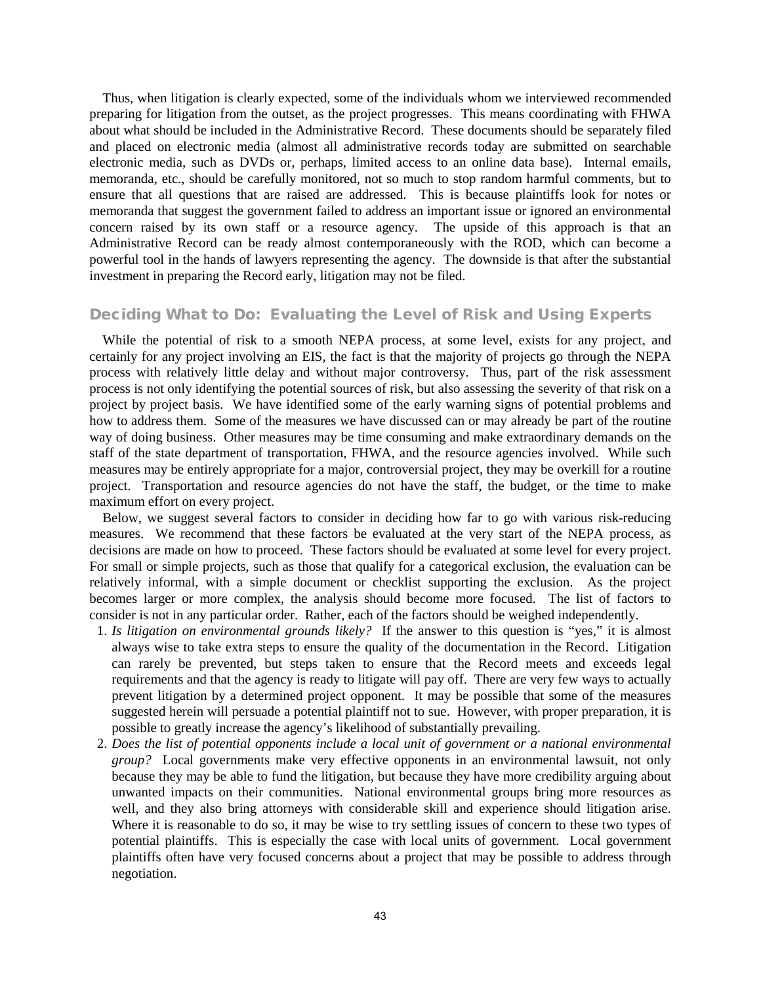Thus, when litigation is clearly expected, some of the individuals whom we interviewed recommended preparing for litigation from the outset, as the project progresses. This means coordinating with FHWA about what should be included in the Administrative Record. These documents should be separately filed and placed on electronic media (almost all administrative records today are submitted on searchable electronic media, such as DVDs or, perhaps, limited access to an online data base). Internal emails, memoranda, etc., should be carefully monitored, not so much to stop random harmful comments, but to ensure that all questions that are raised are addressed. This is because plaintiffs look for notes or memoranda that suggest the government failed to address an important issue or ignored an environmental concern raised by its own staff or a resource agency. The upside of this approach is that an Administrative Record can be ready almost contemporaneously with the ROD, which can become a powerful tool in the hands of lawyers representing the agency. The downside is that after the substantial investment in preparing the Record early, litigation may not be filed.

#### Deciding What to Do: Evaluating the Level of Risk and Using Experts

While the potential of risk to a smooth NEPA process, at some level, exists for any project, and certainly for any project involving an EIS, the fact is that the majority of projects go through the NEPA process with relatively little delay and without major controversy. Thus, part of the risk assessment process is not only identifying the potential sources of risk, but also assessing the severity of that risk on a project by project basis. We have identified some of the early warning signs of potential problems and how to address them. Some of the measures we have discussed can or may already be part of the routine way of doing business. Other measures may be time consuming and make extraordinary demands on the staff of the state department of transportation, FHWA, and the resource agencies involved. While such measures may be entirely appropriate for a major, controversial project, they may be overkill for a routine project. Transportation and resource agencies do not have the staff, the budget, or the time to make maximum effort on every project.

Below, we suggest several factors to consider in deciding how far to go with various risk-reducing measures. We recommend that these factors be evaluated at the very start of the NEPA process, as decisions are made on how to proceed. These factors should be evaluated at some level for every project. For small or simple projects, such as those that qualify for a categorical exclusion, the evaluation can be relatively informal, with a simple document or checklist supporting the exclusion. As the project becomes larger or more complex, the analysis should become more focused. The list of factors to consider is not in any particular order. Rather, each of the factors should be weighed independently.

- 1. *Is litigation on environmental grounds likely?* If the answer to this question is "yes," it is almost always wise to take extra steps to ensure the quality of the documentation in the Record. Litigation can rarely be prevented, but steps taken to ensure that the Record meets and exceeds legal requirements and that the agency is ready to litigate will pay off. There are very few ways to actually prevent litigation by a determined project opponent. It may be possible that some of the measures suggested herein will persuade a potential plaintiff not to sue. However, with proper preparation, it is possible to greatly increase the agency's likelihood of substantially prevailing.
- 2. *Does the list of potential opponents include a local unit of government or a national environmental group?* Local governments make very effective opponents in an environmental lawsuit, not only because they may be able to fund the litigation, but because they have more credibility arguing about unwanted impacts on their communities. National environmental groups bring more resources as well, and they also bring attorneys with considerable skill and experience should litigation arise. Where it is reasonable to do so, it may be wise to try settling issues of concern to these two types of potential plaintiffs. This is especially the case with local units of government. Local government plaintiffs often have very focused concerns about a project that may be possible to address through negotiation.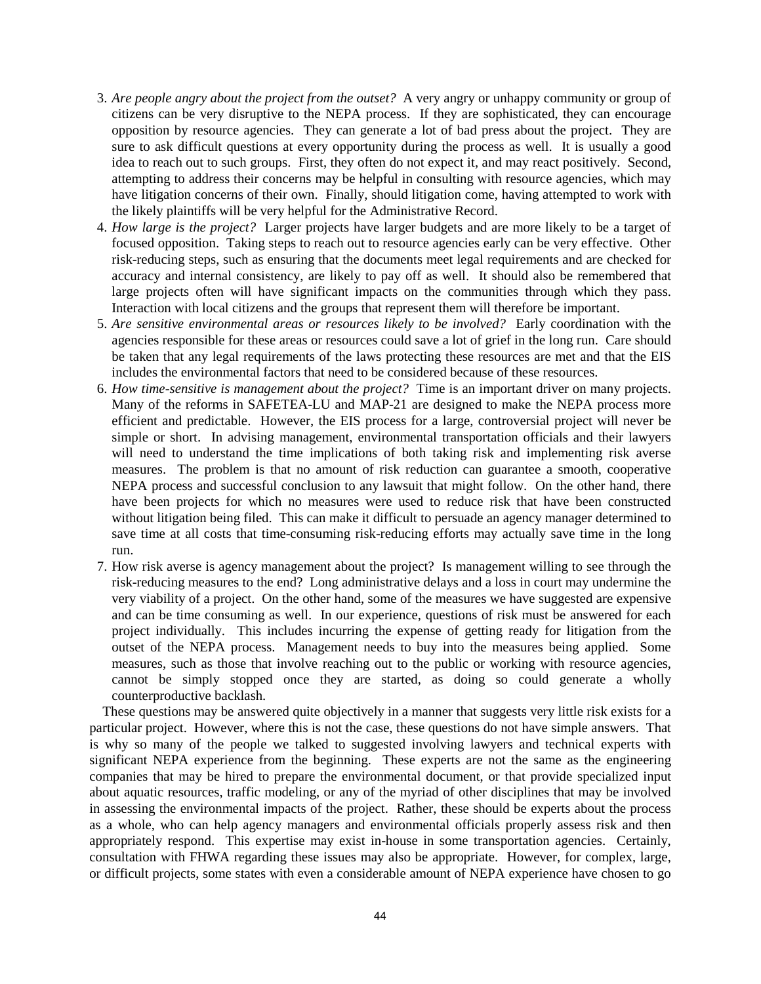- 3. *Are people angry about the project from the outset?* A very angry or unhappy community or group of citizens can be very disruptive to the NEPA process. If they are sophisticated, they can encourage opposition by resource agencies. They can generate a lot of bad press about the project. They are sure to ask difficult questions at every opportunity during the process as well. It is usually a good idea to reach out to such groups. First, they often do not expect it, and may react positively. Second, attempting to address their concerns may be helpful in consulting with resource agencies, which may have litigation concerns of their own. Finally, should litigation come, having attempted to work with the likely plaintiffs will be very helpful for the Administrative Record.
- 4. *How large is the project?* Larger projects have larger budgets and are more likely to be a target of focused opposition. Taking steps to reach out to resource agencies early can be very effective. Other risk-reducing steps, such as ensuring that the documents meet legal requirements and are checked for accuracy and internal consistency, are likely to pay off as well. It should also be remembered that large projects often will have significant impacts on the communities through which they pass. Interaction with local citizens and the groups that represent them will therefore be important.
- 5. *Are sensitive environmental areas or resources likely to be involved?* Early coordination with the agencies responsible for these areas or resources could save a lot of grief in the long run. Care should be taken that any legal requirements of the laws protecting these resources are met and that the EIS includes the environmental factors that need to be considered because of these resources.
- 6. *How time-sensitive is management about the project?* Time is an important driver on many projects. Many of the reforms in SAFETEA-LU and MAP-21 are designed to make the NEPA process more efficient and predictable. However, the EIS process for a large, controversial project will never be simple or short. In advising management, environmental transportation officials and their lawyers will need to understand the time implications of both taking risk and implementing risk averse measures. The problem is that no amount of risk reduction can guarantee a smooth, cooperative NEPA process and successful conclusion to any lawsuit that might follow. On the other hand, there have been projects for which no measures were used to reduce risk that have been constructed without litigation being filed. This can make it difficult to persuade an agency manager determined to save time at all costs that time-consuming risk-reducing efforts may actually save time in the long run.
- 7. How risk averse is agency management about the project? Is management willing to see through the risk-reducing measures to the end? Long administrative delays and a loss in court may undermine the very viability of a project. On the other hand, some of the measures we have suggested are expensive and can be time consuming as well. In our experience, questions of risk must be answered for each project individually. This includes incurring the expense of getting ready for litigation from the outset of the NEPA process. Management needs to buy into the measures being applied. Some measures, such as those that involve reaching out to the public or working with resource agencies, cannot be simply stopped once they are started, as doing so could generate a wholly counterproductive backlash.

These questions may be answered quite objectively in a manner that suggests very little risk exists for a particular project. However, where this is not the case, these questions do not have simple answers. That is why so many of the people we talked to suggested involving lawyers and technical experts with significant NEPA experience from the beginning. These experts are not the same as the engineering companies that may be hired to prepare the environmental document, or that provide specialized input about aquatic resources, traffic modeling, or any of the myriad of other disciplines that may be involved in assessing the environmental impacts of the project. Rather, these should be experts about the process as a whole, who can help agency managers and environmental officials properly assess risk and then appropriately respond. This expertise may exist in-house in some transportation agencies. Certainly, consultation with FHWA regarding these issues may also be appropriate. However, for complex, large, or difficult projects, some states with even a considerable amount of NEPA experience have chosen to go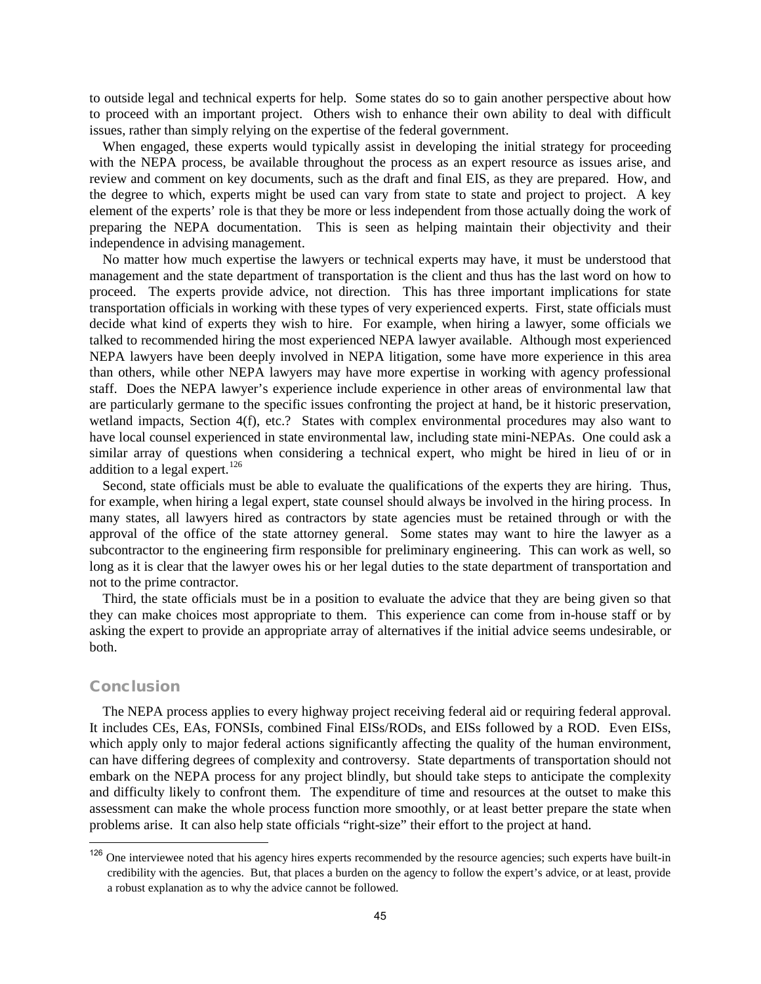to outside legal and technical experts for help. Some states do so to gain another perspective about how to proceed with an important project. Others wish to enhance their own ability to deal with difficult issues, rather than simply relying on the expertise of the federal government.

When engaged, these experts would typically assist in developing the initial strategy for proceeding with the NEPA process, be available throughout the process as an expert resource as issues arise, and review and comment on key documents, such as the draft and final EIS, as they are prepared. How, and the degree to which, experts might be used can vary from state to state and project to project. A key element of the experts' role is that they be more or less independent from those actually doing the work of preparing the NEPA documentation. This is seen as helping maintain their objectivity and their independence in advising management.

No matter how much expertise the lawyers or technical experts may have, it must be understood that management and the state department of transportation is the client and thus has the last word on how to proceed. The experts provide advice, not direction. This has three important implications for state transportation officials in working with these types of very experienced experts. First, state officials must decide what kind of experts they wish to hire. For example, when hiring a lawyer, some officials we talked to recommended hiring the most experienced NEPA lawyer available. Although most experienced NEPA lawyers have been deeply involved in NEPA litigation, some have more experience in this area than others, while other NEPA lawyers may have more expertise in working with agency professional staff. Does the NEPA lawyer's experience include experience in other areas of environmental law that are particularly germane to the specific issues confronting the project at hand, be it historic preservation, wetland impacts, Section 4(f), etc.? States with complex environmental procedures may also want to have local counsel experienced in state environmental law, including state mini-NEPAs. One could ask a similar array of questions when considering a technical expert, who might be hired in lieu of or in addition to a legal expert.  $126$ 

Second, state officials must be able to evaluate the qualifications of the experts they are hiring. Thus, for example, when hiring a legal expert, state counsel should always be involved in the hiring process. In many states, all lawyers hired as contractors by state agencies must be retained through or with the approval of the office of the state attorney general. Some states may want to hire the lawyer as a subcontractor to the engineering firm responsible for preliminary engineering. This can work as well, so long as it is clear that the lawyer owes his or her legal duties to the state department of transportation and not to the prime contractor.

Third, the state officials must be in a position to evaluate the advice that they are being given so that they can make choices most appropriate to them. This experience can come from in-house staff or by asking the expert to provide an appropriate array of alternatives if the initial advice seems undesirable, or both.

#### Conclusion

The NEPA process applies to every highway project receiving federal aid or requiring federal approval. It includes CEs, EAs, FONSIs, combined Final EISs/RODs, and EISs followed by a ROD. Even EISs, which apply only to major federal actions significantly affecting the quality of the human environment, can have differing degrees of complexity and controversy. State departments of transportation should not embark on the NEPA process for any project blindly, but should take steps to anticipate the complexity and difficulty likely to confront them. The expenditure of time and resources at the outset to make this assessment can make the whole process function more smoothly, or at least better prepare the state when problems arise. It can also help state officials "right-size" their effort to the project at hand.

<span id="page-49-0"></span> $126$  One interviewee noted that his agency hires experts recommended by the resource agencies; such experts have built-in credibility with the agencies. But, that places a burden on the agency to follow the expert's advice, or at least, provide a robust explanation as to why the advice cannot be followed.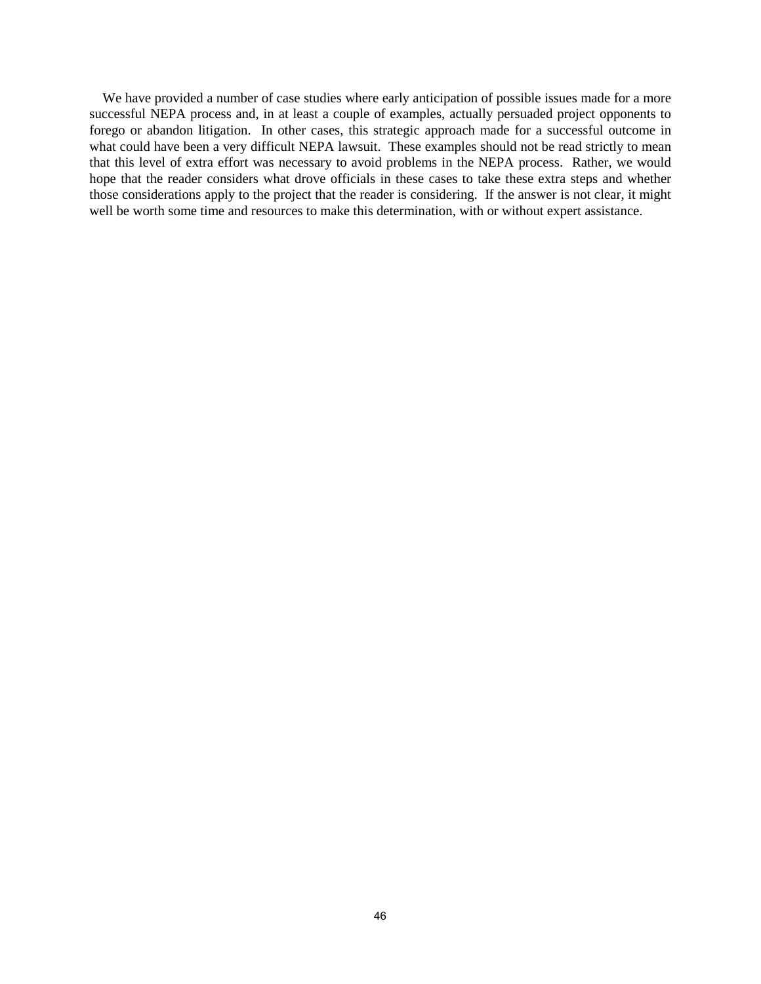We have provided a number of case studies where early anticipation of possible issues made for a more successful NEPA process and, in at least a couple of examples, actually persuaded project opponents to forego or abandon litigation. In other cases, this strategic approach made for a successful outcome in what could have been a very difficult NEPA lawsuit. These examples should not be read strictly to mean that this level of extra effort was necessary to avoid problems in the NEPA process. Rather, we would hope that the reader considers what drove officials in these cases to take these extra steps and whether those considerations apply to the project that the reader is considering. If the answer is not clear, it might well be worth some time and resources to make this determination, with or without expert assistance.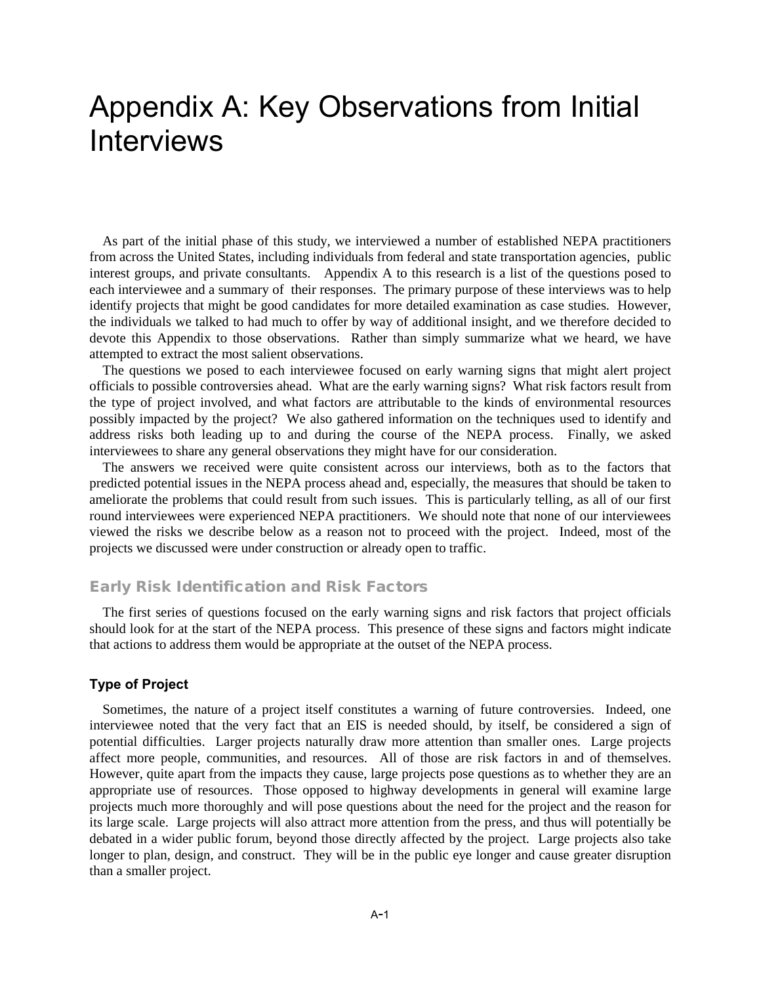## Appendix A: Key Observations from Initial Interviews

As part of the initial phase of this study, we interviewed a number of established NEPA practitioners from across the United States, including individuals from federal and state transportation agencies, public interest groups, and private consultants. Appendix A to this research is a list of the questions posed to each interviewee and a summary of their responses. The primary purpose of these interviews was to help identify projects that might be good candidates for more detailed examination as case studies. However, the individuals we talked to had much to offer by way of additional insight, and we therefore decided to devote this Appendix to those observations. Rather than simply summarize what we heard, we have attempted to extract the most salient observations.

The questions we posed to each interviewee focused on early warning signs that might alert project officials to possible controversies ahead. What are the early warning signs? What risk factors result from the type of project involved, and what factors are attributable to the kinds of environmental resources possibly impacted by the project? We also gathered information on the techniques used to identify and address risks both leading up to and during the course of the NEPA process. Finally, we asked interviewees to share any general observations they might have for our consideration.

The answers we received were quite consistent across our interviews, both as to the factors that predicted potential issues in the NEPA process ahead and, especially, the measures that should be taken to ameliorate the problems that could result from such issues. This is particularly telling, as all of our first round interviewees were experienced NEPA practitioners. We should note that none of our interviewees viewed the risks we describe below as a reason not to proceed with the project. Indeed, most of the projects we discussed were under construction or already open to traffic.

### Early Risk Identification and Risk Factors

The first series of questions focused on the early warning signs and risk factors that project officials should look for at the start of the NEPA process. This presence of these signs and factors might indicate that actions to address them would be appropriate at the outset of the NEPA process.

#### **Type of Project**

Sometimes, the nature of a project itself constitutes a warning of future controversies. Indeed, one interviewee noted that the very fact that an EIS is needed should, by itself, be considered a sign of potential difficulties. Larger projects naturally draw more attention than smaller ones. Large projects affect more people, communities, and resources. All of those are risk factors in and of themselves. However, quite apart from the impacts they cause, large projects pose questions as to whether they are an appropriate use of resources. Those opposed to highway developments in general will examine large projects much more thoroughly and will pose questions about the need for the project and the reason for its large scale. Large projects will also attract more attention from the press, and thus will potentially be debated in a wider public forum, beyond those directly affected by the project. Large projects also take longer to plan, design, and construct. They will be in the public eye longer and cause greater disruption than a smaller project.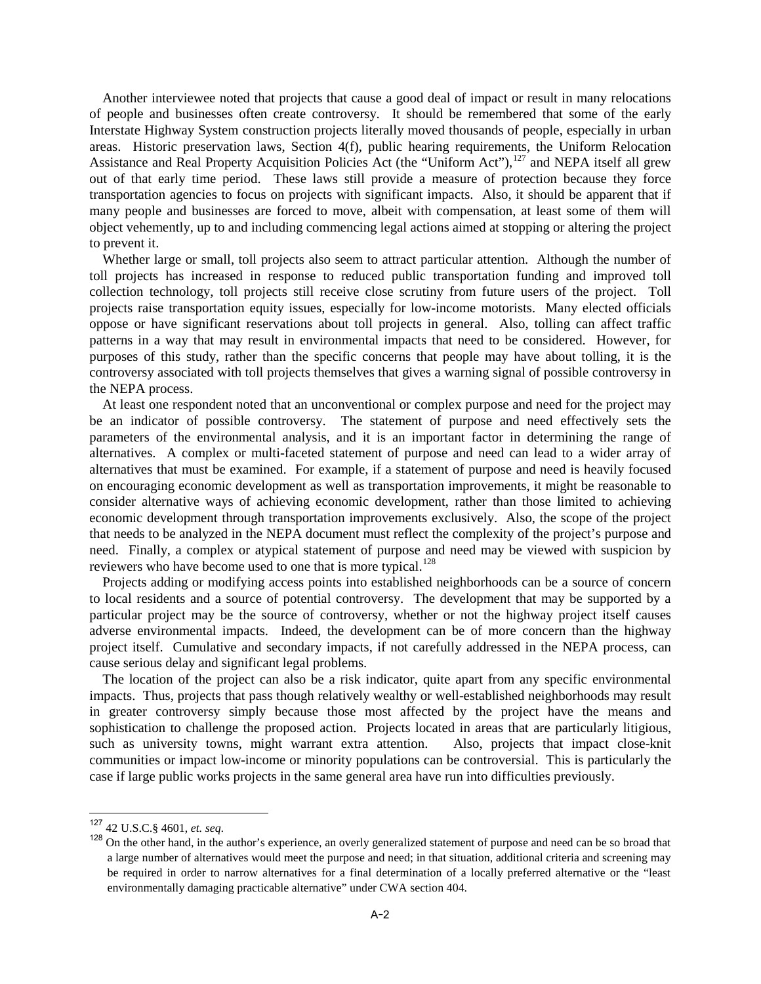Another interviewee noted that projects that cause a good deal of impact or result in many relocations of people and businesses often create controversy. It should be remembered that some of the early Interstate Highway System construction projects literally moved thousands of people, especially in urban areas. Historic preservation laws, Section 4(f), public hearing requirements, the Uniform Relocation Assistance and Real Property Acquisition Policies Act (the "Uniform Act"),<sup>[127](#page-52-0)</sup> and NEPA itself all grew out of that early time period. These laws still provide a measure of protection because they force transportation agencies to focus on projects with significant impacts. Also, it should be apparent that if many people and businesses are forced to move, albeit with compensation, at least some of them will object vehemently, up to and including commencing legal actions aimed at stopping or altering the project to prevent it.

Whether large or small, toll projects also seem to attract particular attention. Although the number of toll projects has increased in response to reduced public transportation funding and improved toll collection technology, toll projects still receive close scrutiny from future users of the project. Toll projects raise transportation equity issues, especially for low-income motorists. Many elected officials oppose or have significant reservations about toll projects in general. Also, tolling can affect traffic patterns in a way that may result in environmental impacts that need to be considered. However, for purposes of this study, rather than the specific concerns that people may have about tolling, it is the controversy associated with toll projects themselves that gives a warning signal of possible controversy in the NEPA process.

At least one respondent noted that an unconventional or complex purpose and need for the project may be an indicator of possible controversy. The statement of purpose and need effectively sets the parameters of the environmental analysis, and it is an important factor in determining the range of alternatives. A complex or multi-faceted statement of purpose and need can lead to a wider array of alternatives that must be examined. For example, if a statement of purpose and need is heavily focused on encouraging economic development as well as transportation improvements, it might be reasonable to consider alternative ways of achieving economic development, rather than those limited to achieving economic development through transportation improvements exclusively. Also, the scope of the project that needs to be analyzed in the NEPA document must reflect the complexity of the project's purpose and need. Finally, a complex or atypical statement of purpose and need may be viewed with suspicion by reviewers who have become used to one that is more typical.<sup>[128](#page-52-1)</sup>

Projects adding or modifying access points into established neighborhoods can be a source of concern to local residents and a source of potential controversy. The development that may be supported by a particular project may be the source of controversy, whether or not the highway project itself causes adverse environmental impacts. Indeed, the development can be of more concern than the highway project itself. Cumulative and secondary impacts, if not carefully addressed in the NEPA process, can cause serious delay and significant legal problems.

The location of the project can also be a risk indicator, quite apart from any specific environmental impacts. Thus, projects that pass though relatively wealthy or well-established neighborhoods may result in greater controversy simply because those most affected by the project have the means and sophistication to challenge the proposed action. Projects located in areas that are particularly litigious, such as university towns, might warrant extra attention. Also, projects that impact close-knit communities or impact low-income or minority populations can be controversial. This is particularly the case if large public works projects in the same general area have run into difficulties previously.

<span id="page-52-0"></span><sup>127</sup> 42 U.S.C.§ 4601, *et. seq.*

<span id="page-52-1"></span><sup>&</sup>lt;sup>128</sup> On the other hand, in the author's experience, an overly generalized statement of purpose and need can be so broad that a large number of alternatives would meet the purpose and need; in that situation, additional criteria and screening may be required in order to narrow alternatives for a final determination of a locally preferred alternative or the "least environmentally damaging practicable alternative" under CWA section 404.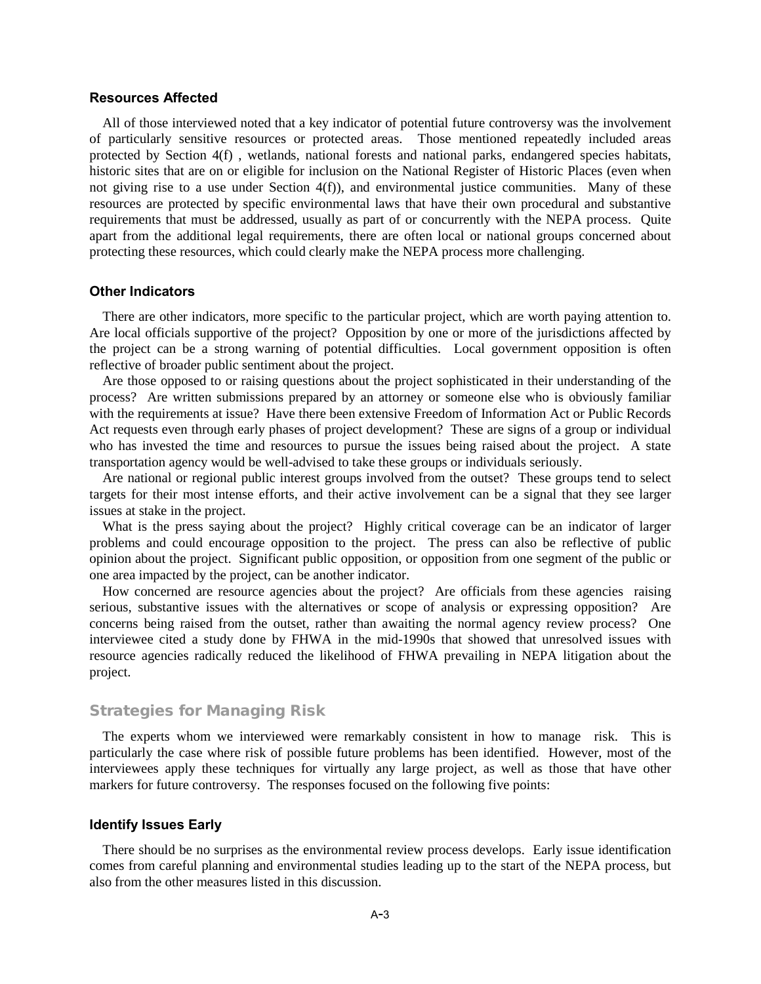#### **Resources Affected**

All of those interviewed noted that a key indicator of potential future controversy was the involvement of particularly sensitive resources or protected areas. Those mentioned repeatedly included areas protected by Section 4(f) , wetlands, national forests and national parks, endangered species habitats, historic sites that are on or eligible for inclusion on the National Register of Historic Places (even when not giving rise to a use under Section 4(f)), and environmental justice communities. Many of these resources are protected by specific environmental laws that have their own procedural and substantive requirements that must be addressed, usually as part of or concurrently with the NEPA process. Quite apart from the additional legal requirements, there are often local or national groups concerned about protecting these resources, which could clearly make the NEPA process more challenging.

#### **Other Indicators**

There are other indicators, more specific to the particular project, which are worth paying attention to. Are local officials supportive of the project? Opposition by one or more of the jurisdictions affected by the project can be a strong warning of potential difficulties. Local government opposition is often reflective of broader public sentiment about the project.

Are those opposed to or raising questions about the project sophisticated in their understanding of the process? Are written submissions prepared by an attorney or someone else who is obviously familiar with the requirements at issue? Have there been extensive Freedom of Information Act or Public Records Act requests even through early phases of project development? These are signs of a group or individual who has invested the time and resources to pursue the issues being raised about the project. A state transportation agency would be well-advised to take these groups or individuals seriously.

Are national or regional public interest groups involved from the outset? These groups tend to select targets for their most intense efforts, and their active involvement can be a signal that they see larger issues at stake in the project.

What is the press saying about the project? Highly critical coverage can be an indicator of larger problems and could encourage opposition to the project. The press can also be reflective of public opinion about the project. Significant public opposition, or opposition from one segment of the public or one area impacted by the project, can be another indicator.

How concerned are resource agencies about the project? Are officials from these agencies raising serious, substantive issues with the alternatives or scope of analysis or expressing opposition? Are concerns being raised from the outset, rather than awaiting the normal agency review process? One interviewee cited a study done by FHWA in the mid-1990s that showed that unresolved issues with resource agencies radically reduced the likelihood of FHWA prevailing in NEPA litigation about the project.

#### Strategies for Managing Risk

The experts whom we interviewed were remarkably consistent in how to manage risk. This is particularly the case where risk of possible future problems has been identified. However, most of the interviewees apply these techniques for virtually any large project, as well as those that have other markers for future controversy. The responses focused on the following five points:

#### **Identify Issues Early**

There should be no surprises as the environmental review process develops. Early issue identification comes from careful planning and environmental studies leading up to the start of the NEPA process, but also from the other measures listed in this discussion.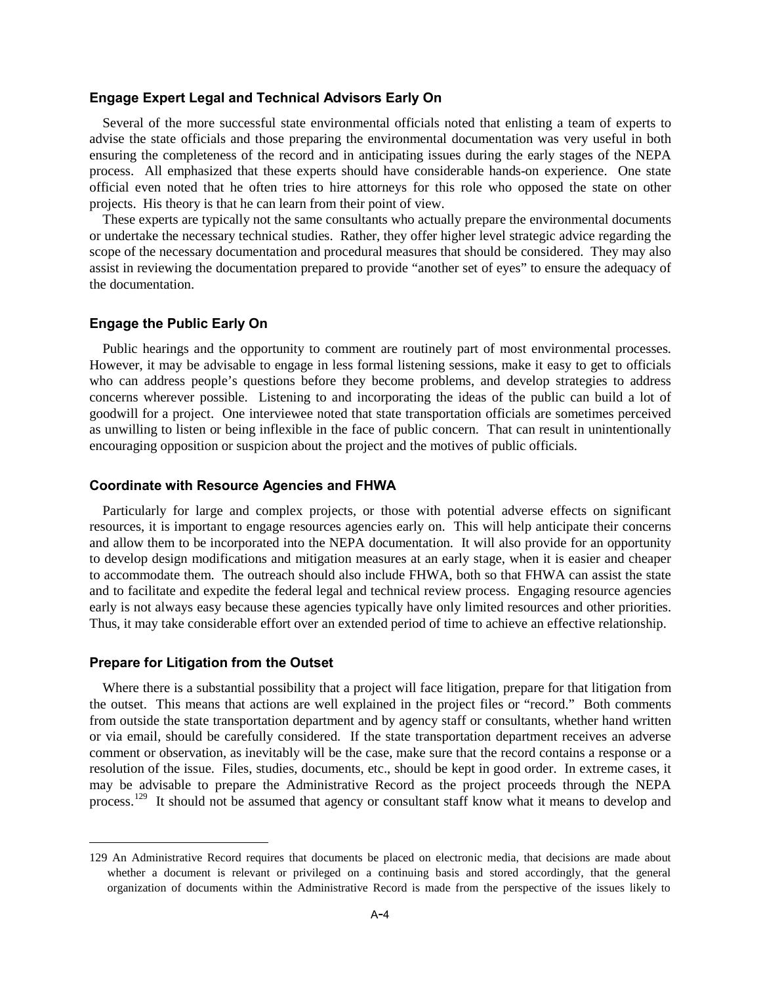#### **Engage Expert Legal and Technical Advisors Early On**

Several of the more successful state environmental officials noted that enlisting a team of experts to advise the state officials and those preparing the environmental documentation was very useful in both ensuring the completeness of the record and in anticipating issues during the early stages of the NEPA process. All emphasized that these experts should have considerable hands-on experience. One state official even noted that he often tries to hire attorneys for this role who opposed the state on other projects. His theory is that he can learn from their point of view.

These experts are typically not the same consultants who actually prepare the environmental documents or undertake the necessary technical studies. Rather, they offer higher level strategic advice regarding the scope of the necessary documentation and procedural measures that should be considered. They may also assist in reviewing the documentation prepared to provide "another set of eyes" to ensure the adequacy of the documentation.

#### **Engage the Public Early On**

Public hearings and the opportunity to comment are routinely part of most environmental processes. However, it may be advisable to engage in less formal listening sessions, make it easy to get to officials who can address people's questions before they become problems, and develop strategies to address concerns wherever possible. Listening to and incorporating the ideas of the public can build a lot of goodwill for a project. One interviewee noted that state transportation officials are sometimes perceived as unwilling to listen or being inflexible in the face of public concern. That can result in unintentionally encouraging opposition or suspicion about the project and the motives of public officials.

#### **Coordinate with Resource Agencies and FHWA**

Particularly for large and complex projects, or those with potential adverse effects on significant resources, it is important to engage resources agencies early on. This will help anticipate their concerns and allow them to be incorporated into the NEPA documentation. It will also provide for an opportunity to develop design modifications and mitigation measures at an early stage, when it is easier and cheaper to accommodate them. The outreach should also include FHWA, both so that FHWA can assist the state and to facilitate and expedite the federal legal and technical review process. Engaging resource agencies early is not always easy because these agencies typically have only limited resources and other priorities. Thus, it may take considerable effort over an extended period of time to achieve an effective relationship.

#### **Prepare for Litigation from the Outset**

Where there is a substantial possibility that a project will face litigation, prepare for that litigation from the outset. This means that actions are well explained in the project files or "record." Both comments from outside the state transportation department and by agency staff or consultants, whether hand written or via email, should be carefully considered. If the state transportation department receives an adverse comment or observation, as inevitably will be the case, make sure that the record contains a response or a resolution of the issue. Files, studies, documents, etc., should be kept in good order. In extreme cases, it may be advisable to prepare the Administrative Record as the project proceeds through the NEPA process.<sup>129</sup> It should not be assumed that agency or consultant staff know what it means to develop and

<span id="page-54-0"></span><sup>129</sup> An Administrative Record requires that documents be placed on electronic media, that decisions are made about whether a document is relevant or privileged on a continuing basis and stored accordingly, that the general organization of documents within the Administrative Record is made from the perspective of the issues likely to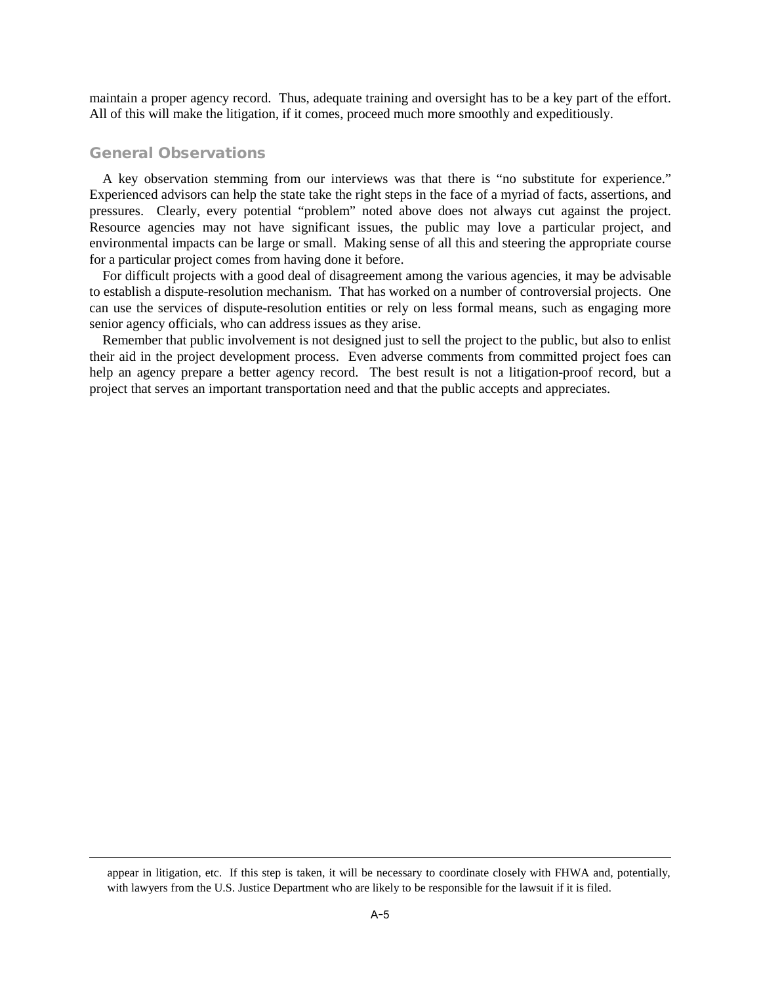maintain a proper agency record. Thus, adequate training and oversight has to be a key part of the effort. All of this will make the litigation, if it comes, proceed much more smoothly and expeditiously.

#### General Observations

A key observation stemming from our interviews was that there is "no substitute for experience." Experienced advisors can help the state take the right steps in the face of a myriad of facts, assertions, and pressures. Clearly, every potential "problem" noted above does not always cut against the project. Resource agencies may not have significant issues, the public may love a particular project, and environmental impacts can be large or small. Making sense of all this and steering the appropriate course for a particular project comes from having done it before.

For difficult projects with a good deal of disagreement among the various agencies, it may be advisable to establish a dispute-resolution mechanism. That has worked on a number of controversial projects. One can use the services of dispute-resolution entities or rely on less formal means, such as engaging more senior agency officials, who can address issues as they arise.

Remember that public involvement is not designed just to sell the project to the public, but also to enlist their aid in the project development process. Even adverse comments from committed project foes can help an agency prepare a better agency record. The best result is not a litigation-proof record, but a project that serves an important transportation need and that the public accepts and appreciates.

appear in litigation, etc. If this step is taken, it will be necessary to coordinate closely with FHWA and, potentially, with lawyers from the U.S. Justice Department who are likely to be responsible for the lawsuit if it is filed.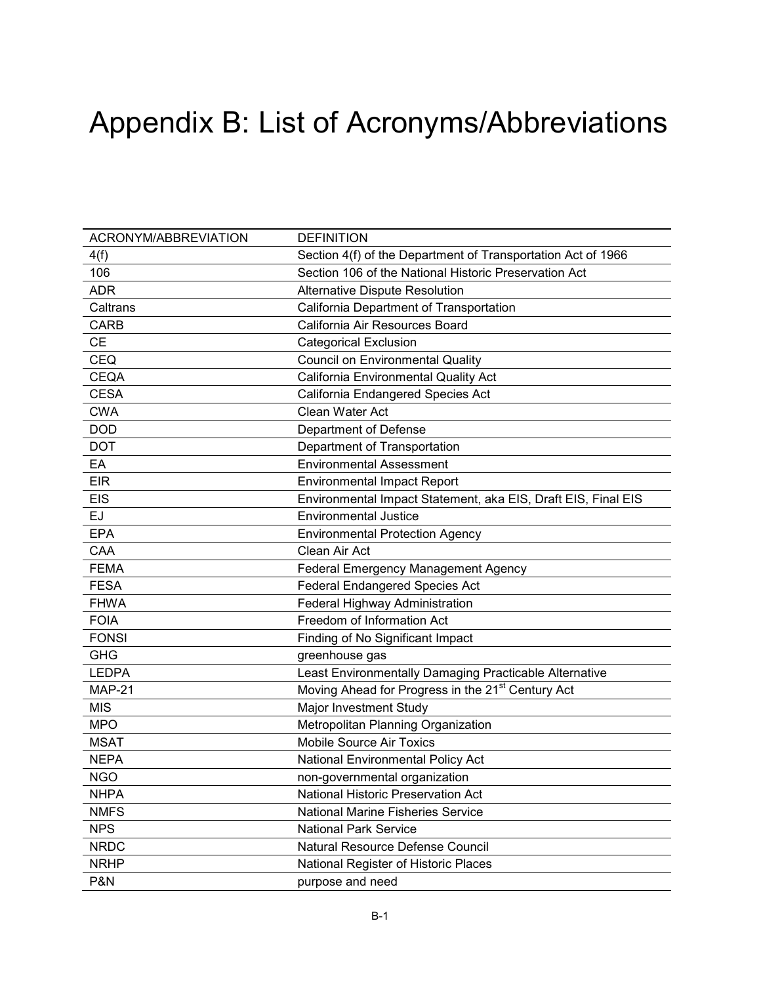# Appendix B: List of Acronyms/Abbreviations

| ACRONYM/ABBREVIATION | <b>DEFINITION</b>                                             |
|----------------------|---------------------------------------------------------------|
| 4(f)                 | Section 4(f) of the Department of Transportation Act of 1966  |
| 106                  | Section 106 of the National Historic Preservation Act         |
| <b>ADR</b>           | <b>Alternative Dispute Resolution</b>                         |
| Caltrans             | California Department of Transportation                       |
| CARB                 | California Air Resources Board                                |
| <b>CE</b>            | <b>Categorical Exclusion</b>                                  |
| <b>CEQ</b>           | <b>Council on Environmental Quality</b>                       |
| <b>CEQA</b>          | California Environmental Quality Act                          |
| <b>CESA</b>          | California Endangered Species Act                             |
| <b>CWA</b>           | Clean Water Act                                               |
| <b>DOD</b>           | Department of Defense                                         |
| <b>DOT</b>           | Department of Transportation                                  |
| EA                   | <b>Environmental Assessment</b>                               |
| <b>EIR</b>           | <b>Environmental Impact Report</b>                            |
| <b>EIS</b>           | Environmental Impact Statement, aka EIS, Draft EIS, Final EIS |
| EJ                   | <b>Environmental Justice</b>                                  |
| <b>EPA</b>           | <b>Environmental Protection Agency</b>                        |
| CAA                  | Clean Air Act                                                 |
| <b>FEMA</b>          | <b>Federal Emergency Management Agency</b>                    |
| <b>FESA</b>          | <b>Federal Endangered Species Act</b>                         |
| <b>FHWA</b>          | Federal Highway Administration                                |
| <b>FOIA</b>          | Freedom of Information Act                                    |
| <b>FONSI</b>         | Finding of No Significant Impact                              |
| <b>GHG</b>           | greenhouse gas                                                |
| <b>LEDPA</b>         | Least Environmentally Damaging Practicable Alternative        |
| <b>MAP-21</b>        | Moving Ahead for Progress in the 21 <sup>st</sup> Century Act |
| <b>MIS</b>           | Major Investment Study                                        |
| <b>MPO</b>           | Metropolitan Planning Organization                            |
| <b>MSAT</b>          | <b>Mobile Source Air Toxics</b>                               |
| <b>NEPA</b>          | National Environmental Policy Act                             |
| <b>NGO</b>           | non-governmental organization                                 |
| <b>NHPA</b>          | National Historic Preservation Act                            |
| <b>NMFS</b>          | <b>National Marine Fisheries Service</b>                      |
| <b>NPS</b>           | <b>National Park Service</b>                                  |
| <b>NRDC</b>          | <b>Natural Resource Defense Council</b>                       |
| <b>NRHP</b>          | National Register of Historic Places                          |
| P&N                  | purpose and need                                              |